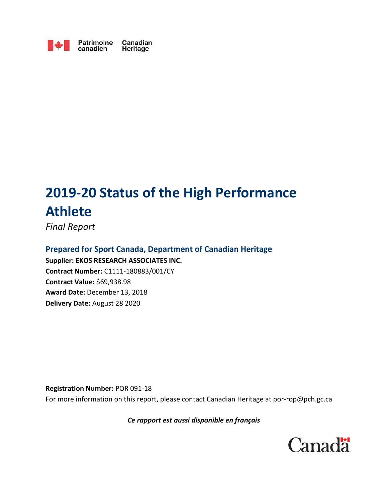

Patrimoine Canadian Heritage

# **2019-20 Status of the High Performance Athlete**

*Final Report* 

**Prepared for Sport Canada, Department of Canadian Heritage Supplier: EKOS RESEARCH ASSOCIATES INC. Contract Number:** C1111-180883/001/CY **Contract Value:** \$69,938.98 **Award Date:** December 13, 2018 **Delivery Date:** August 28 2020

**Registration Number:** POR 091-18 For more information on this report, please contact Canadian Heritage at por-rop@pch.gc.ca

## *Ce rapport est aussi disponible en français*

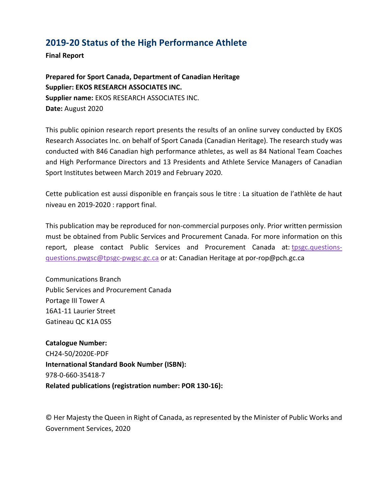# **2019-20 Status of the High Performance Athlete**

**Final Report** 

**Prepared for Sport Canada, Department of Canadian Heritage Supplier: EKOS RESEARCH ASSOCIATES INC. Supplier name:** EKOS RESEARCH ASSOCIATES INC. **Date:** August 2020

This public opinion research report presents the results of an online survey conducted by EKOS Research Associates Inc. on behalf of Sport Canada (Canadian Heritage). The research study was conducted with 846 Canadian high performance athletes, as well as 84 National Team Coaches and High Performance Directors and 13 Presidents and Athlete Service Managers of Canadian Sport Institutes between March 2019 and February 2020.

Cette publication est aussi disponible en français sous le titre : La situation de l'athlète de haut niveau en 2019-2020 : rapport final.

This publication may be reproduced for non-commercial purposes only. Prior written permission must be obtained from Public Services and Procurement Canada. For more information on this report, please contact Public Services and Procurement Canada at: tpsgc.questionsquestions.pwgsc@tpsgc-pwgsc.gc.ca or at: Canadian Heritage at por-rop@pch.gc.ca

Communications Branch Public Services and Procurement Canada Portage III Tower A 16A1-11 Laurier Street Gatineau QC K1A 0S5

**Catalogue Number:** CH24-50/2020E-PDF **International Standard Book Number (ISBN):** 978-0-660-35418-7 **Related publications (registration number: POR 130-16):**

© Her Majesty the Queen in Right of Canada, as represented by the Minister of Public Works and Government Services, 2020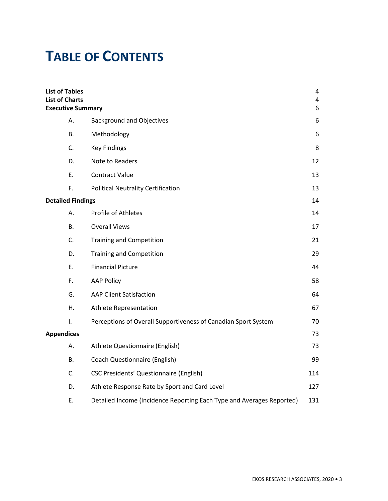# **TABLE OF CONTENTS**

| <b>List of Tables</b><br><b>List of Charts</b><br><b>Executive Summary</b> |                                                                       | 4<br>$\overline{4}$<br>6 |  |
|----------------------------------------------------------------------------|-----------------------------------------------------------------------|--------------------------|--|
| А.                                                                         | <b>Background and Objectives</b>                                      | 6                        |  |
| В.                                                                         | Methodology                                                           | 6                        |  |
| C.                                                                         | <b>Key Findings</b>                                                   | 8                        |  |
| D.                                                                         | Note to Readers                                                       | 12                       |  |
| Ε.                                                                         | <b>Contract Value</b>                                                 | 13                       |  |
| F.                                                                         | <b>Political Neutrality Certification</b>                             | 13                       |  |
| <b>Detailed Findings</b>                                                   |                                                                       |                          |  |
| Α.                                                                         | <b>Profile of Athletes</b>                                            | 14                       |  |
| В.                                                                         | <b>Overall Views</b>                                                  | 17                       |  |
| C.                                                                         | Training and Competition                                              | 21                       |  |
| D.                                                                         | <b>Training and Competition</b>                                       | 29                       |  |
| Ε.                                                                         | <b>Financial Picture</b>                                              | 44                       |  |
| F.                                                                         | <b>AAP Policy</b>                                                     | 58                       |  |
| G.                                                                         | <b>AAP Client Satisfaction</b>                                        | 64                       |  |
| Η.                                                                         | Athlete Representation                                                | 67                       |  |
| I.                                                                         | Perceptions of Overall Supportiveness of Canadian Sport System        | 70                       |  |
| <b>Appendices</b>                                                          |                                                                       | 73                       |  |
| А.                                                                         | Athlete Questionnaire (English)                                       | 73                       |  |
| В.                                                                         | <b>Coach Questionnaire (English)</b>                                  | 99                       |  |
| C.                                                                         | <b>CSC Presidents' Questionnaire (English)</b>                        | 114                      |  |
| D.                                                                         | Athlete Response Rate by Sport and Card Level                         | 127                      |  |
| Ε.                                                                         | Detailed Income (Incidence Reporting Each Type and Averages Reported) | 131                      |  |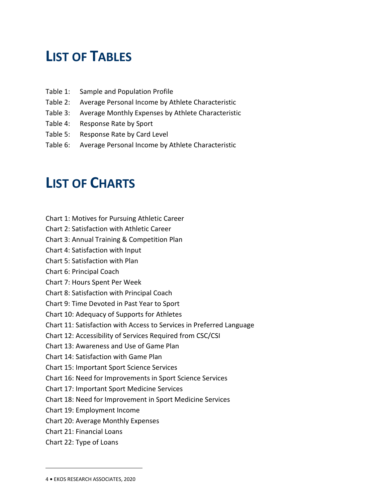# **LIST OF TABLES**

- Table 1: Sample and Population Profile
- Table 2: Average Personal Income by Athlete Characteristic
- Table 3: Average Monthly Expenses by Athlete Characteristic
- Table 4: Response Rate by Sport
- Table 5: Response Rate by Card Level
- Table 6: Average Personal Income by Athlete Characteristic

# **LIST OF CHARTS**

- Chart 1: Motives for Pursuing Athletic Career
- Chart 2: Satisfaction with Athletic Career
- Chart 3: Annual Training & Competition Plan
- Chart 4: Satisfaction with Input
- Chart 5: Satisfaction with Plan
- Chart 6: Principal Coach
- Chart 7: Hours Spent Per Week
- Chart 8: Satisfaction with Principal Coach
- Chart 9: Time Devoted in Past Year to Sport
- Chart 10: Adequacy of Supports for Athletes
- Chart 11: Satisfaction with Access to Services in Preferred Language
- Chart 12: Accessibility of Services Required from CSC/CSI
- Chart 13: Awareness and Use of Game Plan
- Chart 14: Satisfaction with Game Plan
- Chart 15: Important Sport Science Services
- Chart 16: Need for Improvements in Sport Science Services
- Chart 17: Important Sport Medicine Services
- Chart 18: Need for Improvement in Sport Medicine Services
- Chart 19: Employment Income
- Chart 20: Average Monthly Expenses
- Chart 21: Financial Loans
- Chart 22: Type of Loans

<sup>4</sup> **•** EKOS RESEARCH ASSOCIATES, 2020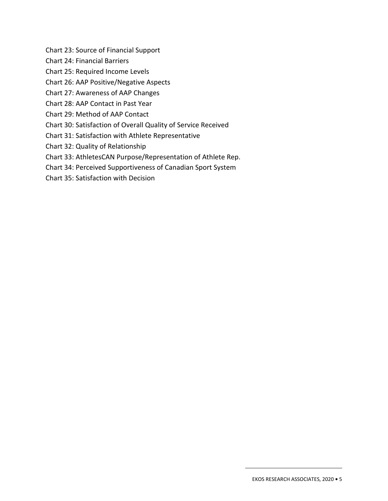Chart 23: Source of Financial Support

Chart 24: Financial Barriers

Chart 25: Required Income Levels

Chart 26: AAP Positive/Negative Aspects

Chart 27: Awareness of AAP Changes

Chart 28: AAP Contact in Past Year

Chart 29: Method of AAP Contact

Chart 30: Satisfaction of Overall Quality of Service Received

Chart 31: Satisfaction with Athlete Representative

Chart 32: Quality of Relationship

Chart 33: AthletesCAN Purpose/Representation of Athlete Rep.

Chart 34: Perceived Supportiveness of Canadian Sport System

Chart 35: Satisfaction with Decision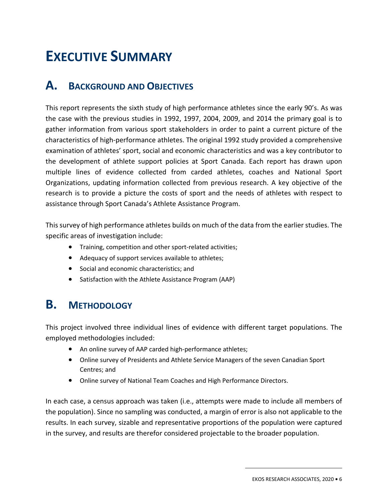# **EXECUTIVE SUMMARY**

# **A. BACKGROUND AND OBJECTIVES**

This report represents the sixth study of high performance athletes since the early 90's. As was the case with the previous studies in 1992, 1997, 2004, 2009, and 2014 the primary goal is to gather information from various sport stakeholders in order to paint a current picture of the characteristics of high-performance athletes. The original 1992 study provided a comprehensive examination of athletes' sport, social and economic characteristics and was a key contributor to the development of athlete support policies at Sport Canada. Each report has drawn upon multiple lines of evidence collected from carded athletes, coaches and National Sport Organizations, updating information collected from previous research. A key objective of the research is to provide a picture the costs of sport and the needs of athletes with respect to assistance through Sport Canada's Athlete Assistance Program.

This survey of high performance athletes builds on much of the data from the earlier studies. The specific areas of investigation include:

- Training, competition and other sport-related activities;
- Adequacy of support services available to athletes;
- Social and economic characteristics; and
- Satisfaction with the Athlete Assistance Program (AAP)

# **B. METHODOLOGY**

This project involved three individual lines of evidence with different target populations. The employed methodologies included:

- An online survey of AAP carded high-performance athletes;
- Online survey of Presidents and Athlete Service Managers of the seven Canadian Sport Centres; and
- Online survey of National Team Coaches and High Performance Directors.

In each case, a census approach was taken (i.e., attempts were made to include all members of the population). Since no sampling was conducted, a margin of error is also not applicable to the results. In each survey, sizable and representative proportions of the population were captured in the survey, and results are therefor considered projectable to the broader population.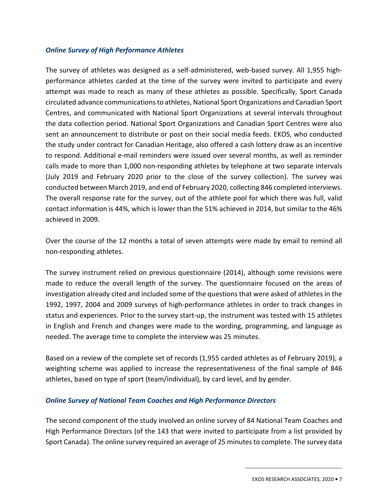#### *Online Survey of High Performance Athletes*

The survey of athletes was designed as a self-administered, web-based survey. All 1,955 highperformance athletes carded at the time of the survey were invited to participate and every attempt was made to reach as many of these athletes as possible. Specifically, Sport Canada circulated advance communications to athletes, National Sport Organizations and Canadian Sport Centres, and communicated with National Sport Organizations at several intervals throughout the data collection period. National Sport Organizations and Canadian Sport Centres were also sent an announcement to distribute or post on their social media feeds. EKOS, who conducted the study under contract for Canadian Heritage, also offered a cash lottery draw as an incentive to respond. Additional e-mail reminders were issued over several months, as well as reminder calls made to more than 1,000 non-responding athletes by telephone at two separate intervals (July 2019 and February 2020 prior to the close of the survey collection). The survey was conducted between March 2019, and end of February 2020, collecting 846 completed interviews. The overall response rate for the survey, out of the athlete pool for which there was full, valid contact information is 44%, which is lower than the 51% achieved in 2014, but similar to the 46% achieved in 2009.

Over the course of the 12 months a total of seven attempts were made by email to remind all non-responding athletes.

The survey instrument relied on previous questionnaire (2014), although some revisions were made to reduce the overall length of the survey. The questionnaire focused on the areas of investigation already cited and included some of the questions that were asked of athletes in the 1992, 1997, 2004 and 2009 surveys of high-performance athletes in order to track changes in status and experiences. Prior to the survey start-up, the instrument was tested with 15 athletes in English and French and changes were made to the wording, programming, and language as needed. The average time to complete the interview was 25 minutes.

Based on a review of the complete set of records (1,955 carded athletes as of February 2019), a weighting scheme was applied to increase the representativeness of the final sample of 846 athletes, based on type of sport (team/individual), by card level, and by gender.

### *Online Survey of National Team Coaches and High Performance Directors*

The second component of the study involved an online survey of 84 National Team Coaches and High Performance Directors (of the 143 that were invited to participate from a list provided by Sport Canada). The online survey required an average of 25 minutes to complete. The survey data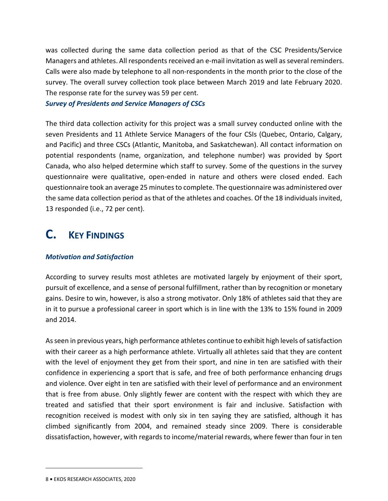was collected during the same data collection period as that of the CSC Presidents/Service Managers and athletes. All respondents received an e-mail invitation as well as several reminders. Calls were also made by telephone to all non-respondents in the month prior to the close of the survey. The overall survey collection took place between March 2019 and late February 2020. The response rate for the survey was 59 per cent.

*Survey of Presidents and Service Managers of CSCs* 

The third data collection activity for this project was a small survey conducted online with the seven Presidents and 11 Athlete Service Managers of the four CSIs (Quebec, Ontario, Calgary, and Pacific) and three CSCs (Atlantic, Manitoba, and Saskatchewan). All contact information on potential respondents (name, organization, and telephone number) was provided by Sport Canada, who also helped determine which staff to survey. Some of the questions in the survey questionnaire were qualitative, open-ended in nature and others were closed ended. Each questionnaire took an average 25 minutes to complete. The questionnaire was administered over the same data collection period as that of the athletes and coaches. Of the 18 individuals invited, 13 responded (i.e., 72 per cent).

# **C. KEY FINDINGS**

#### *Motivation and Satisfaction*

According to survey results most athletes are motivated largely by enjoyment of their sport, pursuit of excellence, and a sense of personal fulfillment, rather than by recognition or monetary gains. Desire to win, however, is also a strong motivator. Only 18% of athletes said that they are in it to pursue a professional career in sport which is in line with the 13% to 15% found in 2009 and 2014.

As seen in previous years, high performance athletes continue to exhibit high levels of satisfaction with their career as a high performance athlete. Virtually all athletes said that they are content with the level of enjoyment they get from their sport, and nine in ten are satisfied with their confidence in experiencing a sport that is safe, and free of both performance enhancing drugs and violence. Over eight in ten are satisfied with their level of performance and an environment that is free from abuse. Only slightly fewer are content with the respect with which they are treated and satisfied that their sport environment is fair and inclusive. Satisfaction with recognition received is modest with only six in ten saying they are satisfied, although it has climbed significantly from 2004, and remained steady since 2009. There is considerable dissatisfaction, however, with regards to income/material rewards, where fewer than four in ten

<sup>8</sup> **•** EKOS RESEARCH ASSOCIATES, 2020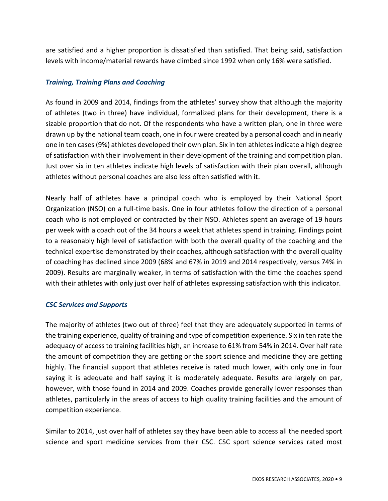are satisfied and a higher proportion is dissatisfied than satisfied. That being said, satisfaction levels with income/material rewards have climbed since 1992 when only 16% were satisfied.

#### *Training, Training Plans and Coaching*

As found in 2009 and 2014, findings from the athletes' survey show that although the majority of athletes (two in three) have individual, formalized plans for their development, there is a sizable proportion that do not. Of the respondents who have a written plan, one in three were drawn up by the national team coach, one in four were created by a personal coach and in nearly one in ten cases (9%) athletes developed their own plan. Six in ten athletes indicate a high degree of satisfaction with their involvement in their development of the training and competition plan. Just over six in ten athletes indicate high levels of satisfaction with their plan overall, although athletes without personal coaches are also less often satisfied with it.

Nearly half of athletes have a principal coach who is employed by their National Sport Organization (NSO) on a full-time basis. One in four athletes follow the direction of a personal coach who is not employed or contracted by their NSO. Athletes spent an average of 19 hours per week with a coach out of the 34 hours a week that athletes spend in training. Findings point to a reasonably high level of satisfaction with both the overall quality of the coaching and the technical expertise demonstrated by their coaches, although satisfaction with the overall quality of coaching has declined since 2009 (68% and 67% in 2019 and 2014 respectively, versus 74% in 2009). Results are marginally weaker, in terms of satisfaction with the time the coaches spend with their athletes with only just over half of athletes expressing satisfaction with this indicator.

#### *CSC Services and Supports*

The majority of athletes (two out of three) feel that they are adequately supported in terms of the training experience, quality of training and type of competition experience. Six in ten rate the adequacy of access to training facilities high, an increase to 61% from 54% in 2014. Over half rate the amount of competition they are getting or the sport science and medicine they are getting highly. The financial support that athletes receive is rated much lower, with only one in four saying it is adequate and half saying it is moderately adequate. Results are largely on par, however, with those found in 2014 and 2009. Coaches provide generally lower responses than athletes, particularly in the areas of access to high quality training facilities and the amount of competition experience.

Similar to 2014, just over half of athletes say they have been able to access all the needed sport science and sport medicine services from their CSC. CSC sport science services rated most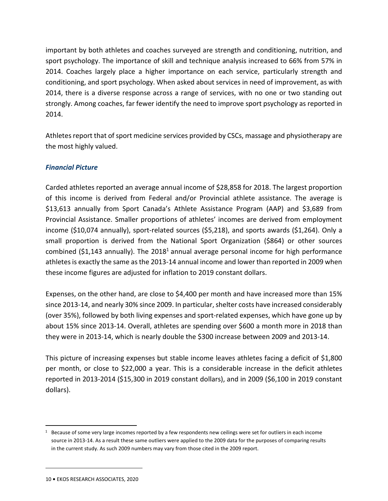important by both athletes and coaches surveyed are strength and conditioning, nutrition, and sport psychology. The importance of skill and technique analysis increased to 66% from 57% in 2014. Coaches largely place a higher importance on each service, particularly strength and conditioning, and sport psychology. When asked about services in need of improvement, as with 2014, there is a diverse response across a range of services, with no one or two standing out strongly. Among coaches, far fewer identify the need to improve sport psychology as reported in 2014.

Athletes report that of sport medicine services provided by CSCs, massage and physiotherapy are the most highly valued.

### *Financial Picture*

Carded athletes reported an average annual income of \$28,858 for 2018. The largest proportion of this income is derived from Federal and/or Provincial athlete assistance. The average is \$13,613 annually from Sport Canada's Athlete Assistance Program (AAP) and \$3,689 from Provincial Assistance. Smaller proportions of athletes' incomes are derived from employment income (\$10,074 annually), sport-related sources (\$5,218), and sports awards (\$1,264). Only a small proportion is derived from the National Sport Organization (\$864) or other sources combined (\$1,143 annually). The 2018<sup>1</sup> annual average personal income for high performance athletes is exactly the same as the 2013-14 annual income and lower than reported in 2009 when these income figures are adjusted for inflation to 2019 constant dollars.

Expenses, on the other hand, are close to \$4,400 per month and have increased more than 15% since 2013-14, and nearly 30% since 2009. In particular, shelter costs have increased considerably (over 35%), followed by both living expenses and sport-related expenses, which have gone up by about 15% since 2013-14. Overall, athletes are spending over \$600 a month more in 2018 than they were in 2013-14, which is nearly double the \$300 increase between 2009 and 2013-14.

This picture of increasing expenses but stable income leaves athletes facing a deficit of \$1,800 per month, or close to \$22,000 a year. This is a considerable increase in the deficit athletes reported in 2013-2014 (\$15,300 in 2019 constant dollars), and in 2009 (\$6,100 in 2019 constant dollars).

<sup>&</sup>lt;sup>1</sup> Because of some very large incomes reported by a few respondents new ceilings were set for outliers in each income source in 2013-14. As a result these same outliers were applied to the 2009 data for the purposes of comparing results in the current study. As such 2009 numbers may vary from those cited in the 2009 report.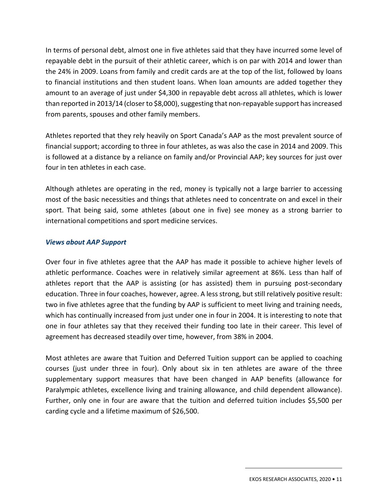In terms of personal debt, almost one in five athletes said that they have incurred some level of repayable debt in the pursuit of their athletic career, which is on par with 2014 and lower than the 24% in 2009. Loans from family and credit cards are at the top of the list, followed by loans to financial institutions and then student loans. When loan amounts are added together they amount to an average of just under \$4,300 in repayable debt across all athletes, which is lower than reported in 2013/14 (closer to \$8,000), suggesting that non-repayable support has increased from parents, spouses and other family members.

Athletes reported that they rely heavily on Sport Canada's AAP as the most prevalent source of financial support; according to three in four athletes, as was also the case in 2014 and 2009. This is followed at a distance by a reliance on family and/or Provincial AAP; key sources for just over four in ten athletes in each case.

Although athletes are operating in the red, money is typically not a large barrier to accessing most of the basic necessities and things that athletes need to concentrate on and excel in their sport. That being said, some athletes (about one in five) see money as a strong barrier to international competitions and sport medicine services.

#### *Views about AAP Support*

Over four in five athletes agree that the AAP has made it possible to achieve higher levels of athletic performance. Coaches were in relatively similar agreement at 86%. Less than half of athletes report that the AAP is assisting (or has assisted) them in pursuing post-secondary education. Three in four coaches, however, agree. A less strong, but still relatively positive result: two in five athletes agree that the funding by AAP is sufficient to meet living and training needs, which has continually increased from just under one in four in 2004. It is interesting to note that one in four athletes say that they received their funding too late in their career. This level of agreement has decreased steadily over time, however, from 38% in 2004.

Most athletes are aware that Tuition and Deferred Tuition support can be applied to coaching courses (just under three in four). Only about six in ten athletes are aware of the three supplementary support measures that have been changed in AAP benefits (allowance for Paralympic athletes, excellence living and training allowance, and child dependent allowance). Further, only one in four are aware that the tuition and deferred tuition includes \$5,500 per carding cycle and a lifetime maximum of \$26,500.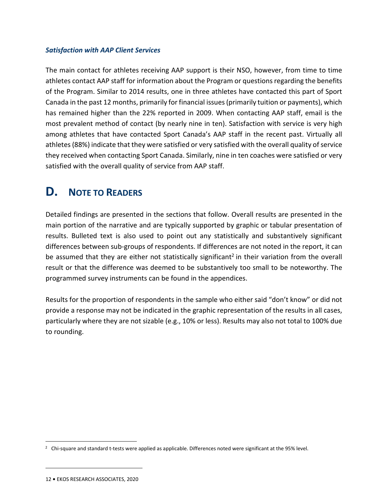#### *Satisfaction with AAP Client Services*

The main contact for athletes receiving AAP support is their NSO, however, from time to time athletes contact AAP staff for information about the Program or questions regarding the benefits of the Program. Similar to 2014 results, one in three athletes have contacted this part of Sport Canada in the past 12 months, primarily for financial issues (primarily tuition or payments), which has remained higher than the 22% reported in 2009. When contacting AAP staff, email is the most prevalent method of contact (by nearly nine in ten). Satisfaction with service is very high among athletes that have contacted Sport Canada's AAP staff in the recent past. Virtually all athletes (88%) indicate that they were satisfied or very satisfied with the overall quality of service they received when contacting Sport Canada. Similarly, nine in ten coaches were satisfied or very satisfied with the overall quality of service from AAP staff.

# **D. NOTE TO READERS**

Detailed findings are presented in the sections that follow. Overall results are presented in the main portion of the narrative and are typically supported by graphic or tabular presentation of results. Bulleted text is also used to point out any statistically and substantively significant differences between sub-groups of respondents. If differences are not noted in the report, it can be assumed that they are either not statistically significant<sup>2</sup> in their variation from the overall result or that the difference was deemed to be substantively too small to be noteworthy. The programmed survey instruments can be found in the appendices.

Results for the proportion of respondents in the sample who either said "don't know" or did not provide a response may not be indicated in the graphic representation of the results in all cases, particularly where they are not sizable (e.g., 10% or less). Results may also not total to 100% due to rounding.

<sup>&</sup>lt;sup>2</sup> Chi-square and standard t-tests were applied as applicable. Differences noted were significant at the 95% level.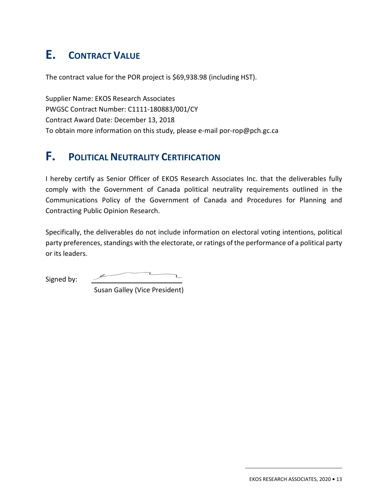# **E. CONTRACT VALUE**

The contract value for the POR project is \$69,938.98 (including HST).

Supplier Name: EKOS Research Associates PWGSC Contract Number: C1111-180883/001/CY Contract Award Date: December 13, 2018 To obtain more information on this study, please e-mail por-rop@pch.gc.ca

# **F. POLITICAL NEUTRALITY CERTIFICATION**

I hereby certify as Senior Officer of EKOS Research Associates Inc. that the deliverables fully comply with the Government of Canada political neutrality requirements outlined in the Communications Policy of the Government of Canada and Procedures for Planning and Contracting Public Opinion Research.

Specifically, the deliverables do not include information on electoral voting intentions, political party preferences, standings with the electorate, or ratings of the performance of a political party or its leaders.

Signed by:

Susan Galley (Vice President)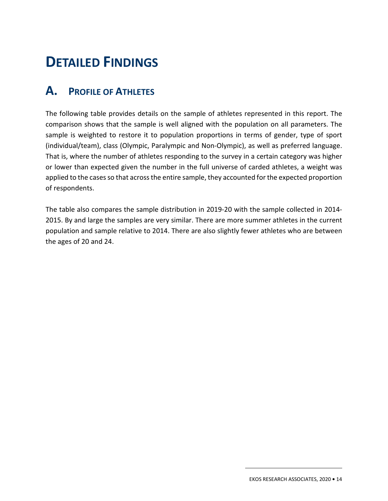# 2. **DETAILED FINDINGS**

# **A. PROFILE OF ATHLETES**

The following table provides details on the sample of athletes represented in this report. The comparison shows that the sample is well aligned with the population on all parameters. The sample is weighted to restore it to population proportions in terms of gender, type of sport (individual/team), class (Olympic, Paralympic and Non-Olympic), as well as preferred language. That is, where the number of athletes responding to the survey in a certain category was higher or lower than expected given the number in the full universe of carded athletes, a weight was applied to the cases so that across the entire sample, they accounted for the expected proportion of respondents.

The table also compares the sample distribution in 2019-20 with the sample collected in 2014- 2015. By and large the samples are very similar. There are more summer athletes in the current population and sample relative to 2014. There are also slightly fewer athletes who are between the ages of 20 and 24.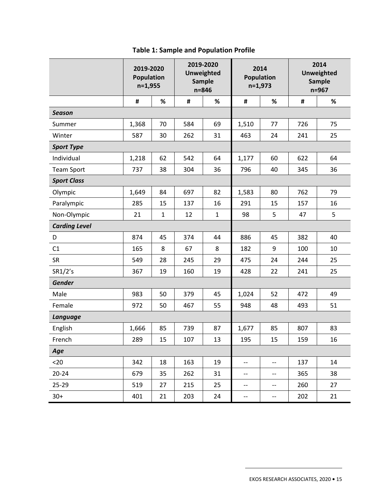|                      | 2019-2020<br>Population<br>$n=1,955$ |              |     | 2019-2020<br><b>Unweighted</b><br><b>Sample</b><br>$n = 846$ | 2014<br><b>Population</b><br>$n=1,973$ |                                       | 2014<br><b>Unweighted</b><br><b>Sample</b><br>$n = 967$ |    |
|----------------------|--------------------------------------|--------------|-----|--------------------------------------------------------------|----------------------------------------|---------------------------------------|---------------------------------------------------------|----|
|                      | #                                    | %            | #   | %                                                            | #                                      | $\%$                                  | #                                                       | %  |
| <b>Season</b>        |                                      |              |     |                                                              |                                        |                                       |                                                         |    |
| Summer               | 1,368                                | 70           | 584 | 69                                                           | 1,510                                  | 77                                    | 726                                                     | 75 |
| Winter               | 587                                  | 30           | 262 | 31                                                           | 463                                    | 24                                    | 241                                                     | 25 |
| <b>Sport Type</b>    |                                      |              |     |                                                              |                                        |                                       |                                                         |    |
| Individual           | 1,218                                | 62           | 542 | 64                                                           | 1,177                                  | 60                                    | 622                                                     | 64 |
| <b>Team Sport</b>    | 737                                  | 38           | 304 | 36                                                           | 796                                    | 40                                    | 345                                                     | 36 |
| <b>Sport Class</b>   |                                      |              |     |                                                              |                                        |                                       |                                                         |    |
| Olympic              | 1,649                                | 84           | 697 | 82                                                           | 1,583                                  | 80                                    | 762                                                     | 79 |
| Paralympic           | 285                                  | 15           | 137 | 16                                                           | 291                                    | 15                                    | 157                                                     | 16 |
| Non-Olympic          | 21                                   | $\mathbf{1}$ | 12  | $\mathbf 1$                                                  | 98                                     | 5                                     | 47                                                      | 5  |
| <b>Carding Level</b> |                                      |              |     |                                                              |                                        |                                       |                                                         |    |
| D                    | 874                                  | 45           | 374 | 44                                                           | 886                                    | 45                                    | 382                                                     | 40 |
| C1                   | 165                                  | 8            | 67  | 8                                                            | 182                                    | 9                                     | 100                                                     | 10 |
| <b>SR</b>            | 549                                  | 28           | 245 | 29                                                           | 475                                    | 24                                    | 244                                                     | 25 |
| SR1/2's              | 367                                  | 19           | 160 | 19                                                           | 428                                    | 22                                    | 241                                                     | 25 |
| Gender               |                                      |              |     |                                                              |                                        |                                       |                                                         |    |
| Male                 | 983                                  | 50           | 379 | 45                                                           | 1,024                                  | 52                                    | 472                                                     | 49 |
| Female               | 972                                  | 50           | 467 | 55                                                           | 948                                    | 48                                    | 493                                                     | 51 |
| <b>Language</b>      |                                      |              |     |                                                              |                                        |                                       |                                                         |    |
| English              | 1,666                                | 85           | 739 | 87                                                           | 1,677                                  | 85                                    | 807                                                     | 83 |
| French               | 289                                  | 15           | 107 | 13                                                           | 195                                    | 15                                    | 159                                                     | 16 |
| Age                  |                                      |              |     |                                                              |                                        |                                       |                                                         |    |
| $20$                 | 342                                  | 18           | 163 | 19                                                           | $-$                                    | $- -$                                 | 137                                                     | 14 |
| $20 - 24$            | 679                                  | 35           | 262 | 31                                                           | $- -$                                  | $- -$                                 | 365                                                     | 38 |
| 25-29                | 519                                  | 27           | 215 | 25                                                           | $\overline{\phantom{m}}$               | $\hspace{0.05cm}$ – $\hspace{0.05cm}$ | 260                                                     | 27 |
| $30+$                | 401                                  | 21           | 203 | 24                                                           | $-$                                    | $-\!$ –                               | 202                                                     | 21 |

## **Table 1: Sample and Population Profile**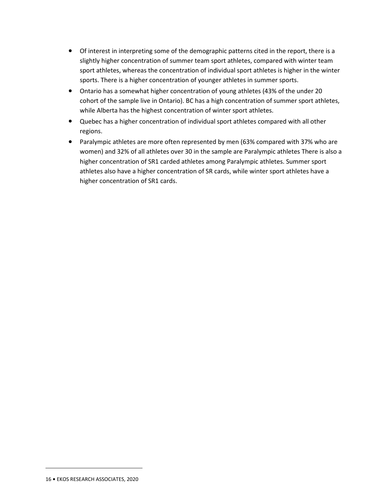- Of interest in interpreting some of the demographic patterns cited in the report, there is a slightly higher concentration of summer team sport athletes, compared with winter team sport athletes, whereas the concentration of individual sport athletes is higher in the winter sports. There is a higher concentration of younger athletes in summer sports.
- Ontario has a somewhat higher concentration of young athletes (43% of the under 20 cohort of the sample live in Ontario). BC has a high concentration of summer sport athletes, while Alberta has the highest concentration of winter sport athletes.
- Quebec has a higher concentration of individual sport athletes compared with all other regions.
- Paralympic athletes are more often represented by men (63% compared with 37% who are women) and 32% of all athletes over 30 in the sample are Paralympic athletes There is also a higher concentration of SR1 carded athletes among Paralympic athletes. Summer sport athletes also have a higher concentration of SR cards, while winter sport athletes have a higher concentration of SR1 cards.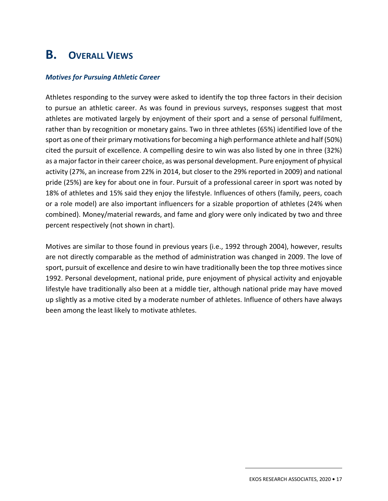# **B. OVERALL VIEWS**

#### *Motives for Pursuing Athletic Career*

Athletes responding to the survey were asked to identify the top three factors in their decision to pursue an athletic career. As was found in previous surveys, responses suggest that most athletes are motivated largely by enjoyment of their sport and a sense of personal fulfilment, rather than by recognition or monetary gains. Two in three athletes (65%) identified love of the sport as one of their primary motivations for becoming a high performance athlete and half (50%) cited the pursuit of excellence. A compelling desire to win was also listed by one in three (32%) as a major factor in their career choice, as was personal development. Pure enjoyment of physical activity (27%, an increase from 22% in 2014, but closer to the 29% reported in 2009) and national pride (25%) are key for about one in four. Pursuit of a professional career in sport was noted by 18% of athletes and 15% said they enjoy the lifestyle. Influences of others (family, peers, coach or a role model) are also important influencers for a sizable proportion of athletes (24% when combined). Money/material rewards, and fame and glory were only indicated by two and three percent respectively (not shown in chart).

Motives are similar to those found in previous years (i.e., 1992 through 2004), however, results are not directly comparable as the method of administration was changed in 2009. The love of sport, pursuit of excellence and desire to win have traditionally been the top three motives since 1992. Personal development, national pride, pure enjoyment of physical activity and enjoyable lifestyle have traditionally also been at a middle tier, although national pride may have moved up slightly as a motive cited by a moderate number of athletes. Influence of others have always been among the least likely to motivate athletes.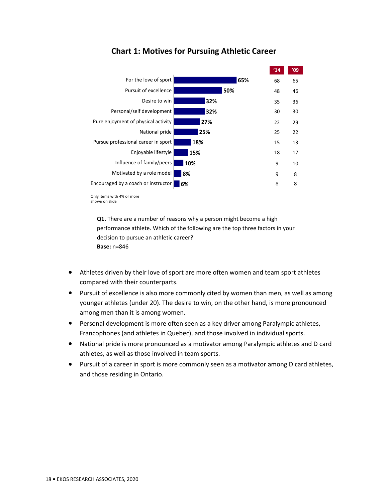

## **Chart 1: Motives for Pursuing Athletic Career**

**Q1.** There are a number of reasons why a person might become a high performance athlete. Which of the following are the top three factors in your decision to pursue an athletic career? **Base:** n=846

- Athletes driven by their love of sport are more often women and team sport athletes compared with their counterparts.
- Pursuit of excellence is also more commonly cited by women than men, as well as among younger athletes (under 20). The desire to win, on the other hand, is more pronounced among men than it is among women.
- Personal development is more often seen as a key driver among Paralympic athletes, Francophones (and athletes in Quebec), and those involved in individual sports.
- National pride is more pronounced as a motivator among Paralympic athletes and D card athletes, as well as those involved in team sports.
- Pursuit of a career in sport is more commonly seen as a motivator among D card athletes, and those residing in Ontario.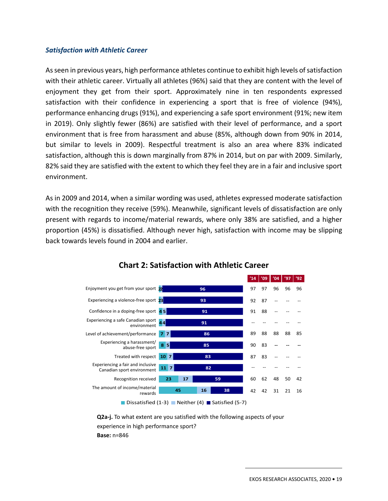#### *Satisfaction with Athletic Career*

As seen in previous years, high performance athletes continue to exhibit high levels of satisfaction with their athletic career. Virtually all athletes (96%) said that they are content with the level of enjoyment they get from their sport. Approximately nine in ten respondents expressed satisfaction with their confidence in experiencing a sport that is free of violence (94%), performance enhancing drugs (91%), and experiencing a safe sport environment (91%; new item in 2019). Only slightly fewer (86%) are satisfied with their level of performance, and a sport environment that is free from harassment and abuse (85%, although down from 90% in 2014, but similar to levels in 2009). Respectful treatment is also an area where 83% indicated satisfaction, although this is down marginally from 87% in 2014, but on par with 2009. Similarly, 82% said they are satisfied with the extent to which they feel they are in a fair and inclusive sport environment.

As in 2009 and 2014, when a similar wording was used, athletes expressed moderate satisfaction with the recognition they receive (59%). Meanwhile, significant levels of dissatisfaction are only present with regards to income/material rewards, where only 38% are satisfied, and a higher proportion (45%) is dissatisfied. Although never high, satisfaction with income may be slipping back towards levels found in 2004 and earlier.



## **Chart 2: Satisfaction with Athletic Career**

Dissatisfied  $(1-3)$  Neither  $(4)$  Satisfied  $(5-7)$ 

**Q2a-j.** To what extent are you satisfied with the following aspects of your experience in high performance sport? **Base:** n=846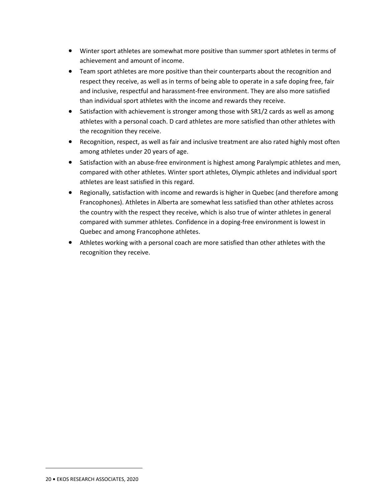- Winter sport athletes are somewhat more positive than summer sport athletes in terms of achievement and amount of income.
- Team sport athletes are more positive than their counterparts about the recognition and respect they receive, as well as in terms of being able to operate in a safe doping free, fair and inclusive, respectful and harassment-free environment. They are also more satisfied than individual sport athletes with the income and rewards they receive.
- Satisfaction with achievement is stronger among those with SR1/2 cards as well as among athletes with a personal coach. D card athletes are more satisfied than other athletes with the recognition they receive.
- Recognition, respect, as well as fair and inclusive treatment are also rated highly most often among athletes under 20 years of age.
- Satisfaction with an abuse-free environment is highest among Paralympic athletes and men, compared with other athletes. Winter sport athletes, Olympic athletes and individual sport athletes are least satisfied in this regard.
- Regionally, satisfaction with income and rewards is higher in Quebec (and therefore among Francophones). Athletes in Alberta are somewhat less satisfied than other athletes across the country with the respect they receive, which is also true of winter athletes in general compared with summer athletes. Confidence in a doping-free environment is lowest in Quebec and among Francophone athletes.
- Athletes working with a personal coach are more satisfied than other athletes with the recognition they receive.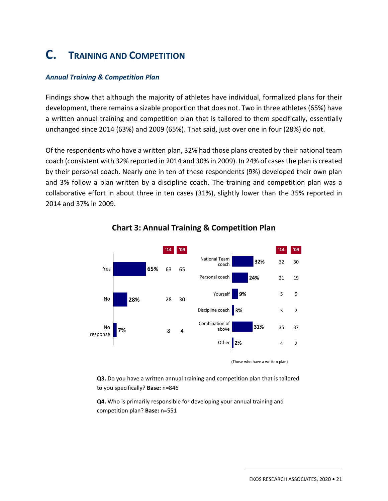# **C. TRAINING AND COMPETITION**

#### *Annual Training & Competition Plan*

Findings show that although the majority of athletes have individual, formalized plans for their development, there remains a sizable proportion that does not. Two in three athletes (65%) have a written annual training and competition plan that is tailored to them specifically, essentially unchanged since 2014 (63%) and 2009 (65%). That said, just over one in four (28%) do not.

Of the respondents who have a written plan, 32% had those plans created by their national team coach (consistent with 32% reported in 2014 and 30% in 2009). In 24% of cases the plan is created by their personal coach. Nearly one in ten of these respondents (9%) developed their own plan and 3% follow a plan written by a discipline coach. The training and competition plan was a collaborative effort in about three in ten cases (31%), slightly lower than the 35% reported in 2014 and 37% in 2009.



### **Chart 3: Annual Training & Competition Plan**

**Q3.** Do you have a written annual training and competition plan that is tailored to you specifically? **Base:** n=846

**Q4.** Who is primarily responsible for developing your annual training and competition plan? **Base:** n=551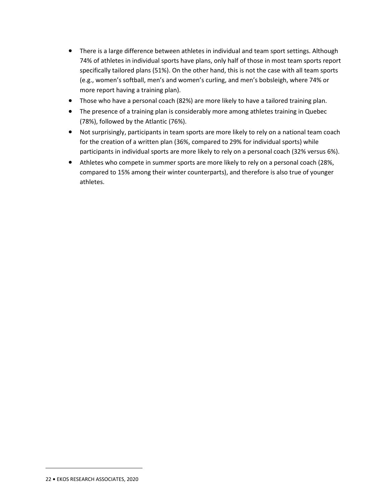- There is a large difference between athletes in individual and team sport settings. Although 74% of athletes in individual sports have plans, only half of those in most team sports report specifically tailored plans (51%). On the other hand, this is not the case with all team sports (e.g., women's softball, men's and women's curling, and men's bobsleigh, where 74% or more report having a training plan).
- Those who have a personal coach (82%) are more likely to have a tailored training plan.
- The presence of a training plan is considerably more among athletes training in Quebec (78%), followed by the Atlantic (76%).
- Not surprisingly, participants in team sports are more likely to rely on a national team coach for the creation of a written plan (36%, compared to 29% for individual sports) while participants in individual sports are more likely to rely on a personal coach (32% versus 6%).
- Athletes who compete in summer sports are more likely to rely on a personal coach (28%, compared to 15% among their winter counterparts), and therefore is also true of younger athletes.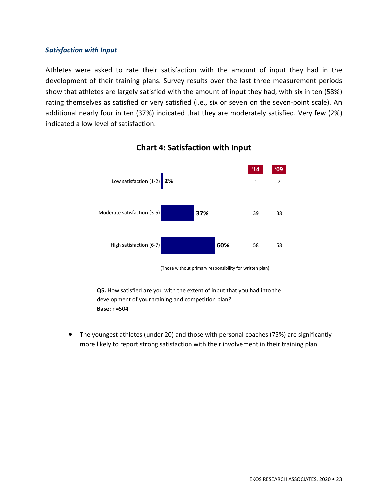#### *Satisfaction with Input*

Athletes were asked to rate their satisfaction with the amount of input they had in the development of their training plans. Survey results over the last three measurement periods show that athletes are largely satisfied with the amount of input they had, with six in ten (58%) rating themselves as satisfied or very satisfied (i.e., six or seven on the seven-point scale). An additional nearly four in ten (37%) indicated that they are moderately satisfied. Very few (2%) indicated a low level of satisfaction.



### **Chart 4: Satisfaction with Input**

(Those without primary responsibility for written plan)

**Q5.** How satisfied are you with the extent of input that you had into the development of your training and competition plan? **Base:** n=504

• The youngest athletes (under 20) and those with personal coaches (75%) are significantly more likely to report strong satisfaction with their involvement in their training plan.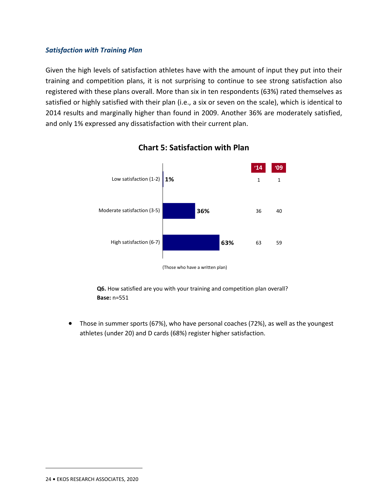#### *Satisfaction with Training Plan*

Given the high levels of satisfaction athletes have with the amount of input they put into their training and competition plans, it is not surprising to continue to see strong satisfaction also registered with these plans overall. More than six in ten respondents (63%) rated themselves as satisfied or highly satisfied with their plan (i.e., a six or seven on the scale), which is identical to 2014 results and marginally higher than found in 2009. Another 36% are moderately satisfied, and only 1% expressed any dissatisfaction with their current plan.



### **Chart 5: Satisfaction with Plan**

(Those who have a written plan)

**Q6.** How satisfied are you with your training and competition plan overall? **Base:** n=551

• Those in summer sports (67%), who have personal coaches (72%), as well as the youngest athletes (under 20) and D cards (68%) register higher satisfaction.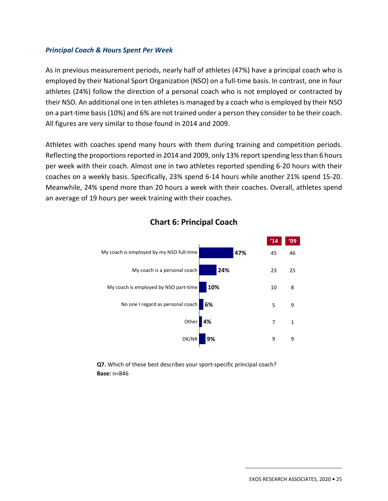#### *Principal Coach & Hours Spent Per Week*

As in previous measurement periods, nearly half of athletes (47%) have a principal coach who is employed by their National Sport Organization (NSO) on a full-time basis. In contrast, one in four athletes (24%) follow the direction of a personal coach who is not employed or contracted by their NSO. An additional one in ten athletes is managed by a coach who is employed by their NSO on a part-time basis (10%) and 6% are not trained under a person they consider to be their coach. All figures are very similar to those found in 2014 and 2009.

Athletes with coaches spend many hours with them during training and competition periods. Reflecting the proportions reported in 2014 and 2009, only 13% report spending less than 6 hours per week with their coach. Almost one in two athletes reported spending 6-20 hours with their coaches on a weekly basis. Specifically, 23% spend 6-14 hours while another 21% spend 15-20. Meanwhile, 24% spend more than 20 hours a week with their coaches. Overall, athletes spend an average of 19 hours per week training with their coaches.



### **Chart 6: Principal Coach**

**Q7.** Which of these best describes your sport-specific principal coach? **Base:** n=846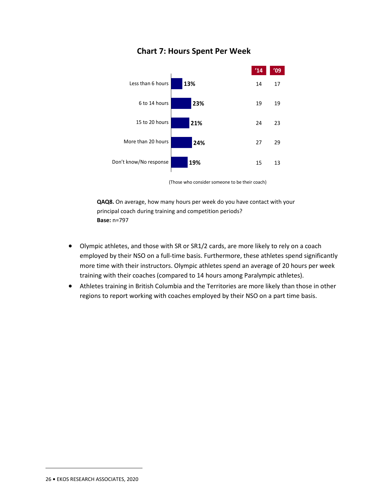

## **Chart 7: Hours Spent Per Week**

(Those who consider someone to be their coach)

**QAQ8.** On average, how many hours per week do you have contact with your principal coach during training and competition periods? **Base:** n=797

- Olympic athletes, and those with SR or SR1/2 cards, are more likely to rely on a coach employed by their NSO on a full-time basis. Furthermore, these athletes spend significantly more time with their instructors. Olympic athletes spend an average of 20 hours per week training with their coaches (compared to 14 hours among Paralympic athletes).
- Athletes training in British Columbia and the Territories are more likely than those in other regions to report working with coaches employed by their NSO on a part time basis.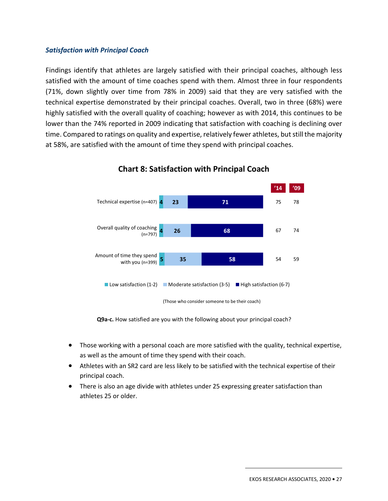#### *Satisfaction with Principal Coach*

Findings identify that athletes are largely satisfied with their principal coaches, although less satisfied with the amount of time coaches spend with them. Almost three in four respondents (71%, down slightly over time from 78% in 2009) said that they are very satisfied with the technical expertise demonstrated by their principal coaches. Overall, two in three (68%) were highly satisfied with the overall quality of coaching; however as with 2014, this continues to be lower than the 74% reported in 2009 indicating that satisfaction with coaching is declining over time. Compared to ratings on quality and expertise, relatively fewer athletes, but still the majority at 58%, are satisfied with the amount of time they spend with principal coaches.



**Chart 8: Satisfaction with Principal Coach** 

**Q9a-c.** How satisfied are you with the following about your principal coach?

- Those working with a personal coach are more satisfied with the quality, technical expertise, as well as the amount of time they spend with their coach.
- Athletes with an SR2 card are less likely to be satisfied with the technical expertise of their principal coach.
- There is also an age divide with athletes under 25 expressing greater satisfaction than athletes 25 or older.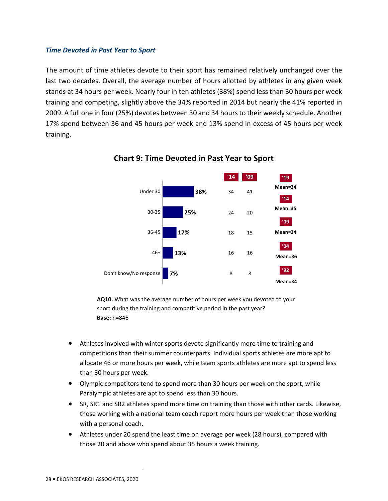#### *Time Devoted in Past Year to Sport*

The amount of time athletes devote to their sport has remained relatively unchanged over the last two decades. Overall, the average number of hours allotted by athletes in any given week stands at 34 hours per week. Nearly four in ten athletes (38%) spend less than 30 hours per week training and competing, slightly above the 34% reported in 2014 but nearly the 41% reported in 2009. A full one in four (25%) devotes between 30 and 34 hours to their weekly schedule. Another 17% spend between 36 and 45 hours per week and 13% spend in excess of 45 hours per week training.



**Chart 9: Time Devoted in Past Year to Sport** 

**AQ10.** What was the average number of hours per week you devoted to your sport during the training and competitive period in the past year? **Base:** n=846

- Athletes involved with winter sports devote significantly more time to training and competitions than their summer counterparts. Individual sports athletes are more apt to allocate 46 or more hours per week, while team sports athletes are more apt to spend less than 30 hours per week.
- Olympic competitors tend to spend more than 30 hours per week on the sport, while Paralympic athletes are apt to spend less than 30 hours.
- SR, SR1 and SR2 athletes spend more time on training than those with other cards. Likewise, those working with a national team coach report more hours per week than those working with a personal coach.
- Athletes under 20 spend the least time on average per week (28 hours), compared with those 20 and above who spend about 35 hours a week training.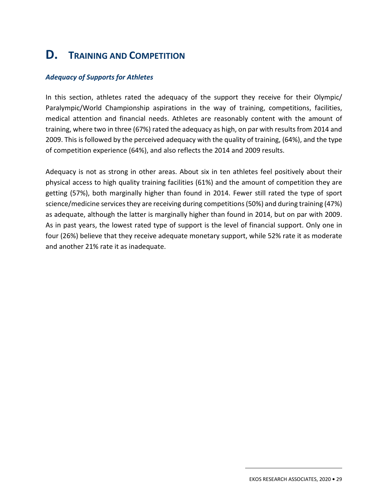# **D. TRAINING AND COMPETITION**

#### *Adequacy of Supports for Athletes*

In this section, athletes rated the adequacy of the support they receive for their Olympic/ Paralympic/World Championship aspirations in the way of training, competitions, facilities, medical attention and financial needs. Athletes are reasonably content with the amount of training, where two in three (67%) rated the adequacy as high, on par with results from 2014 and 2009. This is followed by the perceived adequacy with the quality of training, (64%), and the type of competition experience (64%), and also reflects the 2014 and 2009 results.

Adequacy is not as strong in other areas. About six in ten athletes feel positively about their physical access to high quality training facilities (61%) and the amount of competition they are getting (57%), both marginally higher than found in 2014. Fewer still rated the type of sport science/medicine services they are receiving during competitions (50%) and during training (47%) as adequate, although the latter is marginally higher than found in 2014, but on par with 2009. As in past years, the lowest rated type of support is the level of financial support. Only one in four (26%) believe that they receive adequate monetary support, while 52% rate it as moderate and another 21% rate it as inadequate.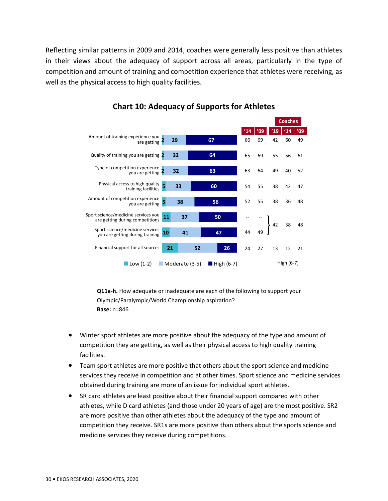Reflecting similar patterns in 2009 and 2014, coaches were generally less positive than athletes in their views about the adequacy of support across all areas, particularly in the type of competition and amount of training and competition experience that athletes were receiving, as well as the physical access to high quality facilities.



### **Chart 10: Adequacy of Supports for Athletes**

**Q11a-h.** How adequate or inadequate are each of the following to support your Olympic/Paralympic/World Championship aspiration? **Base:** n=846

- Winter sport athletes are more positive about the adequacy of the type and amount of competition they are getting, as well as their physical access to high quality training facilities.
- Team sport athletes are more positive that others about the sport science and medicine services they receive in competition and at other times. Sport science and medicine services obtained during training are more of an issue for individual sport athletes.
- SR card athletes are least positive about their financial support compared with other athletes, while D card athletes (and those under 20 years of age) are the most positive. SR2 are more positive than other athletes about the adequacy of the type and amount of competition they receive. SR1s are more positive than others about the sports science and medicine services they receive during competitions.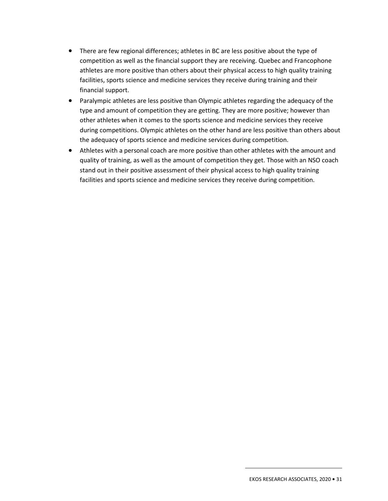- There are few regional differences; athletes in BC are less positive about the type of competition as well as the financial support they are receiving. Quebec and Francophone athletes are more positive than others about their physical access to high quality training facilities, sports science and medicine services they receive during training and their financial support.
- Paralympic athletes are less positive than Olympic athletes regarding the adequacy of the type and amount of competition they are getting. They are more positive; however than other athletes when it comes to the sports science and medicine services they receive during competitions. Olympic athletes on the other hand are less positive than others about the adequacy of sports science and medicine services during competition.
- Athletes with a personal coach are more positive than other athletes with the amount and quality of training, as well as the amount of competition they get. Those with an NSO coach stand out in their positive assessment of their physical access to high quality training facilities and sports science and medicine services they receive during competition.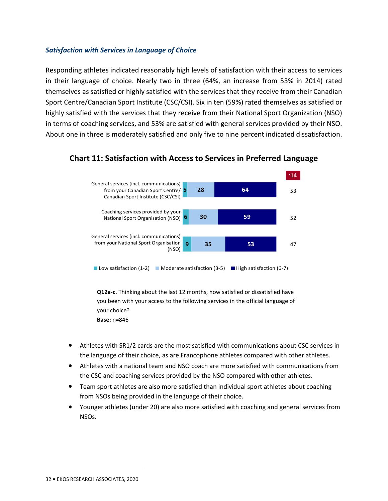#### *Satisfaction with Services in Language of Choice*

Responding athletes indicated reasonably high levels of satisfaction with their access to services in their language of choice. Nearly two in three (64%, an increase from 53% in 2014) rated themselves as satisfied or highly satisfied with the services that they receive from their Canadian Sport Centre/Canadian Sport Institute (CSC/CSI). Six in ten (59%) rated themselves as satisfied or highly satisfied with the services that they receive from their National Sport Organization (NSO) in terms of coaching services, and 53% are satisfied with general services provided by their NSO. About one in three is moderately satisfied and only five to nine percent indicated dissatisfaction.



### **Chart 11: Satisfaction with Access to Services in Preferred Language**

**Q12a-c.** Thinking about the last 12 months, how satisfied or dissatisfied have you been with your access to the following services in the official language of your choice? **Base:** n=846

- Athletes with SR1/2 cards are the most satisfied with communications about CSC services in the language of their choice, as are Francophone athletes compared with other athletes.
- Athletes with a national team and NSO coach are more satisfied with communications from the CSC and coaching services provided by the NSO compared with other athletes.
- Team sport athletes are also more satisfied than individual sport athletes about coaching from NSOs being provided in the language of their choice.
- Younger athletes (under 20) are also more satisfied with coaching and general services from NSOs.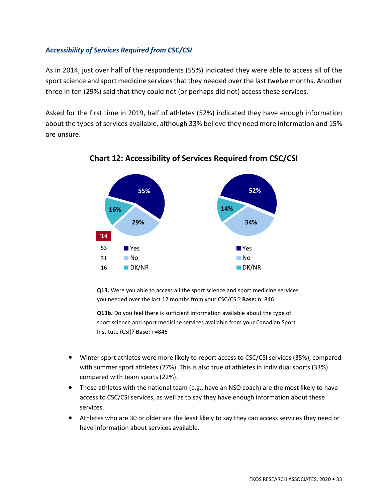### *Accessibility of Services Required from CSC/CSI*

As in 2014, just over half of the respondents (55%) indicated they were able to access all of the sport science and sport medicine services that they needed over the last twelve months. Another three in ten (29%) said that they could not (or perhaps did not) access these services.

Asked for the first time in 2019, half of athletes (52%) indicated they have enough information about the types of services available, although 33% believe they need more information and 15% are unsure.



**Chart 12: Accessibility of Services Required from CSC/CSI** 

**Q13.** Were you able to access all the sport science and sport medicine services you needed over the last 12 months from your CSC/CSI? **Base:** n=846

**Q13b.** Do you feel there is sufficient information available about the type of sport science and sport medicine services available from your Canadian Sport Institute (CSI)? **Base:** n=846

- Winter sport athletes were more likely to report access to CSC/CSI services (35%), compared with summer sport athletes (27%). This is also true of athletes in individual sports (33%) compared with team sports (22%).
- Those athletes with the national team (e.g., have an NSO coach) are the most likely to have access to CSC/CSI services, as well as to say they have enough information about these services.
- Athletes who are 30 or older are the least likely to say they can access services they need or have information about services available.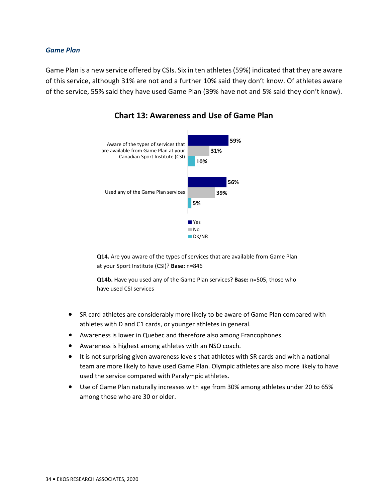#### *Game Plan*

Game Plan is a new service offered by CSIs. Six in ten athletes (59%) indicated that they are aware of this service, although 31% are not and a further 10% said they don't know. Of athletes aware of the service, 55% said they have used Game Plan (39% have not and 5% said they don't know).



### **Chart 13: Awareness and Use of Game Plan**

**Q14.** Are you aware of the types of services that are available from Game Plan at your Sport Institute (CSI)? **Base:** n=846

**Q14b.** Have you used any of the Game Plan services? **Base:** n=505, those who have used CSI services

- SR card athletes are considerably more likely to be aware of Game Plan compared with athletes with D and C1 cards, or younger athletes in general.
- Awareness is lower in Quebec and therefore also among Francophones.
- Awareness is highest among athletes with an NSO coach.
- It is not surprising given awareness levels that athletes with SR cards and with a national team are more likely to have used Game Plan. Olympic athletes are also more likely to have used the service compared with Paralympic athletes.
- Use of Game Plan naturally increases with age from 30% among athletes under 20 to 65% among those who are 30 or older.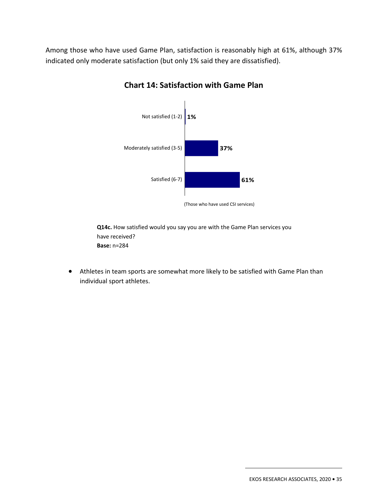Among those who have used Game Plan, satisfaction is reasonably high at 61%, although 37% indicated only moderate satisfaction (but only 1% said they are dissatisfied).



## **Chart 14: Satisfaction with Game Plan**

**Q14c.** How satisfied would you say you are with the Game Plan services you have received? **Base:** n=284

• Athletes in team sports are somewhat more likely to be satisfied with Game Plan than individual sport athletes.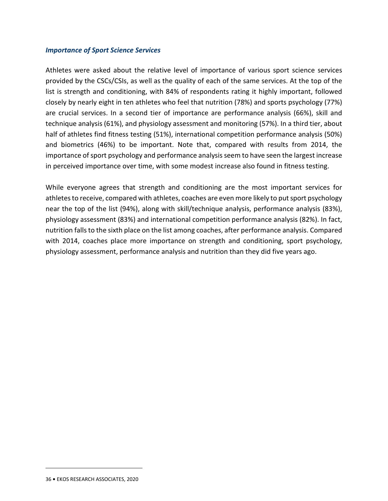#### *Importance of Sport Science Services*

Athletes were asked about the relative level of importance of various sport science services provided by the CSCs/CSIs, as well as the quality of each of the same services. At the top of the list is strength and conditioning, with 84% of respondents rating it highly important, followed closely by nearly eight in ten athletes who feel that nutrition (78%) and sports psychology (77%) are crucial services. In a second tier of importance are performance analysis (66%), skill and technique analysis (61%), and physiology assessment and monitoring (57%). In a third tier, about half of athletes find fitness testing (51%), international competition performance analysis (50%) and biometrics (46%) to be important. Note that, compared with results from 2014, the importance of sport psychology and performance analysis seem to have seen the largest increase in perceived importance over time, with some modest increase also found in fitness testing.

While everyone agrees that strength and conditioning are the most important services for athletes to receive, compared with athletes, coaches are even more likely to put sport psychology near the top of the list (94%), along with skill/technique analysis, performance analysis (83%), physiology assessment (83%) and international competition performance analysis (82%). In fact, nutrition falls to the sixth place on the list among coaches, after performance analysis. Compared with 2014, coaches place more importance on strength and conditioning, sport psychology, physiology assessment, performance analysis and nutrition than they did five years ago.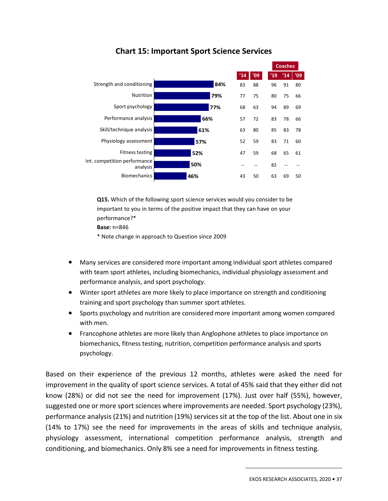

## **Chart 15: Important Sport Science Services**

**Q15.** Which of the following sport science services would you consider to be important to you in terms of the positive impact that they can have on your performance?\*

**Base:** n=846

\* Note change in approach to Question since 2009

- Many services are considered more important among individual sport athletes compared with team sport athletes, including biomechanics, individual physiology assessment and performance analysis, and sport psychology.
- Winter sport athletes are more likely to place importance on strength and conditioning training and sport psychology than summer sport athletes.
- Sports psychology and nutrition are considered more important among women compared with men.
- Francophone athletes are more likely than Anglophone athletes to place importance on biomechanics, fitness testing, nutrition, competition performance analysis and sports psychology.

Based on their experience of the previous 12 months, athletes were asked the need for improvement in the quality of sport science services. A total of 45% said that they either did not know (28%) or did not see the need for improvement (17%). Just over half (55%), however, suggested one or more sport sciences where improvements are needed. Sport psychology (23%), performance analysis (21%) and nutrition (19%) services sit at the top of the list. About one in six (14% to 17%) see the need for improvements in the areas of skills and technique analysis, physiology assessment, international competition performance analysis, strength and conditioning, and biomechanics. Only 8% see a need for improvements in fitness testing.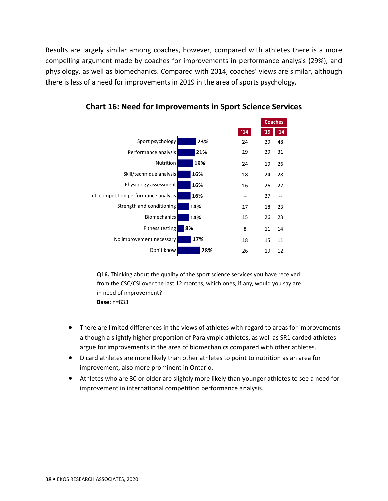Results are largely similar among coaches, however, compared with athletes there is a more compelling argument made by coaches for improvements in performance analysis (29%), and physiology, as well as biomechanics. Compared with 2014, coaches' views are similar, although there is less of a need for improvements in 2019 in the area of sports psychology.



**Chart 16: Need for Improvements in Sport Science Services** 

**Q16.** Thinking about the quality of the sport science services you have received from the CSC/CSI over the last 12 months, which ones, if any, would you say are in need of improvement? **Base:** n=833

- There are limited differences in the views of athletes with regard to areas for improvements although a slightly higher proportion of Paralympic athletes, as well as SR1 carded athletes argue for improvements in the area of biomechanics compared with other athletes.
- D card athletes are more likely than other athletes to point to nutrition as an area for improvement, also more prominent in Ontario.
- Athletes who are 30 or older are slightly more likely than younger athletes to see a need for improvement in international competition performance analysis.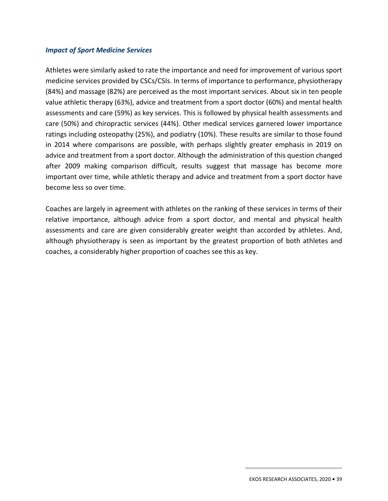#### *Impact of Sport Medicine Services*

Athletes were similarly asked to rate the importance and need for improvement of various sport medicine services provided by CSCs/CSIs. In terms of importance to performance, physiotherapy (84%) and massage (82%) are perceived as the most important services. About six in ten people value athletic therapy (63%), advice and treatment from a sport doctor (60%) and mental health assessments and care (59%) as key services. This is followed by physical health assessments and care (50%) and chiropractic services (44%). Other medical services garnered lower importance ratings including osteopathy (25%), and podiatry (10%). These results are similar to those found in 2014 where comparisons are possible, with perhaps slightly greater emphasis in 2019 on advice and treatment from a sport doctor. Although the administration of this question changed after 2009 making comparison difficult, results suggest that massage has become more important over time, while athletic therapy and advice and treatment from a sport doctor have become less so over time.

Coaches are largely in agreement with athletes on the ranking of these services in terms of their relative importance, although advice from a sport doctor, and mental and physical health assessments and care are given considerably greater weight than accorded by athletes. And, although physiotherapy is seen as important by the greatest proportion of both athletes and coaches, a considerably higher proportion of coaches see this as key.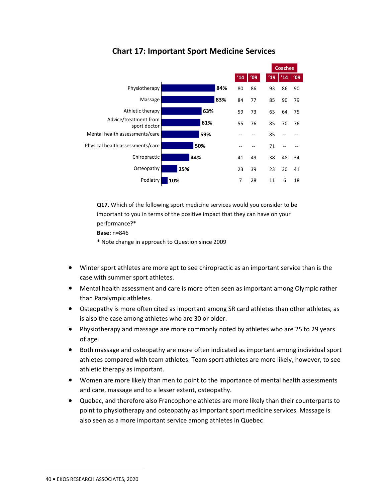

## **Chart 17: Important Sport Medicine Services**

**Q17.** Which of the following sport medicine services would you consider to be important to you in terms of the positive impact that they can have on your performance?\*

**Base:** n=846

\* Note change in approach to Question since 2009

- Winter sport athletes are more apt to see chiropractic as an important service than is the case with summer sport athletes.
- Mental health assessment and care is more often seen as important among Olympic rather than Paralympic athletes.
- Osteopathy is more often cited as important among SR card athletes than other athletes, as is also the case among athletes who are 30 or older.
- Physiotherapy and massage are more commonly noted by athletes who are 25 to 29 years of age.
- Both massage and osteopathy are more often indicated as important among individual sport athletes compared with team athletes. Team sport athletes are more likely, however, to see athletic therapy as important.
- Women are more likely than men to point to the importance of mental health assessments and care, massage and to a lesser extent, osteopathy.
- Quebec, and therefore also Francophone athletes are more likely than their counterparts to point to physiotherapy and osteopathy as important sport medicine services. Massage is also seen as a more important service among athletes in Quebec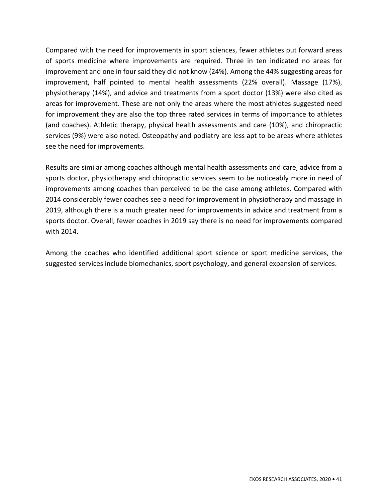Compared with the need for improvements in sport sciences, fewer athletes put forward areas of sports medicine where improvements are required. Three in ten indicated no areas for improvement and one in four said they did not know (24%). Among the 44% suggesting areas for improvement, half pointed to mental health assessments (22% overall). Massage (17%), physiotherapy (14%), and advice and treatments from a sport doctor (13%) were also cited as areas for improvement. These are not only the areas where the most athletes suggested need for improvement they are also the top three rated services in terms of importance to athletes (and coaches). Athletic therapy, physical health assessments and care (10%), and chiropractic services (9%) were also noted. Osteopathy and podiatry are less apt to be areas where athletes see the need for improvements.

Results are similar among coaches although mental health assessments and care, advice from a sports doctor, physiotherapy and chiropractic services seem to be noticeably more in need of improvements among coaches than perceived to be the case among athletes. Compared with 2014 considerably fewer coaches see a need for improvement in physiotherapy and massage in 2019, although there is a much greater need for improvements in advice and treatment from a sports doctor. Overall, fewer coaches in 2019 say there is no need for improvements compared with 2014.

Among the coaches who identified additional sport science or sport medicine services, the suggested services include biomechanics, sport psychology, and general expansion of services.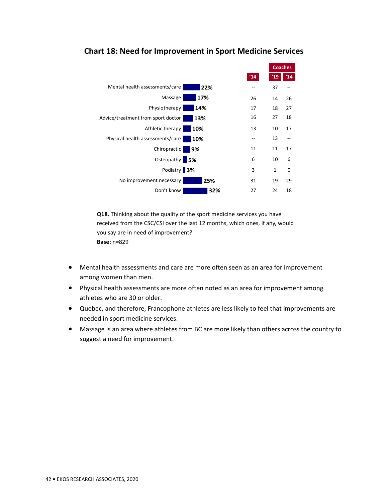

## **Chart 18: Need for Improvement in Sport Medicine Services**

**Q18.** Thinking about the quality of the sport medicine services you have received from the CSC/CSI over the last 12 months, which ones, if any, would you say are in need of improvement? **Base:** n=829

- Mental health assessments and care are more often seen as an area for improvement among women than men.
- Physical health assessments are more often noted as an area for improvement among athletes who are 30 or older.
- Quebec, and therefore, Francophone athletes are less likely to feel that improvements are needed in sport medicine services.
- Massage is an area where athletes from BC are more likely than others across the country to suggest a need for improvement.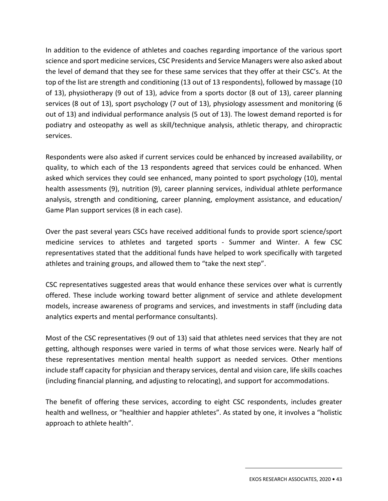In addition to the evidence of athletes and coaches regarding importance of the various sport science and sport medicine services, CSC Presidents and Service Managers were also asked about the level of demand that they see for these same services that they offer at their CSC's. At the top of the list are strength and conditioning (13 out of 13 respondents), followed by massage (10 of 13), physiotherapy (9 out of 13), advice from a sports doctor (8 out of 13), career planning services (8 out of 13), sport psychology (7 out of 13), physiology assessment and monitoring (6 out of 13) and individual performance analysis (5 out of 13). The lowest demand reported is for podiatry and osteopathy as well as skill/technique analysis, athletic therapy, and chiropractic services.

Respondents were also asked if current services could be enhanced by increased availability, or quality, to which each of the 13 respondents agreed that services could be enhanced. When asked which services they could see enhanced, many pointed to sport psychology (10), mental health assessments (9), nutrition (9), career planning services, individual athlete performance analysis, strength and conditioning, career planning, employment assistance, and education/ Game Plan support services (8 in each case).

Over the past several years CSCs have received additional funds to provide sport science/sport medicine services to athletes and targeted sports - Summer and Winter. A few CSC representatives stated that the additional funds have helped to work specifically with targeted athletes and training groups, and allowed them to "take the next step".

CSC representatives suggested areas that would enhance these services over what is currently offered. These include working toward better alignment of service and athlete development models, increase awareness of programs and services, and investments in staff (including data analytics experts and mental performance consultants).

Most of the CSC representatives (9 out of 13) said that athletes need services that they are not getting, although responses were varied in terms of what those services were. Nearly half of these representatives mention mental health support as needed services. Other mentions include staff capacity for physician and therapy services, dental and vision care, life skills coaches (including financial planning, and adjusting to relocating), and support for accommodations.

The benefit of offering these services, according to eight CSC respondents, includes greater health and wellness, or "healthier and happier athletes". As stated by one, it involves a "holistic approach to athlete health".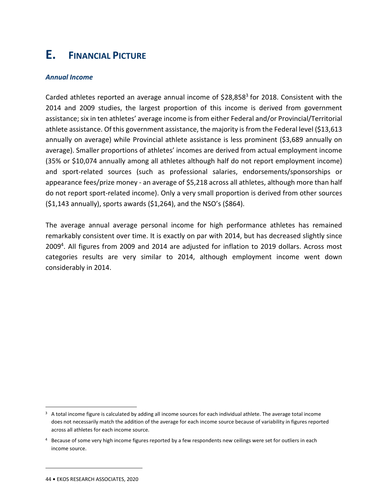# **E. FINANCIAL PICTURE**

#### *Annual Income*

Carded athletes reported an average annual income of \$28,858<sup>3</sup> for 2018. Consistent with the 2014 and 2009 studies, the largest proportion of this income is derived from government assistance; six in ten athletes' average income is from either Federal and/or Provincial/Territorial athlete assistance. Of this government assistance, the majority is from the Federal level (\$13,613 annually on average) while Provincial athlete assistance is less prominent (\$3,689 annually on average). Smaller proportions of athletes' incomes are derived from actual employment income (35% or \$10,074 annually among all athletes although half do not report employment income) and sport-related sources (such as professional salaries, endorsements/sponsorships or appearance fees/prize money - an average of \$5,218 across all athletes, although more than half do not report sport-related income). Only a very small proportion is derived from other sources (\$1,143 annually), sports awards (\$1,264), and the NSO's (\$864).

The average annual average personal income for high performance athletes has remained remarkably consistent over time. It is exactly on par with 2014, but has decreased slightly since 2009<sup>4</sup>. All figures from 2009 and 2014 are adjusted for inflation to 2019 dollars. Across most categories results are very similar to 2014, although employment income went down considerably in 2014.

 $3$  A total income figure is calculated by adding all income sources for each individual athlete. The average total income does not necessarily match the addition of the average for each income source because of variability in figures reported across all athletes for each income source.

<sup>&</sup>lt;sup>4</sup> Because of some very high income figures reported by a few respondents new ceilings were set for outliers in each income source.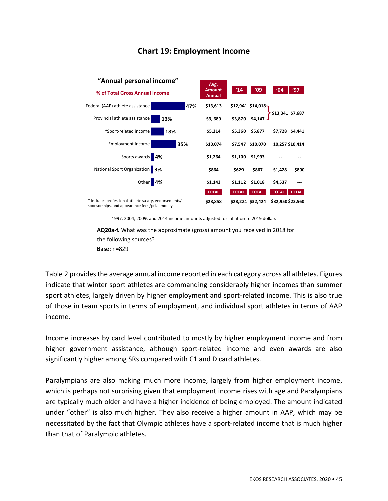## **Chart 19: Employment Income**



1997, 2004, 2009, and 2014 income amounts adjusted for inflation to 2019 dollars

**AQ20a-f.** What was the approximate (gross) amount you received in 2018 for the following sources? **Base:** n=829

Table 2 provides the average annual income reported in each category across all athletes. Figures indicate that winter sport athletes are commanding considerably higher incomes than summer sport athletes, largely driven by higher employment and sport-related income. This is also true of those in team sports in terms of employment, and individual sport athletes in terms of AAP income.

Income increases by card level contributed to mostly by higher employment income and from higher government assistance, although sport-related income and even awards are also significantly higher among SRs compared with C1 and D card athletes.

Paralympians are also making much more income, largely from higher employment income, which is perhaps not surprising given that employment income rises with age and Paralympians are typically much older and have a higher incidence of being employed. The amount indicated under "other" is also much higher. They also receive a higher amount in AAP, which may be necessitated by the fact that Olympic athletes have a sport-related income that is much higher than that of Paralympic athletes.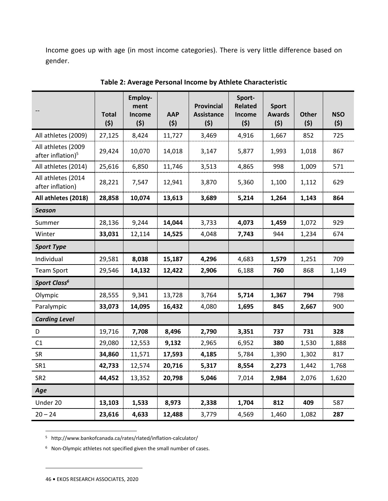Income goes up with age (in most income categories). There is very little difference based on gender.

|                                                     | <b>Total</b><br>(5) | Employ-<br>ment<br>Income<br>(5) | <b>AAP</b><br>(5) | <b>Provincial</b><br><b>Assistance</b><br>(5) | Sport-<br><b>Related</b><br>Income<br>(5) | <b>Sport</b><br><b>Awards</b><br>(5) | <b>Other</b><br>(5) | <b>NSO</b><br>(5) |
|-----------------------------------------------------|---------------------|----------------------------------|-------------------|-----------------------------------------------|-------------------------------------------|--------------------------------------|---------------------|-------------------|
| All athletes (2009)                                 | 27,125              | 8,424                            | 11,727            | 3,469                                         | 4,916                                     | 1,667                                | 852                 | 725               |
| All athletes (2009<br>after inflation) <sup>5</sup> | 29,424              | 10,070                           | 14,018            | 3,147                                         | 5,877                                     | 1,993                                | 1,018               | 867               |
| All athletes (2014)                                 | 25,616              | 6,850                            | 11,746            | 3,513                                         | 4,865                                     | 998                                  | 1,009               | 571               |
| All athletes (2014<br>after inflation)              | 28,221              | 7,547                            | 12,941            | 3,870                                         | 5,360                                     | 1,100                                | 1,112               | 629               |
| All athletes (2018)                                 | 28,858              | 10,074                           | 13,613            | 3,689                                         | 5,214                                     | 1,264                                | 1,143               | 864               |
| <b>Season</b>                                       |                     |                                  |                   |                                               |                                           |                                      |                     |                   |
| Summer                                              | 28,136              | 9,244                            | 14,044            | 3,733                                         | 4,073                                     | 1,459                                | 1,072               | 929               |
| Winter                                              | 33,031              | 12,114                           | 14,525            | 4,048                                         | 7,743                                     | 944                                  | 1,234               | 674               |
| <b>Sport Type</b>                                   |                     |                                  |                   |                                               |                                           |                                      |                     |                   |
| Individual                                          | 29,581              | 8,038                            | 15,187            | 4,296                                         | 4,683                                     | 1,579                                | 1,251               | 709               |
| <b>Team Sport</b>                                   | 29,546              | 14,132                           | 12,422            | 2,906                                         | 6,188                                     | 760                                  | 868                 | 1,149             |
| Sport Class <sup>6</sup>                            |                     |                                  |                   |                                               |                                           |                                      |                     |                   |
| Olympic                                             | 28,555              | 9,341                            | 13,728            | 3,764                                         | 5,714                                     | 1,367                                | 794                 | 798               |
| Paralympic                                          | 33,073              | 14,095                           | 16,432            | 4,080                                         | 1,695                                     | 845                                  | 2,667               | 900               |
| <b>Carding Level</b>                                |                     |                                  |                   |                                               |                                           |                                      |                     |                   |
| D                                                   | 19,716              | 7,708                            | 8,496             | 2,790                                         | 3,351                                     | 737                                  | 731                 | 328               |
| C1                                                  | 29,080              | 12,553                           | 9,132             | 2,965                                         | 6,952                                     | 380                                  | 1,530               | 1,888             |
| <b>SR</b>                                           | 34,860              | 11,571                           | 17,593            | 4,185                                         | 5,784                                     | 1,390                                | 1,302               | 817               |
| SR1                                                 | 42,733              | 12,574                           | 20,716            | 5,317                                         | 8,554                                     | 2,273                                | 1,442               | 1,768             |
| SR <sub>2</sub>                                     | 44,452              | 13,352                           | 20,798            | 5,046                                         | 7,014                                     | 2,984                                | 2,076               | 1,620             |
| Age                                                 |                     |                                  |                   |                                               |                                           |                                      |                     |                   |
| Under 20                                            | 13,103              | 1,533                            | 8,973             | 2,338                                         | 1,704                                     | 812                                  | 409                 | 587               |
| $20 - 24$                                           | 23,616              | 4,633                            | 12,488            | 3,779                                         | 4,569                                     | 1,460                                | 1,082               | 287               |

**Table 2: Average Personal Income by Athlete Characteristic** 

5 http://www.bankofcanada.ca/rates/rlated/inflation-calculator/

<sup>6</sup> Non-Olympic athletes not specified given the small number of cases.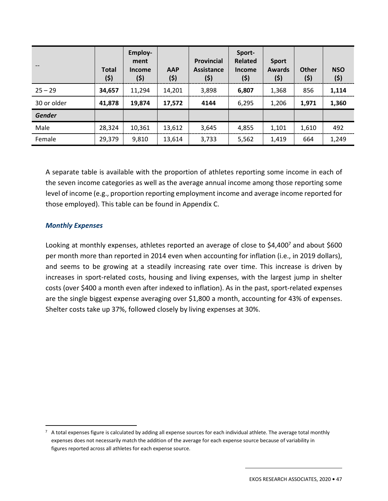|               | <b>Total</b><br>(5) | Employ-<br>ment<br>Income<br>(\$) | <b>AAP</b><br>(5) | Provincial<br><b>Assistance</b><br>(5) | Sport-<br>Related<br><b>Income</b><br>(\$) | <b>Sport</b><br><b>Awards</b><br>(5) | <b>Other</b><br>(\$) | <b>NSO</b><br>(5) |
|---------------|---------------------|-----------------------------------|-------------------|----------------------------------------|--------------------------------------------|--------------------------------------|----------------------|-------------------|
| $25 - 29$     | 34,657              | 11,294                            | 14,201            | 3,898                                  | 6,807                                      | 1,368                                | 856                  | 1,114             |
| 30 or older   | 41,878              | 19,874                            | 17,572            | 4144                                   | 6,295                                      | 1,206                                | 1,971                | 1,360             |
| <b>Gender</b> |                     |                                   |                   |                                        |                                            |                                      |                      |                   |
| Male          | 28,324              | 10,361                            | 13,612            | 3,645                                  | 4,855                                      | 1,101                                | 1,610                | 492               |
| Female        | 29,379              | 9,810                             | 13,614            | 3,733                                  | 5,562                                      | 1,419                                | 664                  | 1,249             |

A separate table is available with the proportion of athletes reporting some income in each of the seven income categories as well as the average annual income among those reporting some level of income (e.g., proportion reporting employment income and average income reported for those employed). This table can be found in Appendix C.

#### *Monthly Expenses*

Looking at monthly expenses, athletes reported an average of close to \$4,400<sup>7</sup> and about \$600 per month more than reported in 2014 even when accounting for inflation (i.e., in 2019 dollars), and seems to be growing at a steadily increasing rate over time. This increase is driven by increases in sport-related costs, housing and living expenses, with the largest jump in shelter costs (over \$400 a month even after indexed to inflation). As in the past, sport-related expenses are the single biggest expense averaging over \$1,800 a month, accounting for 43% of expenses. Shelter costs take up 37%, followed closely by living expenses at 30%.

 $7$  A total expenses figure is calculated by adding all expense sources for each individual athlete. The average total monthly expenses does not necessarily match the addition of the average for each expense source because of variability in figures reported across all athletes for each expense source.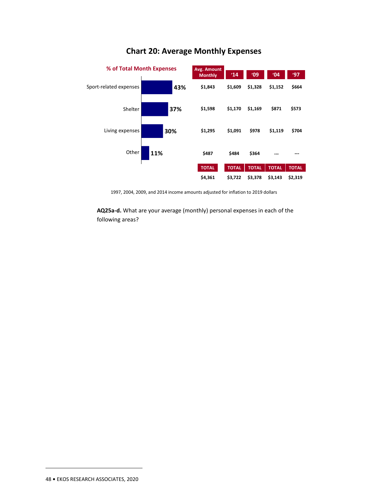

## **Chart 20: Average Monthly Expenses**

1997, 2004, 2009, and 2014 income amounts adjusted for inflation to 2019 dollars

**AQ25a-d.** What are your average (monthly) personal expenses in each of the following areas?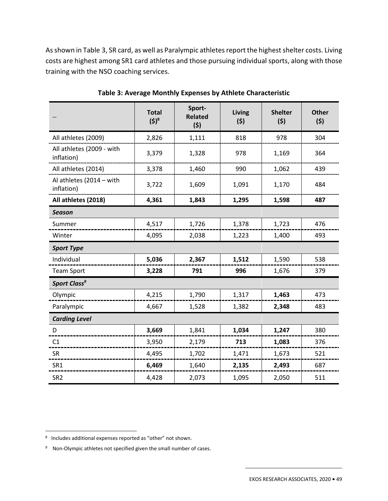As shown in Table 3, SR card, as well as Paralympic athletes report the highest shelter costs. Living costs are highest among SR1 card athletes and those pursuing individual sports, along with those training with the NSO coaching services.

|                                         | <b>Total</b><br>$(5)^8$ | Sport-<br><b>Related</b><br>(5) | Living<br>(5) | <b>Shelter</b><br>(5) | <b>Other</b><br>(5) |  |  |
|-----------------------------------------|-------------------------|---------------------------------|---------------|-----------------------|---------------------|--|--|
| All athletes (2009)                     | 2,826                   | 1,111                           | 818           | 978                   | 304                 |  |  |
| All athletes (2009 - with<br>inflation) | 3,379                   | 1,328                           | 978           | 1,169                 | 364                 |  |  |
| All athletes (2014)                     | 3,378                   | 1,460                           | 990           | 1,062                 | 439                 |  |  |
| Al athletes (2014 - with<br>inflation)  | 3,722                   | 1,609                           | 1,091         | 1,170                 | 484                 |  |  |
| All athletes (2018)                     | 4,361                   | 1,843                           | 1,295         | 1,598                 | 487                 |  |  |
| <b>Season</b>                           |                         |                                 |               |                       |                     |  |  |
| Summer                                  | 4,517                   | 1,726                           | 1,378         | 1,723                 | 476                 |  |  |
| Winter                                  | 4,095                   | 2,038                           | 1,223         | 1,400                 | 493                 |  |  |
| <b>Sport Type</b>                       |                         |                                 |               |                       |                     |  |  |
| Individual                              | 5,036                   | 2,367                           | 1,512         | 1,590                 | 538                 |  |  |
| <b>Team Sport</b>                       | 3,228                   | 791                             | 996           | 1,676                 | 379                 |  |  |
| Sport Class <sup>9</sup>                |                         |                                 |               |                       |                     |  |  |
| Olympic                                 | 4,215                   | 1,790                           | 1,317         | 1,463                 | 473                 |  |  |
| Paralympic                              | 4,667                   | 1,528                           | 1,382         | 2,348                 | 483                 |  |  |
| <b>Carding Level</b>                    |                         |                                 |               |                       |                     |  |  |
| D                                       | 3,669                   | 1,841                           | 1,034         | 1,247                 | 380                 |  |  |
| C1                                      | 3,950                   | 2,179                           | 713           | 1,083                 | 376                 |  |  |
| <b>SR</b>                               | 4,495                   | 1,702                           | 1,471         | 1,673                 | 521                 |  |  |
| SR1                                     | 6,469                   | 1,640                           | 2,135         | 2,493                 | 687                 |  |  |
| SR <sub>2</sub>                         | 4,428                   | 2,073                           | 1,095         | 2,050                 | 511                 |  |  |

**Table 3: Average Monthly Expenses by Athlete Characteristic** 

<sup>8</sup> Includes additional expenses reported as "other" not shown.

<sup>&</sup>lt;sup>9</sup> Non-Olympic athletes not specified given the small number of cases.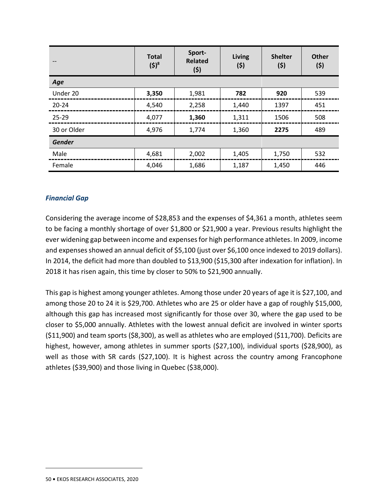|               | <b>Total</b><br>$(5)^8$ | Sport-<br><b>Related</b><br>(5) | Living<br>(5) | <b>Shelter</b><br>(5) | <b>Other</b><br>(5) |
|---------------|-------------------------|---------------------------------|---------------|-----------------------|---------------------|
| Age           |                         |                                 |               |                       |                     |
| Under 20      | 3,350                   | 1,981                           | 782           | 920                   | 539                 |
| $20 - 24$     | 4,540                   | 2,258                           | 1,440         | 1397                  | 451                 |
| $25 - 29$     | 4,077                   | 1,360                           | 1,311         | 1506                  | 508                 |
| 30 or Older   | 4,976                   | 1,774                           | 1,360         | 2275                  | 489                 |
| <b>Gender</b> |                         |                                 |               |                       |                     |
| Male          | 4,681                   | 2,002                           | 1,405         | 1,750                 | 532                 |
| Female        | 4,046                   | 1,686                           | 1,187         | 1,450                 | 446                 |

#### *Financial Gap*

Considering the average income of \$28,853 and the expenses of \$4,361 a month, athletes seem to be facing a monthly shortage of over \$1,800 or \$21,900 a year. Previous results highlight the ever widening gap between income and expenses for high performance athletes. In 2009, income and expenses showed an annual deficit of \$5,100 (just over \$6,100 once indexed to 2019 dollars). In 2014, the deficit had more than doubled to \$13,900 (\$15,300 after indexation for inflation). In 2018 it has risen again, this time by closer to 50% to \$21,900 annually.

This gap is highest among younger athletes. Among those under 20 years of age it is \$27,100, and among those 20 to 24 it is \$29,700. Athletes who are 25 or older have a gap of roughly \$15,000, although this gap has increased most significantly for those over 30, where the gap used to be closer to \$5,000 annually. Athletes with the lowest annual deficit are involved in winter sports (\$11,900) and team sports (\$8,300), as well as athletes who are employed (\$11,700). Deficits are highest, however, among athletes in summer sports (\$27,100), individual sports (\$28,900), as well as those with SR cards (\$27,100). It is highest across the country among Francophone athletes (\$39,900) and those living in Quebec (\$38,000).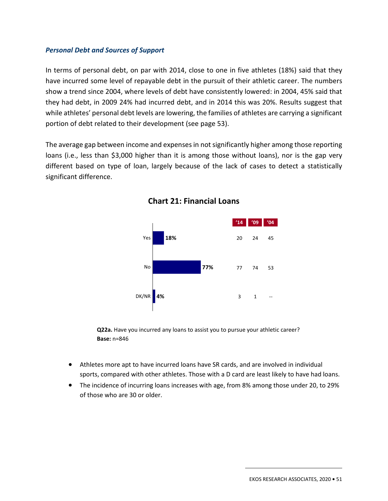#### *Personal Debt and Sources of Support*

In terms of personal debt, on par with 2014, close to one in five athletes (18%) said that they have incurred some level of repayable debt in the pursuit of their athletic career. The numbers show a trend since 2004, where levels of debt have consistently lowered: in 2004, 45% said that they had debt, in 2009 24% had incurred debt, and in 2014 this was 20%. Results suggest that while athletes' personal debt levels are lowering, the families of athletes are carrying a significant portion of debt related to their development (see page 53).

The average gap between income and expenses in not significantly higher among those reporting loans (i.e., less than \$3,000 higher than it is among those without loans), nor is the gap very different based on type of loan, largely because of the lack of cases to detect a statistically significant difference.



**Chart 21: Financial Loans** 

**Q22a.** Have you incurred any loans to assist you to pursue your athletic career? **Base:** n=846

- Athletes more apt to have incurred loans have SR cards, and are involved in individual sports, compared with other athletes. Those with a D card are least likely to have had loans.
- The incidence of incurring loans increases with age, from 8% among those under 20, to 29% of those who are 30 or older.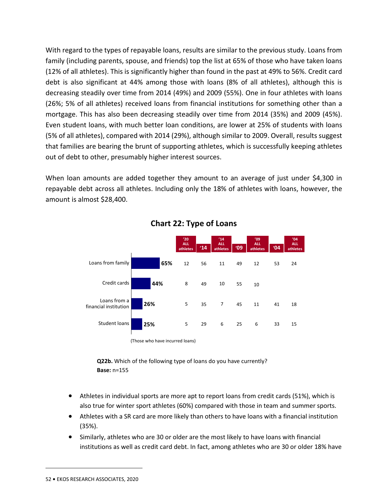With regard to the types of repayable loans, results are similar to the previous study. Loans from family (including parents, spouse, and friends) top the list at 65% of those who have taken loans (12% of all athletes). This is significantly higher than found in the past at 49% to 56%. Credit card debt is also significant at 44% among those with loans (8% of all athletes), although this is decreasing steadily over time from 2014 (49%) and 2009 (55%). One in four athletes with loans (26%; 5% of all athletes) received loans from financial institutions for something other than a mortgage. This has also been decreasing steadily over time from 2014 (35%) and 2009 (45%). Even student loans, with much better loan conditions, are lower at 25% of students with loans (5% of all athletes), compared with 2014 (29%), although similar to 2009. Overall, results suggest that families are bearing the brunt of supporting athletes, which is successfully keeping athletes out of debt to other, presumably higher interest sources.

When loan amounts are added together they amount to an average of just under \$4,300 in repayable debt across all athletes. Including only the 18% of athletes with loans, however, the amount is almost \$28,400.



## **Chart 22: Type of Loans**

**Q22b.** Which of the following type of loans do you have currently? **Base:** n=155

- Athletes in individual sports are more apt to report loans from credit cards (51%), which is also true for winter sport athletes (60%) compared with those in team and summer sports.
- Athletes with a SR card are more likely than others to have loans with a financial institution (35%).
- Similarly, athletes who are 30 or older are the most likely to have loans with financial institutions as well as credit card debt. In fact, among athletes who are 30 or older 18% have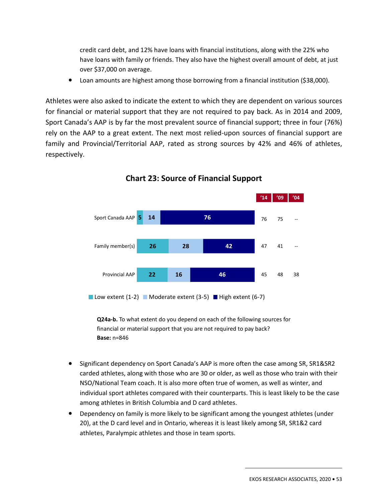credit card debt, and 12% have loans with financial institutions, along with the 22% who have loans with family or friends. They also have the highest overall amount of debt, at just over \$37,000 on average.

• Loan amounts are highest among those borrowing from a financial institution (\$38,000).

Athletes were also asked to indicate the extent to which they are dependent on various sources for financial or material support that they are not required to pay back. As in 2014 and 2009, Sport Canada's AAP is by far the most prevalent source of financial support; three in four (76%) rely on the AAP to a great extent. The next most relied-upon sources of financial support are family and Provincial/Territorial AAP, rated as strong sources by 42% and 46% of athletes, respectively.



**Chart 23: Source of Financial Support** 

**Q24a-b.** To what extent do you depend on each of the following sources for financial or material support that you are not required to pay back? **Base:** n=846

- Significant dependency on Sport Canada's AAP is more often the case among SR, SR1&SR2 carded athletes, along with those who are 30 or older, as well as those who train with their NSO/National Team coach. It is also more often true of women, as well as winter, and individual sport athletes compared with their counterparts. This is least likely to be the case among athletes in British Columbia and D card athletes.
- Dependency on family is more likely to be significant among the youngest athletes (under 20), at the D card level and in Ontario, whereas it is least likely among SR, SR1&2 card athletes, Paralympic athletes and those in team sports.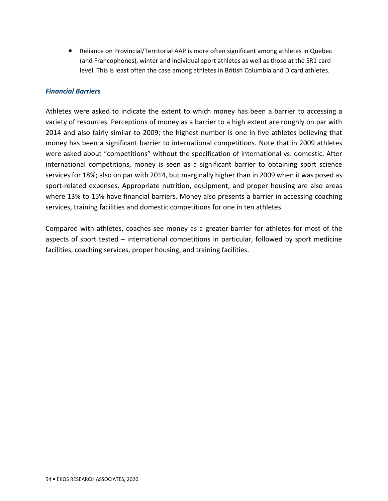• Reliance on Provincial/Territorial AAP is more often significant among athletes in Quebec (and Francophones), winter and individual sport athletes as well as those at the SR1 card level. This is least often the case among athletes in British Columbia and D card athletes.

#### *Financial Barriers*

Athletes were asked to indicate the extent to which money has been a barrier to accessing a variety of resources. Perceptions of money as a barrier to a high extent are roughly on par with 2014 and also fairly similar to 2009; the highest number is one in five athletes believing that money has been a significant barrier to international competitions. Note that in 2009 athletes were asked about "competitions" without the specification of international vs. domestic. After international competitions, money is seen as a significant barrier to obtaining sport science services for 18%; also on par with 2014, but marginally higher than in 2009 when it was posed as sport-related expenses. Appropriate nutrition, equipment, and proper housing are also areas where 13% to 15% have financial barriers. Money also presents a barrier in accessing coaching services, training facilities and domestic competitions for one in ten athletes.

Compared with athletes, coaches see money as a greater barrier for athletes for most of the aspects of sport tested – international competitions in particular, followed by sport medicine facilities, coaching services, proper housing, and training facilities.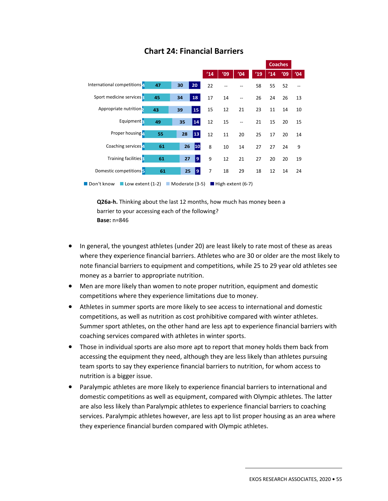|                                                                                                       |    |                 |     |     |     |     | <b>Coaches</b> |     |     |
|-------------------------------------------------------------------------------------------------------|----|-----------------|-----|-----|-----|-----|----------------|-----|-----|
|                                                                                                       |    |                 | '14 | '09 | '04 | '19 | '14            | '09 | '04 |
| International competitions <sup>1</sup>                                                               | 47 | 20<br>30        | 22  |     |     | 58  | 55             | 52  |     |
| Sport medicine services:                                                                              | 45 | 18<br>34        | 17  | 14  |     | 26  | 24             | 26  | 13  |
| Appropriate nutrition,                                                                                | 43 | 15<br>39        | 15  | 12  | 21  | 23  | 11             | 14  | 10  |
| Equipment:                                                                                            | 49 | 14<br>35        | 12  | 15  |     | 21  | 15             | 20  | 15  |
| Proper housing 1                                                                                      | 55 | 28<br><b>13</b> | 12  | 11  | 20  | 25  | 17             | 20  | 14  |
| Coaching services <sup>4</sup>                                                                        | 61 | 10<br>26        | 8   | 10  | 14  | 27  | 27             | 24  | 9   |
| Training facilities :                                                                                 | 61 | 9<br>27         | 9   | 12  | 21  | 27  | 20             | 20  | 19  |
| Domestic competitions 5                                                                               | 61 | 9<br>25         | 7   | 18  | 29  | 18  | 12             | 14  | 24  |
| ■ Don't know<br>$\blacksquare$ Low extent (1-2)<br>Moderate (3-5)<br>$\blacksquare$ High extent (6-7) |    |                 |     |     |     |     |                |     |     |

## **Chart 24: Financial Barriers**

**Q26a-h.** Thinking about the last 12 months, how much has money been a barrier to your accessing each of the following? **Base:** n=846

- In general, the youngest athletes (under 20) are least likely to rate most of these as areas where they experience financial barriers. Athletes who are 30 or older are the most likely to note financial barriers to equipment and competitions, while 25 to 29 year old athletes see money as a barrier to appropriate nutrition.
- Men are more likely than women to note proper nutrition, equipment and domestic competitions where they experience limitations due to money.
- Athletes in summer sports are more likely to see access to international and domestic competitions, as well as nutrition as cost prohibitive compared with winter athletes. Summer sport athletes, on the other hand are less apt to experience financial barriers with coaching services compared with athletes in winter sports.
- Those in individual sports are also more apt to report that money holds them back from accessing the equipment they need, although they are less likely than athletes pursuing team sports to say they experience financial barriers to nutrition, for whom access to nutrition is a bigger issue.
- Paralympic athletes are more likely to experience financial barriers to international and domestic competitions as well as equipment, compared with Olympic athletes. The latter are also less likely than Paralympic athletes to experience financial barriers to coaching services. Paralympic athletes however, are less apt to list proper housing as an area where they experience financial burden compared with Olympic athletes.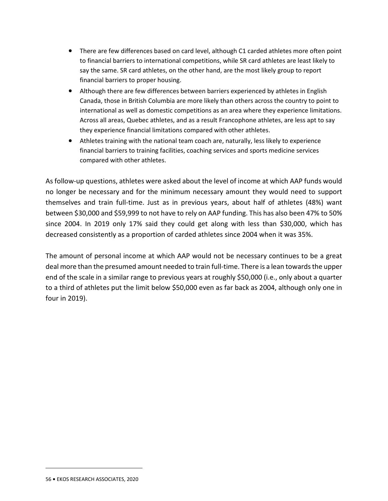- There are few differences based on card level, although C1 carded athletes more often point to financial barriers to international competitions, while SR card athletes are least likely to say the same. SR card athletes, on the other hand, are the most likely group to report financial barriers to proper housing.
- Although there are few differences between barriers experienced by athletes in English Canada, those in British Columbia are more likely than others across the country to point to international as well as domestic competitions as an area where they experience limitations. Across all areas, Quebec athletes, and as a result Francophone athletes, are less apt to say they experience financial limitations compared with other athletes.
- Athletes training with the national team coach are, naturally, less likely to experience financial barriers to training facilities, coaching services and sports medicine services compared with other athletes.

As follow-up questions, athletes were asked about the level of income at which AAP funds would no longer be necessary and for the minimum necessary amount they would need to support themselves and train full-time. Just as in previous years, about half of athletes (48%) want between \$30,000 and \$59,999 to not have to rely on AAP funding. This has also been 47% to 50% since 2004. In 2019 only 17% said they could get along with less than \$30,000, which has decreased consistently as a proportion of carded athletes since 2004 when it was 35%.

The amount of personal income at which AAP would not be necessary continues to be a great deal more than the presumed amount needed to train full-time. There is a lean towards the upper end of the scale in a similar range to previous years at roughly \$50,000 (i.e., only about a quarter to a third of athletes put the limit below \$50,000 even as far back as 2004, although only one in four in 2019).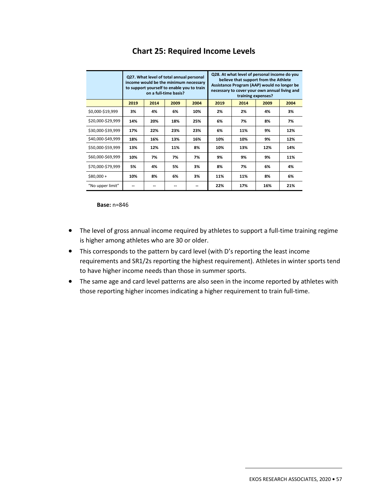|                   | Q27. What level of total annual personal<br>income would be the minimum necessary<br>to support yourself to enable you to train<br>on a full-time basis? |      |      |      |                              | Q28. At what level of personal income do you<br>believe that support from the Athlete<br>Assistance Program (AAP) would no longer be<br>necessary to cover your own annual living and<br>training expenses? |     |     |  |
|-------------------|----------------------------------------------------------------------------------------------------------------------------------------------------------|------|------|------|------------------------------|-------------------------------------------------------------------------------------------------------------------------------------------------------------------------------------------------------------|-----|-----|--|
|                   | 2019                                                                                                                                                     | 2014 | 2009 | 2004 | 2014<br>2009<br>2019<br>2004 |                                                                                                                                                                                                             |     |     |  |
| \$0,000-\$19,999  | 3%                                                                                                                                                       | 4%   | 6%   | 10%  | 2%                           | 2%                                                                                                                                                                                                          | 4%  | 3%  |  |
| \$20,000-\$29,999 | 14%                                                                                                                                                      | 20%  | 18%  | 25%  | 6%                           | 7%                                                                                                                                                                                                          | 8%  | 7%  |  |
| \$30,000-\$39,999 | 17%                                                                                                                                                      | 22%  | 23%  | 23%  | 6%                           | 11%                                                                                                                                                                                                         | 9%  | 12% |  |
| \$40,000-\$49,999 | 18%                                                                                                                                                      | 16%  | 13%  | 16%  | 10%                          | 10%                                                                                                                                                                                                         | 9%  | 12% |  |
| \$50,000-\$59,999 | 13%                                                                                                                                                      | 12%  | 11%  | 8%   | 10%                          | 13%                                                                                                                                                                                                         | 12% | 14% |  |
| \$60,000-\$69,999 | 10%                                                                                                                                                      | 7%   | 7%   | 7%   | 9%                           | 9%                                                                                                                                                                                                          | 9%  | 11% |  |
| \$70,000-\$79,999 | 5%                                                                                                                                                       | 4%   | 5%   | 3%   | 8%                           | 7%                                                                                                                                                                                                          | 6%  | 4%  |  |
| $$80,000+$        | 10%                                                                                                                                                      | 8%   | 6%   | 3%   | 11%                          | 11%                                                                                                                                                                                                         | 8%  | 6%  |  |
| "No upper limit"  |                                                                                                                                                          |      | --   |      | 22%                          | 17%                                                                                                                                                                                                         | 16% | 21% |  |

## **Chart 25: Required Income Levels**

**Base:** n=846

- The level of gross annual income required by athletes to support a full-time training regime is higher among athletes who are 30 or older.
- This corresponds to the pattern by card level (with D's reporting the least income requirements and SR1/2s reporting the highest requirement). Athletes in winter sports tend to have higher income needs than those in summer sports.
- The same age and card level patterns are also seen in the income reported by athletes with those reporting higher incomes indicating a higher requirement to train full-time.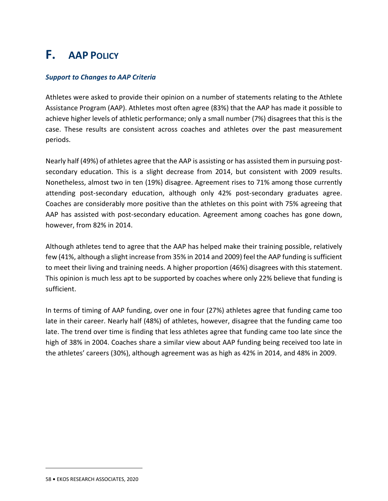# **F. AAP POLICY**

#### *Support to Changes to AAP Criteria*

Athletes were asked to provide their opinion on a number of statements relating to the Athlete Assistance Program (AAP). Athletes most often agree (83%) that the AAP has made it possible to achieve higher levels of athletic performance; only a small number (7%) disagrees that this is the case. These results are consistent across coaches and athletes over the past measurement periods.

Nearly half (49%) of athletes agree that the AAP is assisting or has assisted them in pursuing postsecondary education. This is a slight decrease from 2014, but consistent with 2009 results. Nonetheless, almost two in ten (19%) disagree. Agreement rises to 71% among those currently attending post-secondary education, although only 42% post-secondary graduates agree. Coaches are considerably more positive than the athletes on this point with 75% agreeing that AAP has assisted with post-secondary education. Agreement among coaches has gone down, however, from 82% in 2014.

Although athletes tend to agree that the AAP has helped make their training possible, relatively few (41%, although a slight increase from 35% in 2014 and 2009) feel the AAP funding is sufficient to meet their living and training needs. A higher proportion (46%) disagrees with this statement. This opinion is much less apt to be supported by coaches where only 22% believe that funding is sufficient.

In terms of timing of AAP funding, over one in four (27%) athletes agree that funding came too late in their career. Nearly half (48%) of athletes, however, disagree that the funding came too late. The trend over time is finding that less athletes agree that funding came too late since the high of 38% in 2004. Coaches share a similar view about AAP funding being received too late in the athletes' careers (30%), although agreement was as high as 42% in 2014, and 48% in 2009.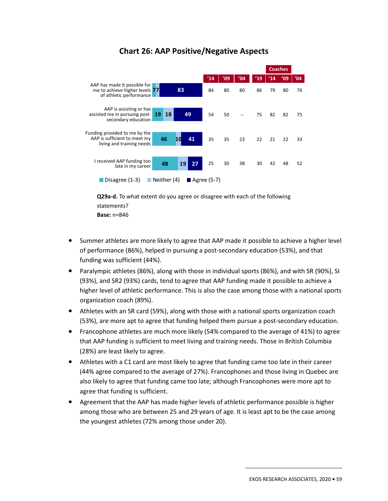

## **Chart 26: AAP Positive/Negative Aspects**

**Q29a-d.** To what extent do you agree or disagree with each of the following statements? **Base:** n=846

- Summer athletes are more likely to agree that AAP made it possible to achieve a higher level of performance (86%), helped in pursuing a post-secondary education (53%), and that funding was sufficient (44%).
- Paralympic athletes (86%), along with those in individual sports (86%), and with SR (90%), SI (93%), and SR2 (93%) cards, tend to agree that AAP funding made it possible to achieve a higher level of athletic performance. This is also the case among those with a national sports organization coach (89%).
- Athletes with an SR card (59%), along with those with a national sports organization coach (53%), are more apt to agree that funding helped them pursue a post-secondary education.
- Francophone athletes are much more likely (54% compared to the average of 41%) to agree that AAP funding is sufficient to meet living and training needs. Those in British Columbia (28%) are least likely to agree.
- Athletes with a C1 card are most likely to agree that funding came too late in their career (44% agree compared to the average of 27%). Francophones and those living in Quebec are also likely to agree that funding came too late; although Francophones were more apt to agree that funding is sufficient.
- Agreement that the AAP has made higher levels of athletic performance possible is higher among those who are between 25 and 29 years of age. It is least apt to be the case among the youngest athletes (72% among those under 20).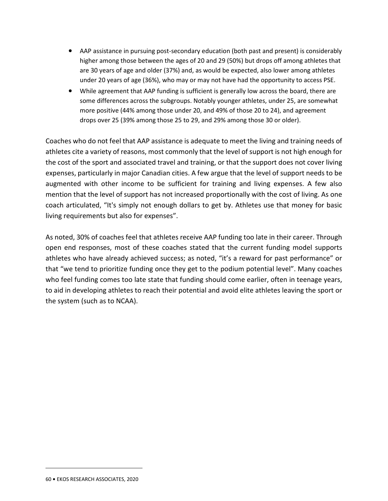- AAP assistance in pursuing post-secondary education (both past and present) is considerably higher among those between the ages of 20 and 29 (50%) but drops off among athletes that are 30 years of age and older (37%) and, as would be expected, also lower among athletes under 20 years of age (36%), who may or may not have had the opportunity to access PSE.
- While agreement that AAP funding is sufficient is generally low across the board, there are some differences across the subgroups. Notably younger athletes, under 25, are somewhat more positive (44% among those under 20, and 49% of those 20 to 24), and agreement drops over 25 (39% among those 25 to 29, and 29% among those 30 or older).

Coaches who do not feel that AAP assistance is adequate to meet the living and training needs of athletes cite a variety of reasons, most commonly that the level of support is not high enough for the cost of the sport and associated travel and training, or that the support does not cover living expenses, particularly in major Canadian cities. A few argue that the level of support needs to be augmented with other income to be sufficient for training and living expenses. A few also mention that the level of support has not increased proportionally with the cost of living. As one coach articulated, "It's simply not enough dollars to get by. Athletes use that money for basic living requirements but also for expenses".

As noted, 30% of coaches feel that athletes receive AAP funding too late in their career. Through open end responses, most of these coaches stated that the current funding model supports athletes who have already achieved success; as noted, "it's a reward for past performance" or that "we tend to prioritize funding once they get to the podium potential level". Many coaches who feel funding comes too late state that funding should come earlier, often in teenage years, to aid in developing athletes to reach their potential and avoid elite athletes leaving the sport or the system (such as to NCAA).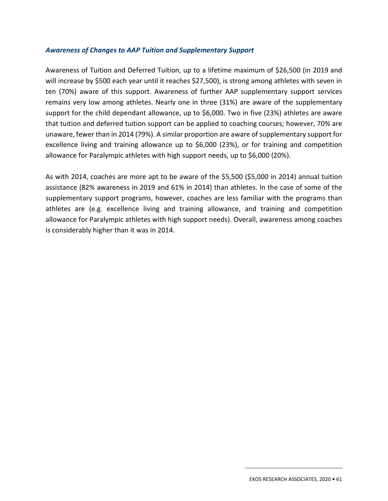#### *Awareness of Changes to AAP Tuition and Supplementary Support*

Awareness of Tuition and Deferred Tuition, up to a lifetime maximum of \$26,500 (in 2019 and will increase by \$500 each year until it reaches \$27,500), is strong among athletes with seven in ten (70%) aware of this support. Awareness of further AAP supplementary support services remains very low among athletes. Nearly one in three (31%) are aware of the supplementary support for the child dependant allowance, up to \$6,000. Two in five (23%) athletes are aware that tuition and deferred tuition support can be applied to coaching courses; however, 70% are unaware, fewer than in 2014 (79%). A similar proportion are aware of supplementary support for excellence living and training allowance up to \$6,000 (23%), or for training and competition allowance for Paralympic athletes with high support needs, up to \$6,000 (20%).

As with 2014, coaches are more apt to be aware of the \$5,500 (\$5,000 in 2014) annual tuition assistance (82% awareness in 2019 and 61% in 2014) than athletes. In the case of some of the supplementary support programs, however, coaches are less familiar with the programs than athletes are (e.g. excellence living and training allowance, and training and competition allowance for Paralympic athletes with high support needs). Overall, awareness among coaches is considerably higher than it was in 2014.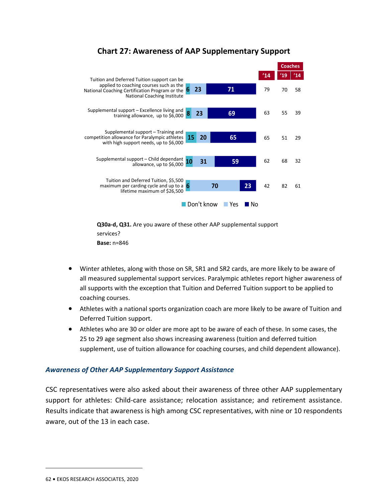

## **Chart 27: Awareness of AAP Supplementary Support**

**Q30a-d, Q31.** Are you aware of these other AAP supplemental support services? **Base:** n=846

- Winter athletes, along with those on SR, SR1 and SR2 cards, are more likely to be aware of all measured supplemental support services. Paralympic athletes report higher awareness of all supports with the exception that Tuition and Deferred Tuition support to be applied to coaching courses.
- Athletes with a national sports organization coach are more likely to be aware of Tuition and Deferred Tuition support.
- Athletes who are 30 or older are more apt to be aware of each of these. In some cases, the 25 to 29 age segment also shows increasing awareness (tuition and deferred tuition supplement, use of tuition allowance for coaching courses, and child dependent allowance).

### *Awareness of Other AAP Supplementary Support Assistance*

CSC representatives were also asked about their awareness of three other AAP supplementary support for athletes: Child-care assistance; relocation assistance; and retirement assistance. Results indicate that awareness is high among CSC representatives, with nine or 10 respondents aware, out of the 13 in each case.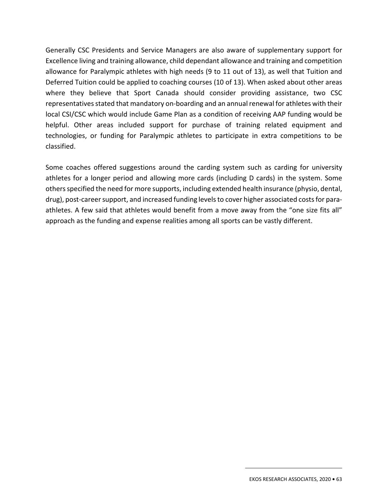Generally CSC Presidents and Service Managers are also aware of supplementary support for Excellence living and training allowance, child dependant allowance and training and competition allowance for Paralympic athletes with high needs (9 to 11 out of 13), as well that Tuition and Deferred Tuition could be applied to coaching courses (10 of 13). When asked about other areas where they believe that Sport Canada should consider providing assistance, two CSC representatives stated that mandatory on-boarding and an annual renewal for athletes with their local CSI/CSC which would include Game Plan as a condition of receiving AAP funding would be helpful. Other areas included support for purchase of training related equipment and technologies, or funding for Paralympic athletes to participate in extra competitions to be classified.

Some coaches offered suggestions around the carding system such as carding for university athletes for a longer period and allowing more cards (including D cards) in the system. Some others specified the need for more supports, including extended health insurance (physio, dental, drug), post-career support, and increased funding levels to cover higher associated costs for paraathletes. A few said that athletes would benefit from a move away from the "one size fits all" approach as the funding and expense realities among all sports can be vastly different.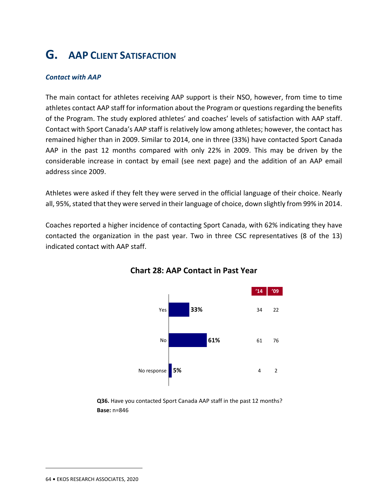# **G. AAP CLIENT SATISFACTION**

#### *Contact with AAP*

The main contact for athletes receiving AAP support is their NSO, however, from time to time athletes contact AAP staff for information about the Program or questions regarding the benefits of the Program. The study explored athletes' and coaches' levels of satisfaction with AAP staff. Contact with Sport Canada's AAP staff is relatively low among athletes; however, the contact has remained higher than in 2009. Similar to 2014, one in three (33%) have contacted Sport Canada AAP in the past 12 months compared with only 22% in 2009. This may be driven by the considerable increase in contact by email (see next page) and the addition of an AAP email address since 2009.

Athletes were asked if they felt they were served in the official language of their choice. Nearly all, 95%, stated that they were served in their language of choice, down slightly from 99% in 2014.

Coaches reported a higher incidence of contacting Sport Canada, with 62% indicating they have contacted the organization in the past year. Two in three CSC representatives (8 of the 13) indicated contact with AAP staff.



**Chart 28: AAP Contact in Past Year** 

**Q36.** Have you contacted Sport Canada AAP staff in the past 12 months? **Base:** n=846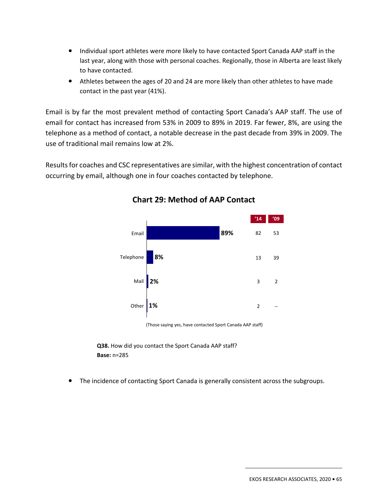- Individual sport athletes were more likely to have contacted Sport Canada AAP staff in the last year, along with those with personal coaches. Regionally, those in Alberta are least likely to have contacted.
- Athletes between the ages of 20 and 24 are more likely than other athletes to have made contact in the past year (41%).

Email is by far the most prevalent method of contacting Sport Canada's AAP staff. The use of email for contact has increased from 53% in 2009 to 89% in 2019. Far fewer, 8%, are using the telephone as a method of contact, a notable decrease in the past decade from 39% in 2009. The use of traditional mail remains low at 2%.

Results for coaches and CSC representatives are similar, with the highest concentration of contact occurring by email, although one in four coaches contacted by telephone.



**Chart 29: Method of AAP Contact** 

(Those saying yes, have contacted Sport Canada AAP staff)

**Q38.** How did you contact the Sport Canada AAP staff? **Base:** n=285

• The incidence of contacting Sport Canada is generally consistent across the subgroups.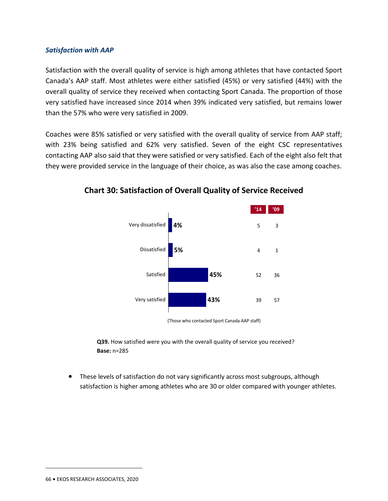#### *Satisfaction with AAP*

Satisfaction with the overall quality of service is high among athletes that have contacted Sport Canada's AAP staff. Most athletes were either satisfied (45%) or very satisfied (44%) with the overall quality of service they received when contacting Sport Canada. The proportion of those very satisfied have increased since 2014 when 39% indicated very satisfied, but remains lower than the 57% who were very satisfied in 2009.

Coaches were 85% satisfied or very satisfied with the overall quality of service from AAP staff; with 23% being satisfied and 62% very satisfied. Seven of the eight CSC representatives contacting AAP also said that they were satisfied or very satisfied. Each of the eight also felt that they were provided service in the language of their choice, as was also the case among coaches.



**Chart 30: Satisfaction of Overall Quality of Service Received** 

(Those who contacted Sport Canada AAP staff)

**Q39.** How satisfied were you with the overall quality of service you received? **Base:** n=285

• These levels of satisfaction do not vary significantly across most subgroups, although satisfaction is higher among athletes who are 30 or older compared with younger athletes.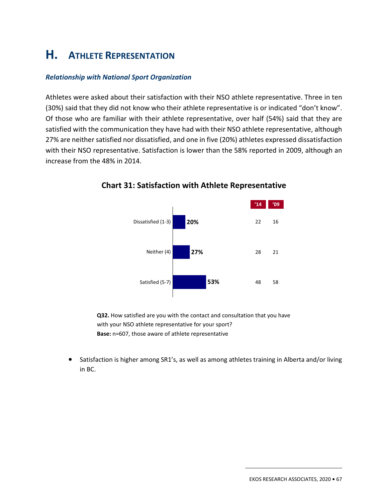# **H. ATHLETE REPRESENTATION**

#### *Relationship with National Sport Organization*

Athletes were asked about their satisfaction with their NSO athlete representative. Three in ten (30%) said that they did not know who their athlete representative is or indicated "don't know". Of those who are familiar with their athlete representative, over half (54%) said that they are satisfied with the communication they have had with their NSO athlete representative, although 27% are neither satisfied nor dissatisfied, and one in five (20%) athletes expressed dissatisfaction with their NSO representative. Satisfaction is lower than the 58% reported in 2009, although an increase from the 48% in 2014.



### **Chart 31: Satisfaction with Athlete Representative**

**Q32.** How satisfied are you with the contact and consultation that you have with your NSO athlete representative for your sport? **Base:** n=607, those aware of athlete representative

• Satisfaction is higher among SR1's, as well as among athletes training in Alberta and/or living in BC.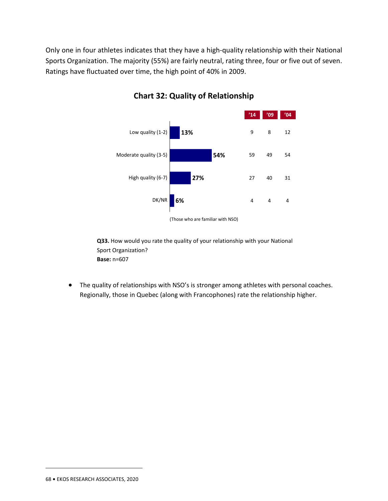Only one in four athletes indicates that they have a high-quality relationship with their National Sports Organization. The majority (55%) are fairly neutral, rating three, four or five out of seven. Ratings have fluctuated over time, the high point of 40% in 2009.



## **Chart 32: Quality of Relationship**

**Q33.** How would you rate the quality of your relationship with your National Sport Organization? **Base:** n=607

• The quality of relationships with NSO's is stronger among athletes with personal coaches. Regionally, those in Quebec (along with Francophones) rate the relationship higher.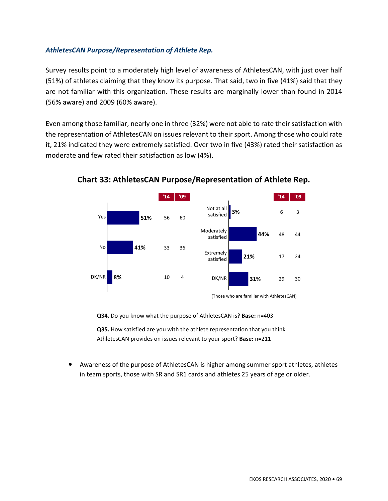### *AthletesCAN Purpose/Representation of Athlete Rep.*

Survey results point to a moderately high level of awareness of AthletesCAN, with just over half (51%) of athletes claiming that they know its purpose. That said, two in five (41%) said that they are not familiar with this organization. These results are marginally lower than found in 2014 (56% aware) and 2009 (60% aware).

Even among those familiar, nearly one in three (32%) were not able to rate their satisfaction with the representation of AthletesCAN on issues relevant to their sport. Among those who could rate it, 21% indicated they were extremely satisfied. Over two in five (43%) rated their satisfaction as moderate and few rated their satisfaction as low (4%).



**Chart 33: AthletesCAN Purpose/Representation of Athlete Rep.** 

**Q34.** Do you know what the purpose of AthletesCAN is? **Base:** n=403

**Q35.** How satisfied are you with the athlete representation that you think AthletesCAN provides on issues relevant to your sport? **Base:** n=211

• Awareness of the purpose of AthletesCAN is higher among summer sport athletes, athletes in team sports, those with SR and SR1 cards and athletes 25 years of age or older.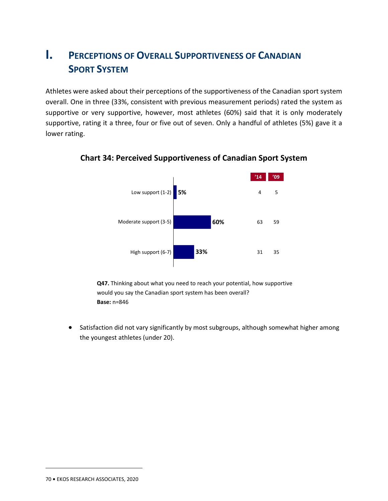## **I. PERCEPTIONS OF OVERALL SUPPORTIVENESS OF CANADIAN SPORT SYSTEM**

Athletes were asked about their perceptions of the supportiveness of the Canadian sport system overall. One in three (33%, consistent with previous measurement periods) rated the system as supportive or very supportive, however, most athletes (60%) said that it is only moderately supportive, rating it a three, four or five out of seven. Only a handful of athletes (5%) gave it a lower rating.



## **Chart 34: Perceived Supportiveness of Canadian Sport System**

**Q47.** Thinking about what you need to reach your potential, how supportive would you say the Canadian sport system has been overall? **Base:** n=846

• Satisfaction did not vary significantly by most subgroups, although somewhat higher among the youngest athletes (under 20).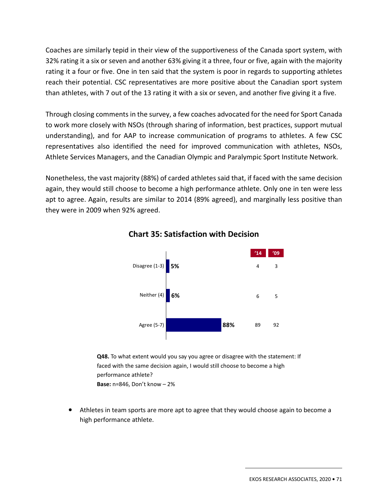Coaches are similarly tepid in their view of the supportiveness of the Canada sport system, with 32% rating it a six or seven and another 63% giving it a three, four or five, again with the majority rating it a four or five. One in ten said that the system is poor in regards to supporting athletes reach their potential. CSC representatives are more positive about the Canadian sport system than athletes, with 7 out of the 13 rating it with a six or seven, and another five giving it a five.

Through closing comments in the survey, a few coaches advocated for the need for Sport Canada to work more closely with NSOs (through sharing of information, best practices, support mutual understanding), and for AAP to increase communication of programs to athletes. A few CSC representatives also identified the need for improved communication with athletes, NSOs, Athlete Services Managers, and the Canadian Olympic and Paralympic Sport Institute Network.

Nonetheless, the vast majority (88%) of carded athletes said that, if faced with the same decision again, they would still choose to become a high performance athlete. Only one in ten were less apt to agree. Again, results are similar to 2014 (89% agreed), and marginally less positive than they were in 2009 when 92% agreed.



### **Chart 35: Satisfaction with Decision**

**Q48.** To what extent would you say you agree or disagree with the statement: If faced with the same decision again, I would still choose to become a high performance athlete? **Base:** n=846, Don't know – 2%

• Athletes in team sports are more apt to agree that they would choose again to become a high performance athlete.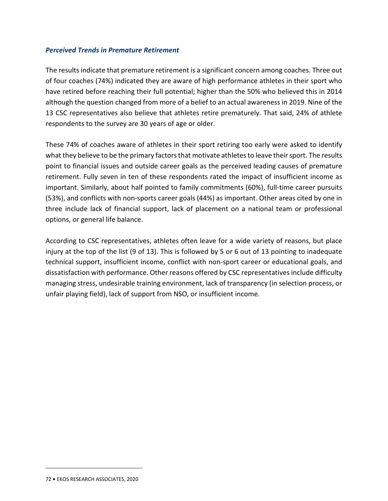#### *Perceived Trends in Premature Retirement*

The results indicate that premature retirement is a significant concern among coaches. Three out of four coaches (74%) indicated they are aware of high performance athletes in their sport who have retired before reaching their full potential; higher than the 50% who believed this in 2014 although the question changed from more of a belief to an actual awareness in 2019. Nine of the 13 CSC representatives also believe that athletes retire prematurely. That said, 24% of athlete respondents to the survey are 30 years of age or older.

These 74% of coaches aware of athletes in their sport retiring too early were asked to identify what they believe to be the primary factors that motivate athletes to leave their sport. The results point to financial issues and outside career goals as the perceived leading causes of premature retirement. Fully seven in ten of these respondents rated the impact of insufficient income as important. Similarly, about half pointed to family commitments (60%), full-time career pursuits (53%), and conflicts with non-sports career goals (44%) as important. Other areas cited by one in three include lack of financial support, lack of placement on a national team or professional options, or general life balance.

According to CSC representatives, athletes often leave for a wide variety of reasons, but place injury at the top of the list (9 of 13). This is followed by 5 or 6 out of 13 pointing to inadequate technical support, insufficient income, conflict with non-sport career or educational goals, and dissatisfaction with performance. Other reasons offered by CSC representatives include difficulty managing stress, undesirable training environment, lack of transparency (in selection process, or unfair playing field), lack of support from NSO, or insufficient income.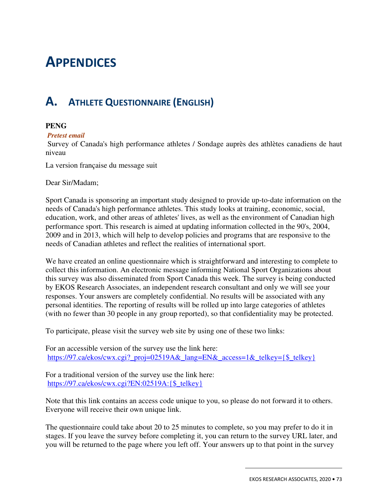# 3. **APPENDICES**

# **A. ATHLETE QUESTIONNAIRE (ENGLISH)**

#### **PENG**

#### *Pretest email*

 Survey of Canada's high performance athletes / Sondage auprès des athlètes canadiens de haut niveau

La version française du message suit

Dear Sir/Madam;

Sport Canada is sponsoring an important study designed to provide up-to-date information on the needs of Canada's high performance athletes. This study looks at training, economic, social, education, work, and other areas of athletes' lives, as well as the environment of Canadian high performance sport. This research is aimed at updating information collected in the 90's, 2004, 2009 and in 2013, which will help to develop policies and programs that are responsive to the needs of Canadian athletes and reflect the realities of international sport.

We have created an online questionnaire which is straightforward and interesting to complete to collect this information. An electronic message informing National Sport Organizations about this survey was also disseminated from Sport Canada this week. The survey is being conducted by EKOS Research Associates, an independent research consultant and only we will see your responses. Your answers are completely confidential. No results will be associated with any personal identities. The reporting of results will be rolled up into large categories of athletes (with no fewer than 30 people in any group reported), so that confidentiality may be protected.

To participate, please visit the survey web site by using one of these two links:

For an accessible version of the survey use the link here: https://97.ca/ekos/cwx.cgi?\_proj=02519A&\_lang=EN&\_access=1&\_telkey={\$\_telkey}

For a traditional version of the survey use the link here: https://97.ca/ekos/cwx.cgi?EN:02519A:{\$\_telkey}

Note that this link contains an access code unique to you, so please do not forward it to others. Everyone will receive their own unique link.

The questionnaire could take about 20 to 25 minutes to complete, so you may prefer to do it in stages. If you leave the survey before completing it, you can return to the survey URL later, and you will be returned to the page where you left off. Your answers up to that point in the survey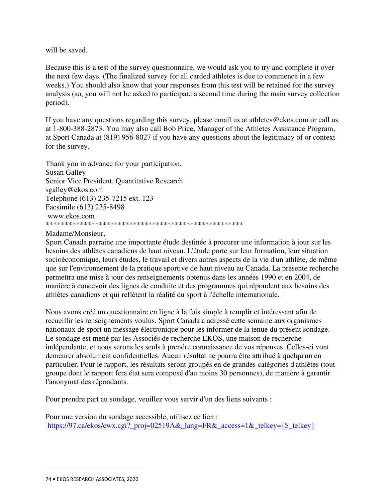will be saved.

Because this is a test of the survey questionnaire, we would ask you to try and complete it over the next few days. (The finalized survey for all carded athletes is due to commence in a few weeks.) You should also know that your responses from this test will be retained for the survey analysis (so, you will not be asked to participate a second time during the main survey collection period).

If you have any questions regarding this survey, please email us at athletes@ekos.com or call us at 1-800-388-2873. You may also call Bob Price, Manager of the Athletes Assistance Program, at Sport Canada at (819) 956-8027 if you have any questions about the legitimacy of or context for the survey.

Thank you in advance for your participation. Susan Galley Senior Vice President, Quantitative Research sgalley@ekos.com Telephone (613) 235-7215 ext. 123 Facsimile (613) 235-8498 www.ekos.com \*\*\*\*\*\*\*\*\*\*\*\*\*\*\*\*\*\*\*\*\*\*\*\*\*\*\*\*\*\*\*\*\*\*\*\*\*\*\*\*\*\*\*\*\*\*\*\*\*\*\*\*

#### Madame/Monsieur,

Sport Canada parraine une importante étude destinée à procurer une information à jour sur les besoins des athlètes canadiens de haut niveau. L'étude porte sur leur formation, leur situation socioéconomique, leurs études, le travail et divers autres aspects de la vie d'un athlète, de même que sur l'environnement de la pratique sportive de haut niveau au Canada. La présente recherche permettra une mise à jour des renseignements obtenus dans les années 1990 et en 2004, de manière à concevoir des lignes de conduite et des programmes qui répondent aux besoins des athlètes canadiens et qui reflètent la réalité du sport à l'échelle internationale.

Nous avons créé un questionnaire en ligne à la fois simple à remplir et intéressant afin de recueillir les renseignements voulus. Sport Canada a adressé cette semaine aux organismes nationaux de sport un message électronique pour les informer de la tenue du présent sondage. Le sondage est mené par les Associés de recherche EKOS, une maison de recherche indépendante, et nous serons les seuls à prendre connaissance de vos réponses. Celles-ci vont demeurer absolument confidentielles. Aucun résultat ne pourra être attribué à quelqu'un en particulier. Pour le rapport, les résultats seront groupés en de grandes catégories d'athlètes (tout groupe dont le rapport fera état sera composé d'au moins 30 personnes), de manière à garantir l'anonymat des répondants.

Pour prendre part au sondage, veuillez vous servir d'un des liens suivants :

Pour une version du sondage accessible, utilisez ce lien : https://97.ca/ekos/cwx.cgi? proj=02519A& lang=FR& access=1& telkey={\$ telkey}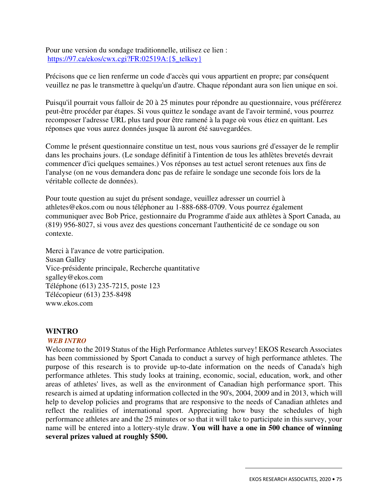Pour une version du sondage traditionnelle, utilisez ce lien : https://97.ca/ekos/cwx.cgi?FR:02519A:{\$\_telkey}

Précisons que ce lien renferme un code d'accès qui vous appartient en propre; par conséquent veuillez ne pas le transmettre à quelqu'un d'autre. Chaque répondant aura son lien unique en soi.

Puisqu'il pourrait vous falloir de 20 à 25 minutes pour répondre au questionnaire, vous préférerez peut-être procéder par étapes. Si vous quittez le sondage avant de l'avoir terminé, vous pourrez recomposer l'adresse URL plus tard pour être ramené à la page où vous étiez en quittant. Les réponses que vous aurez données jusque là auront été sauvegardées.

Comme le présent questionnaire constitue un test, nous vous saurions gré d'essayer de le remplir dans les prochains jours. (Le sondage définitif à l'intention de tous les athlètes brevetés devrait commencer d'ici quelques semaines.) Vos réponses au test actuel seront retenues aux fins de l'analyse (on ne vous demandera donc pas de refaire le sondage une seconde fois lors de la véritable collecte de données).

Pour toute question au sujet du présent sondage, veuillez adresser un courriel à athletes@ekos.com ou nous téléphoner au 1-888-688-0709. Vous pourrez également communiquer avec Bob Price, gestionnaire du Programme d'aide aux athlètes à Sport Canada, au (819) 956-8027, si vous avez des questions concernant l'authenticité de ce sondage ou son contexte.

Merci à l'avance de votre participation. Susan Galley Vice-présidente principale, Recherche quantitative sgalley@ekos.com Téléphone (613) 235-7215, poste 123 Télécopieur (613) 235-8498 www.ekos.com

#### **WINTRO**

#### *WEB INTRO*

Welcome to the 2019 Status of the High Performance Athletes survey! EKOS Research Associates has been commissioned by Sport Canada to conduct a survey of high performance athletes. The purpose of this research is to provide up-to-date information on the needs of Canada's high performance athletes. This study looks at training, economic, social, education, work, and other areas of athletes' lives, as well as the environment of Canadian high performance sport. This research is aimed at updating information collected in the 90's, 2004, 2009 and in 2013, which will help to develop policies and programs that are responsive to the needs of Canadian athletes and reflect the realities of international sport. Appreciating how busy the schedules of high performance athletes are and the 25 minutes or so that it will take to participate in this survey, your name will be entered into a lottery-style draw. **You will have a one in 500 chance of winning several prizes valued at roughly \$500.**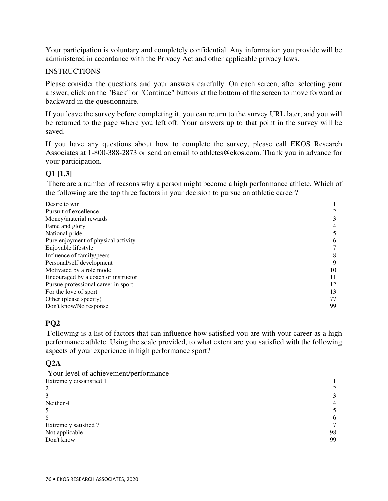Your participation is voluntary and completely confidential. Any information you provide will be administered in accordance with the Privacy Act and other applicable privacy laws.

#### INSTRUCTIONS

Please consider the questions and your answers carefully. On each screen, after selecting your answer, click on the "Back" or "Continue" buttons at the bottom of the screen to move forward or backward in the questionnaire.

If you leave the survey before completing it, you can return to the survey URL later, and you will be returned to the page where you left off. Your answers up to that point in the survey will be saved.

If you have any questions about how to complete the survey, please call EKOS Research Associates at 1-800-388-2873 or send an email to athletes@ekos.com. Thank you in advance for your participation.

#### **Q1 [1,3]**

 There are a number of reasons why a person might become a high performance athlete. Which of the following are the top three factors in your decision to pursue an athletic career?

| 3  |
|----|
| 4  |
| 5  |
| 6  |
|    |
| 8  |
| 9  |
| 10 |
| 11 |
| 12 |
| 13 |
| 77 |
| 99 |
|    |

## **PQ2**

 Following is a list of factors that can influence how satisfied you are with your career as a high performance athlete. Using the scale provided, to what extent are you satisfied with the following aspects of your experience in high performance sport?

## **Q2A**

| Your level of achievement/performance |    |
|---------------------------------------|----|
| Extremely dissatisfied 1              |    |
| 2                                     |    |
| 3                                     | 3  |
| Neither 4                             | 4  |
| 5                                     |    |
| 6                                     | 6  |
| Extremely satisfied 7                 |    |
| Not applicable                        | 98 |
| Don't know                            | 99 |
|                                       |    |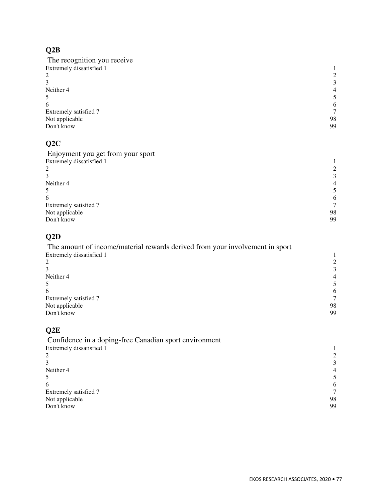# **Q2B**

| The recognition you receive |                |
|-----------------------------|----------------|
| Extremely dissatisfied 1    |                |
| 2                           | 2              |
|                             | 3              |
| Neither 4                   | $\overline{4}$ |
|                             | 5              |
| 6                           | 6              |
| Extremely satisfied 7       |                |
| Not applicable              | 98             |
| Don't know                  | 99             |
|                             |                |

# **Q2C**

| Enjoyment you get from your sport |                |
|-----------------------------------|----------------|
| Extremely dissatisfied 1          |                |
| 2                                 |                |
|                                   | 3              |
| Neither 4                         | $\overline{4}$ |
|                                   |                |
| 6                                 | 6              |
| Extremely satisfied 7             |                |
| Not applicable                    | 98             |
| Don't know                        | 99             |

# **Q2D**

| The amount of income/material rewards derived from your involvement in sport |    |
|------------------------------------------------------------------------------|----|
| Extremely dissatisfied 1                                                     |    |
| 2                                                                            |    |
|                                                                              | 3  |
| Neither 4                                                                    | 4  |
| 5                                                                            |    |
| 6                                                                            | 6  |
| Extremely satisfied 7                                                        |    |
| Not applicable                                                               | 98 |
| Don't know                                                                   | 99 |

# **Q2E**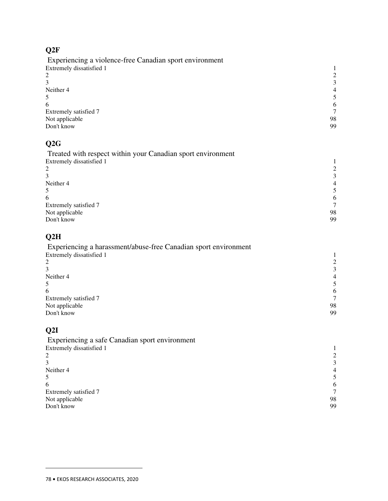# **Q2F**

 Experiencing a violence-free Canadian sport environment Extremely dissatisfied 1 1 2 2 2 and 2 and 2 and 2 and 2 and 2 and 2 and 2 and 2 and 2 and 2 and 2 and 2 and 2 and 2 and 2 and 2 and 2 and 2 and 2 and 2 and 2 and 2 and 2 and 2 and 2 and 2 and 2 and 2 and 2 and 2 and 2 and 2 and 2 and 2 and 2 and 2 and  $3 \overline{3}$ Neither 4 **4** 4 **4**  $5 \hspace{2.5cm} 5$  $\epsilon$  6 6 Extremely satisfied 7 7 Not applicable 98 Don't know 99

# **Q2G**

| Treated with respect within your Canadian sport environment |                |
|-------------------------------------------------------------|----------------|
| Extremely dissatisfied 1                                    |                |
| 2                                                           | 2              |
| 3                                                           | 3              |
| Neither 4                                                   | $\overline{4}$ |
| 5                                                           | 5              |
| 6                                                           | 6              |
| Extremely satisfied 7                                       |                |
| Not applicable                                              | 98             |
| Don't know                                                  | 99             |
|                                                             |                |

# **Q2H**

| Experiencing a harassment/abuse-free Canadian sport environment |                |
|-----------------------------------------------------------------|----------------|
| Extremely dissatisfied 1                                        |                |
| 2                                                               |                |
|                                                                 | $\mathcal{E}$  |
| Neither 4                                                       | $\overline{4}$ |
| 5                                                               |                |
| 6                                                               | 6              |
| Extremely satisfied 7                                           |                |
| Not applicable                                                  | 98             |
| Don't know                                                      | 99             |

# **Q2I**

| Experiencing a safe Canadian sport environment |                |
|------------------------------------------------|----------------|
| Extremely dissatisfied 1                       |                |
| 2                                              |                |
|                                                | 3              |
| Neither 4                                      | $\overline{4}$ |
| 5                                              |                |
| 6                                              | 6              |
| Extremely satisfied 7                          |                |
| Not applicable                                 | 98             |
| Don't know                                     | 99             |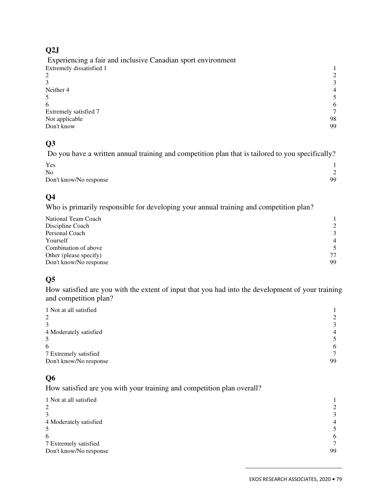# **Q2J**

| 3              |
|----------------|
| $\overline{4}$ |
|                |
| 6              |
|                |
| 98             |
| 99             |
|                |

# **Q3**

Do you have a written annual training and competition plan that is tailored to you specifically?

| Yes                    |    |
|------------------------|----|
| N <sub>0</sub>         |    |
| Don't know/No response | 99 |

# **Q4**

Who is primarily responsible for developing your annual training and competition plan?

| National Team Coach    |                |
|------------------------|----------------|
| Discipline Coach       | 2              |
| Personal Coach         | 3              |
| Yourself               | $\overline{4}$ |
| Combination of above   | 5              |
| Other (please specify) | 77             |
| Don't know/No response | 99             |

# **Q5**

How satisfied are you with the extent of input that you had into the development of your training and competition plan?

| 1 Not at all satisfied |                |
|------------------------|----------------|
| 2                      | 2              |
| 3                      | $\mathcal{E}$  |
| 4 Moderately satisfied | $\overline{4}$ |
| 5                      | 5              |
| 6                      | 6              |
| 7 Extremely satisfied  | 7              |
| Don't know/No response | 99             |

# **Q6**

How satisfied are you with your training and competition plan overall?

| 1 Not at all satisfied |                |
|------------------------|----------------|
| 2                      | 2              |
| 3                      | $\mathcal{E}$  |
| 4 Moderately satisfied | $\overline{4}$ |
| 5                      |                |
| 6                      | 6              |
| 7 Extremely satisfied  | $\tau$         |
| Don't know/No response | 99             |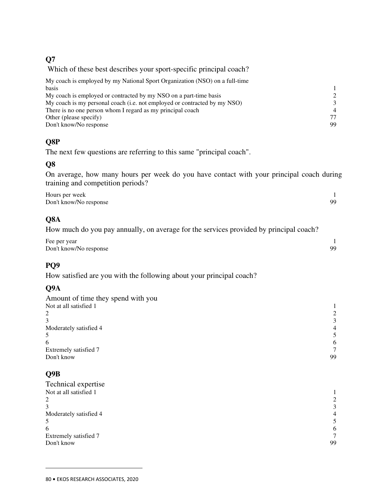#### **Q7**

Which of these best describes your sport-specific principal coach?

| My coach is employed by my National Sport Organization (NSO) on a full-time |                |
|-----------------------------------------------------------------------------|----------------|
| basis                                                                       |                |
| My coach is employed or contracted by my NSO on a part-time basis           | $\mathcal{L}$  |
| My coach is my personal coach (i.e. not employed or contracted by my NSO)   | $\mathcal{R}$  |
| There is no one person whom I regard as my principal coach                  | $\overline{4}$ |
| Other (please specify)                                                      | 77             |
| Don't know/No response                                                      | 99             |

# **Q8P**

The next few questions are referring to this same "principal coach".

## **Q8**

On average, how many hours per week do you have contact with your principal coach during training and competition periods?

| Hours per week         |     |
|------------------------|-----|
| Don't know/No response | QQ. |

# **Q8A**

How much do you pay annually, on average for the services provided by principal coach?

| Fee per year           |           |
|------------------------|-----------|
| Don't know/No response | <b>QQ</b> |

## **PQ9**

How satisfied are you with the following about your principal coach?

## **Q9A**

| Amount of time they spend with you |                |
|------------------------------------|----------------|
| Not at all satisfied 1             |                |
| 2                                  |                |
| 3                                  | 3              |
| Moderately satisfied 4             | $\overline{4}$ |
| 5                                  | 5.             |
| 6                                  | 6              |
| Extremely satisfied 7              | $\tau$         |
| Don't know                         | 99             |
|                                    |                |

# **Q9B**

| Technical expertise    |                |
|------------------------|----------------|
| Not at all satisfied 1 |                |
| 2                      | 2              |
| 3                      | 3              |
| Moderately satisfied 4 | $\overline{4}$ |
| 5                      | 5.             |
| 6                      | 6              |
| Extremely satisfied 7  | 7              |
| Don't know             | 99             |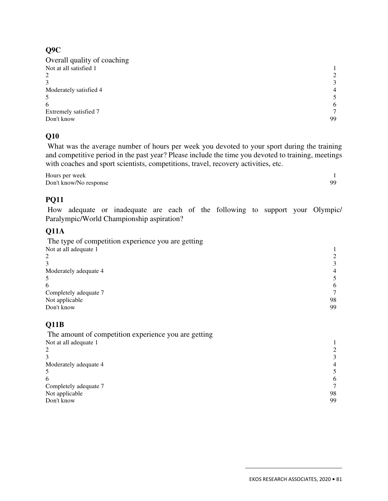#### **Q9C**

| Overall quality of coaching |                |
|-----------------------------|----------------|
| Not at all satisfied 1      |                |
|                             | $\mathcal{L}$  |
|                             | 3              |
| Moderately satisfied 4      | $\overline{4}$ |
|                             |                |
| 6                           | 6              |
| Extremely satisfied 7       |                |
| Don't know                  | 99             |
|                             |                |

## **Q10**

 What was the average number of hours per week you devoted to your sport during the training and competitive period in the past year? Please include the time you devoted to training, meetings with coaches and sport scientists, competitions, travel, recovery activities, etc.

Hours per week 1<br>Don't know/No response 99 Don't know/No response

# **PQ11**

 How adequate or inadequate are each of the following to support your Olympic/ Paralympic/World Championship aspiration?

## **Q11A**

| The type of competition experience you are getting |    |
|----------------------------------------------------|----|
| Not at all adequate 1                              |    |
| 2                                                  |    |
|                                                    |    |
| Moderately adequate 4                              | 4  |
| 5                                                  |    |
| 6                                                  | 6  |
| Completely adequate 7                              |    |
| Not applicable                                     | 98 |
| Don't know                                         | 99 |

# **Q11B**

 The amount of competition experience you are getting Not at all adequate 1 1 2 and 2 and 2 and 2 and 2 and 2 and 2 and 2 and 2 and 2 and 2 and 2 and 2 and 2 and 2 and 2 and 2 and 2 and 2 and 2 and 2 and 2 and 2 and 2 and 2 and 2 and 2 and 2 and 2 and 2 and 2 and 2 and 2 and 2 and 2 and 2 and 2 and  $3 \overline{3}$ Moderately adequate 4 4 5  $5 \hspace{2.5cm} 5$  $\epsilon$  6 6 Completely adequate 7 7 Not applicable 98<br>Don't know 99 Don't know 99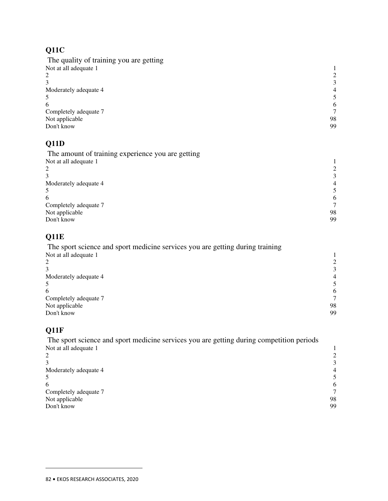# **Q11C**

| The quality of training you are getting |                |
|-----------------------------------------|----------------|
| Not at all adequate 1                   |                |
| 2                                       |                |
|                                         | $\mathcal{E}$  |
| Moderately adequate 4                   | $\overline{4}$ |
| 5                                       |                |
| 6                                       | 6              |
| Completely adequate 7                   |                |
| Not applicable                          | 98             |
| Don't know                              | 99             |
|                                         |                |

# **Q11D**

| 4  |
|----|
|    |
| 6  |
|    |
| 98 |
| 99 |
|    |

# **Q11E**

| The sport science and sport medicine services you are getting during training |    |
|-------------------------------------------------------------------------------|----|
| Not at all adequate 1                                                         |    |
| 2                                                                             |    |
|                                                                               |    |
| Moderately adequate 4                                                         |    |
|                                                                               |    |
| 6                                                                             | 6  |
| Completely adequate 7                                                         |    |
| Not applicable                                                                | 98 |
| Don't know                                                                    | 99 |

## **Q11F**

 $\overline{a}$ 

 The sport science and sport medicine services you are getting during competition periods Not at all adequate 1  $\frac{1}{2}$ <br>3 3 2 and 2 and 2 and 2 and 2 and 2 and 2 and 2 and 2 and 2 and 2 and 2 and 2 and 2 and 2 and 2 and 2 and 2 and 2 and 2 and 2 and 2 and 2 and 2 and 2 and 2 and 2 and 2 and 2 and 2 and 2 and 2 and 2 and 2 and 2 and 2 and 2 and  $3 \overline{3}$ Moderately adequate 4 4<br>5<br>6  $5 \hspace{2.5cm} 5$  $\epsilon$  6 6 Completely adequate 7 7<br>Not applicable 98

| Completely autquale / |    |
|-----------------------|----|
| Not applicable        | 98 |
| Don't know            | 99 |
|                       |    |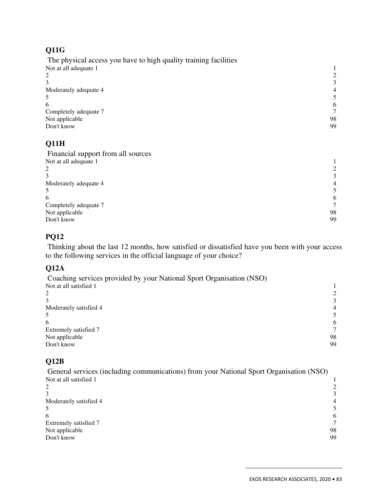## **Q11G**

 The physical access you have to high quality training facilities Not at all adequate 1 1 2  $\overline{2}$  $3 \overline{3}$ Moderately adequate 4 4 4  $\frac{4}{3}$  $5 \hspace{2.5cm} 5$  $\epsilon$  6 6 Completely adequate 7 7 Not applicable 98<br>Don't know 99 Don't know 99

## **Q11H**

| 3              |
|----------------|
| $\overline{4}$ |
| 5              |
| 6              |
|                |
| 98             |
| 99             |
|                |

## **PQ12**

 Thinking about the last 12 months, how satisfied or dissatisfied have you been with your access to the following services in the official language of your choice?

## **Q12A**

| Coaching services provided by your National Sport Organisation (NSO) |                |
|----------------------------------------------------------------------|----------------|
| Not at all satisfied 1                                               |                |
|                                                                      |                |
|                                                                      | 3              |
| Moderately satisfied 4                                               | $\overline{4}$ |
|                                                                      |                |
| 6                                                                    | 6              |
| Extremely satisfied 7                                                |                |
| Not applicable                                                       | 98             |
| Don't know                                                           | 99             |

## **Q12B**

 General services (including communications) from your National Sport Organisation (NSO) Not at all satisfied 1  $\frac{1}{2}$ 2 and 2 and 2 and 2 and 2 and 2 and 2 and 2 and 2 and 2 and 2 and 2 and 2 and 2 and 2 and 2 and 2 and 2 and 2 and 2 and 2 and 2 and 2 and 2 and 2 and 2 and 2 and 2 and 2 and 2 and 2 and 2 and 2 and 2 and 2 and 2 and 2 and  $3 \overline{3}$ Moderately satisfied 4 4 5 5 5 6 1 2 2 3 4 4 5 6 7 2 3 4 4 5 6 7 2 3 4 5 7 2 3 4 5 7 2 3 4 5 7 2 3 4 5 7 2 3 4 5 7 2 3 4 7 2 3 4 7 2 3 2 3 5 7 2 3 4 7 2 3 4 7 2 3 4 7 2 3 4 7 2 3 4 7 2 3 4 7 2 3 4 7 2 3 4 7 2 3 4 7 2 3 4 7  $5 \hspace{2.5cm} 5$  $\epsilon$  6 6 Extremely satisfied 7 7 Not applicable 98 Don't know 99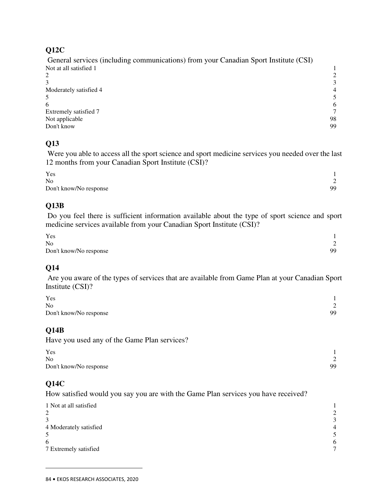#### **Q12C**

 General services (including communications) from your Canadian Sport Institute (CSI) Not at all satisfied 1 1 2 and 2 and 2 and 2 and 2 and 2 and 2 and 2 and 2 and 2 and 2 and 2 and 2 and 2 and 2 and 2 and 2 and 2 and 2 and 2 and 2 and 2 and 2 and 2 and 2 and 2 and 2 and 2 and 2 and 2 and 2 and 2 and 2 and 2 and 2 and 2 and 2 and  $3 \overline{3}$ Moderately satisfied 4 4 4 4  $\frac{4}{3}$  $5 \hspace{2.5cm} 5$  $\epsilon$  6 6 Extremely satisfied 7 7 Not applicable 98<br>Don't know 99 Don't know 99

## **Q13**

 Were you able to access all the sport science and sport medicine services you needed over the last 12 months from your Canadian Sport Institute (CSI)?

| Yes                    |        |
|------------------------|--------|
| N <sub>0</sub>         | $\sim$ |
| Don't know/No response | 99     |

## **Q13B**

 Do you feel there is sufficient information available about the type of sport science and sport medicine services available from your Canadian Sport Institute (CSI)?

| Yes                    |        |
|------------------------|--------|
| N <sub>0</sub>         | $\sim$ |
| Don't know/No response | 99     |

## **Q14**

 Are you aware of the types of services that are available from Game Plan at your Canadian Sport Institute (CSI)?

| Yes                    |        |
|------------------------|--------|
| N <sub>0</sub>         | $\sim$ |
| Don't know/No response | 99     |

## **Q14B**

Have you used any of the Game Plan services?

| Yes                    |        |
|------------------------|--------|
| N <sub>0</sub>         | $\sim$ |
| Don't know/No response | 99     |

## **Q14C**

 $\overline{a}$ 

How satisfied would you say you are with the Game Plan services you have received?

| 1 Not at all satisfied |                             |
|------------------------|-----------------------------|
| 2                      | $\mathcal{D}_{\mathcal{L}}$ |
| 3                      | $\mathcal{F}$               |
| 4 Moderately satisfied | $\overline{4}$              |
| 5                      | 5.                          |
| 6                      | 6                           |
| 7 Extremely satisfied  | $\tau$                      |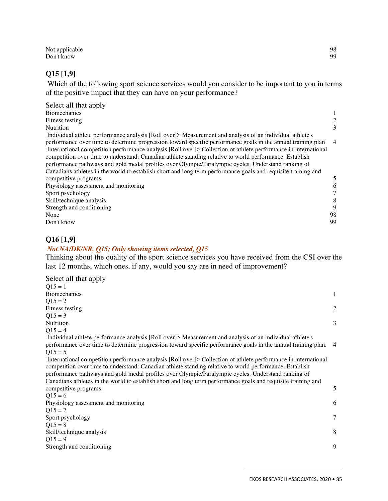Not applicable 98<br>Don't know 99 Don't know 99

#### **Q15 [1,9]**

 Which of the following sport science services would you consider to be important to you in terms of the positive impact that they can have on your performance?

| Select all that apply                                                                                          |                |
|----------------------------------------------------------------------------------------------------------------|----------------|
| <b>Biomechanics</b>                                                                                            |                |
| Fitness testing                                                                                                | 2              |
| <b>Nutrition</b>                                                                                               | 3              |
| Individual athlete performance analysis [Roll over]> Measurement and analysis of an individual athlete's       |                |
| performance over time to determine progression toward specific performance goals in the annual training plan   | $\overline{4}$ |
| International competition performance analysis [Roll over]> Collection of athlete performance in international |                |
| competition over time to understand: Canadian athlete standing relative to world performance. Establish        |                |
| performance pathways and gold medal profiles over Olympic/Paralympic cycles. Understand ranking of             |                |
| Canadians athletes in the world to establish short and long term performance goals and requisite training and  |                |
| competitive programs                                                                                           | 5              |
| Physiology assessment and monitoring                                                                           | 6              |
| Sport psychology                                                                                               |                |
| Skill/technique analysis                                                                                       | 8              |
| Strength and conditioning                                                                                      | 9              |
| None                                                                                                           | 98             |
| Don't know                                                                                                     | 99             |

#### **Q16 [1,9]**

#### *Not NA/DK/NR, Q15; Only showing items selected, Q15*

Thinking about the quality of the sport science services you have received from the CSI over the last 12 months, which ones, if any, would you say are in need of improvement?

| Select all that apply                                                                                                                                                                                                                                                                                                                                                                                                                            |        |
|--------------------------------------------------------------------------------------------------------------------------------------------------------------------------------------------------------------------------------------------------------------------------------------------------------------------------------------------------------------------------------------------------------------------------------------------------|--------|
| $Q15 = 1$                                                                                                                                                                                                                                                                                                                                                                                                                                        |        |
| <b>Biomechanics</b>                                                                                                                                                                                                                                                                                                                                                                                                                              | 1      |
| $Q15 = 2$                                                                                                                                                                                                                                                                                                                                                                                                                                        |        |
| Fitness testing                                                                                                                                                                                                                                                                                                                                                                                                                                  | 2      |
| $Q15 = 3$                                                                                                                                                                                                                                                                                                                                                                                                                                        |        |
| Nutrition                                                                                                                                                                                                                                                                                                                                                                                                                                        | 3      |
| $Q15 = 4$                                                                                                                                                                                                                                                                                                                                                                                                                                        |        |
| Individual athlete performance analysis [Roll over]> Measurement and analysis of an individual athlete's<br>performance over time to determine progression toward specific performance goals in the annual training plan.                                                                                                                                                                                                                        | -4     |
| $Q15 = 5$                                                                                                                                                                                                                                                                                                                                                                                                                                        |        |
| International competition performance analysis [Roll over]> Collection of athlete performance in international<br>competition over time to understand: Canadian athlete standing relative to world performance. Establish<br>performance pathways and gold medal profiles over Olympic/Paralympic cycles. Understand ranking of<br>Canadians athletes in the world to establish short and long term performance goals and requisite training and |        |
| competitive programs.                                                                                                                                                                                                                                                                                                                                                                                                                            | 5      |
| $Q15 = 6$                                                                                                                                                                                                                                                                                                                                                                                                                                        |        |
| Physiology assessment and monitoring                                                                                                                                                                                                                                                                                                                                                                                                             | 6      |
| $Q15 = 7$                                                                                                                                                                                                                                                                                                                                                                                                                                        |        |
| Sport psychology                                                                                                                                                                                                                                                                                                                                                                                                                                 | $\tau$ |
| $Q15 = 8$                                                                                                                                                                                                                                                                                                                                                                                                                                        |        |
| Skill/technique analysis                                                                                                                                                                                                                                                                                                                                                                                                                         | 8      |
| $Q15 = 9$                                                                                                                                                                                                                                                                                                                                                                                                                                        |        |
| Strength and conditioning                                                                                                                                                                                                                                                                                                                                                                                                                        | 9      |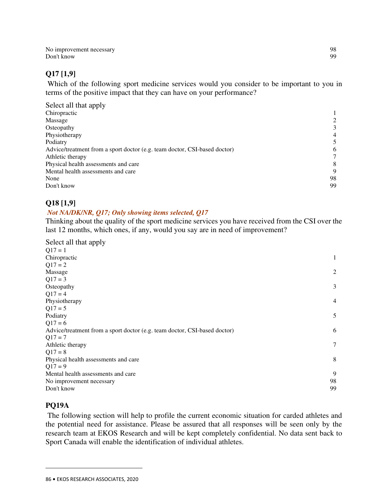No improvement necessary 98<br>Don't know 99 Don't know 99

#### **Q17 [1,9]**

 Which of the following sport medicine services would you consider to be important to you in terms of the positive impact that they can have on your performance?

| Select all that apply                                                     |                |
|---------------------------------------------------------------------------|----------------|
| Chiropractic                                                              |                |
| Massage                                                                   |                |
| Osteopathy                                                                | 3              |
| Physiotherapy                                                             | $\overline{4}$ |
| Podiatry                                                                  |                |
| Advice/treatment from a sport doctor (e.g. team doctor, CSI-based doctor) | 6              |
| Athletic therapy                                                          |                |
| Physical health assessments and care                                      | 8              |
| Mental health assessments and care                                        | 9              |
| None                                                                      | 98             |
| Don't know                                                                | 99             |

#### **Q18 [1,9]**

#### *Not NA/DK/NR, Q17; Only showing items selected, Q17*

Thinking about the quality of the sport medicine services you have received from the CSI over the last 12 months, which ones, if any, would you say are in need of improvement?

| Select all that apply                                                     |                |
|---------------------------------------------------------------------------|----------------|
| $Q17 = 1$                                                                 |                |
| Chiropractic                                                              | 1              |
| $Q17 = 2$                                                                 |                |
| Massage                                                                   | $\overline{2}$ |
| $Q17 = 3$                                                                 |                |
| Osteopathy                                                                | 3              |
| $Q17 = 4$                                                                 |                |
| Physiotherapy                                                             | $\overline{4}$ |
| $Q17 = 5$                                                                 |                |
| Podiatry                                                                  | 5              |
| $Q17 = 6$                                                                 |                |
| Advice/treatment from a sport doctor (e.g. team doctor, CSI-based doctor) | 6              |
| $Q17 = 7$                                                                 |                |
| Athletic therapy                                                          | 7              |
| $Q17 = 8$                                                                 |                |
| Physical health assessments and care                                      | 8              |
| $Q17 = 9$                                                                 |                |
| Mental health assessments and care                                        | 9              |
| No improvement necessary                                                  | 98             |
| Don't know                                                                | 99             |

#### **PQ19A**

 $\overline{a}$ 

 The following section will help to profile the current economic situation for carded athletes and the potential need for assistance. Please be assured that all responses will be seen only by the research team at EKOS Research and will be kept completely confidential. No data sent back to Sport Canada will enable the identification of individual athletes.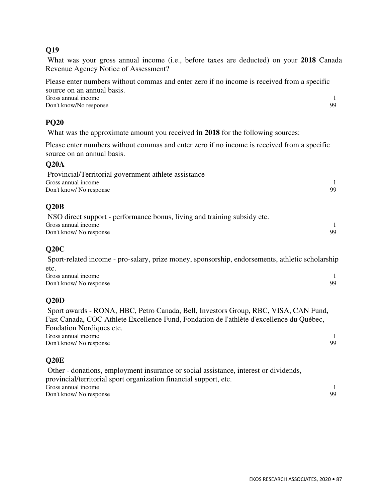#### **Q19**

 What was your gross annual income (i.e., before taxes are deducted) on your **2018** Canada Revenue Agency Notice of Assessment?

Please enter numbers without commas and enter zero if no income is received from a specific source on an annual basis. Gross annual income 1<br>Don't know/No response 99 Don't know/No response

#### **PQ20**

What was the approximate amount you received **in 2018** for the following sources:

Please enter numbers without commas and enter zero if no income is received from a specific source on an annual basis.

#### **Q20A**

| Provincial/Territorial government athlete assistance |    |
|------------------------------------------------------|----|
| Gross annual income                                  |    |
| Don't know/No response                               | 99 |

#### **Q20B**

| NSO direct support - performance bonus, living and training subsidy etc. |     |
|--------------------------------------------------------------------------|-----|
| Gross annual income                                                      |     |
| Don't know/ No response                                                  | 99. |

#### **Q20C**

 Sport-related income - pro-salary, prize money, sponsorship, endorsements, athletic scholarship etc. Gross annual income 1<br>Don't know/No response 99 Don't know/ No response

#### **Q20D**

 Sport awards - RONA, HBC, Petro Canada, Bell, Investors Group, RBC, VISA, CAN Fund, Fast Canada, COC Athlete Excellence Fund, Fondation de l'athlète d'excellence du Québec, Fondation Nordiques etc. Gross annual income 1 Don't know/ No response 99

#### **Q20E**

 Other - donations, employment insurance or social assistance, interest or dividends, provincial/territorial sport organization financial support, etc. Gross annual income 1 Don't know/ No response 99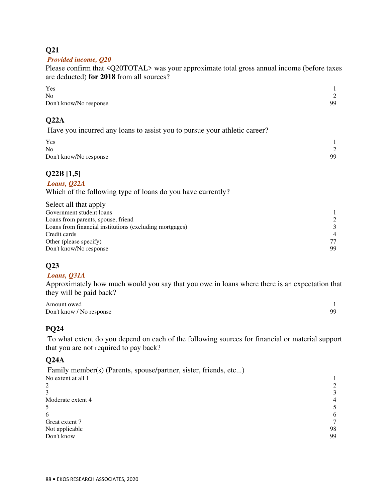#### **Q21**

#### *Provided income, Q20*

Please confirm that <Q20TOTAL> was your approximate total gross annual income (before taxes are deducted) **for 2018** from all sources?

| Yes                    |        |
|------------------------|--------|
| No                     | $\sim$ |
| Don't know/No response | 99     |

#### **Q22A**

Have you incurred any loans to assist you to pursue your athletic career?

| Yes                    |        |
|------------------------|--------|
| N <sub>o</sub>         | $\sim$ |
| Don't know/No response | 99     |

## **Q22B [1,5]**

#### *Loans, Q22A*

Which of the following type of loans do you have currently?

| Select all that apply                                   |                |
|---------------------------------------------------------|----------------|
| Government student loans                                |                |
| Loans from parents, spouse, friend                      | $\mathcal{L}$  |
| Loans from financial institutions (excluding mortgages) | $\mathcal{F}$  |
| Credit cards                                            | $\overline{4}$ |
| Other (please specify)                                  | 77             |
| Don't know/No response                                  | 99             |

## **Q23**

#### *Loans, Q31A*

Approximately how much would you say that you owe in loans where there is an expectation that they will be paid back?

| Amount owed              |    |
|--------------------------|----|
| Don't know / No response | 99 |

## **PQ24**

 To what extent do you depend on each of the following sources for financial or material support that you are not required to pay back?

#### **Q24A**

| Family member(s) (Parents, spouse/partner, sister, friends, etc) |                |
|------------------------------------------------------------------|----------------|
| No extent at all 1                                               |                |
| 2                                                                |                |
|                                                                  | $\mathcal{E}$  |
| Moderate extent 4                                                | $\overline{4}$ |
|                                                                  |                |
| 6                                                                | 6              |
| Great extent 7                                                   |                |
| Not applicable                                                   | 98             |
| Don't know                                                       | 99             |
|                                                                  |                |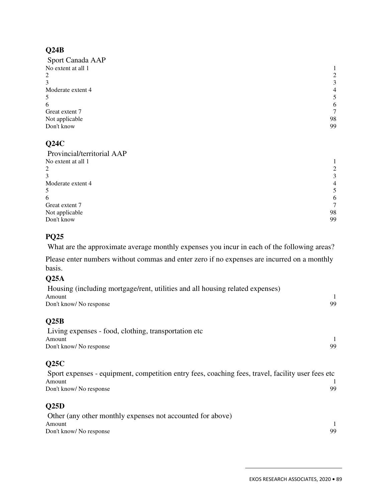## **Q24B**

| Sport Canada AAP   |                |
|--------------------|----------------|
| No extent at all 1 |                |
| 2                  | 2              |
| 3                  | 3              |
| Moderate extent 4  | $\overline{4}$ |
| 5                  | 5              |
| 6                  | 6              |
| Great extent 7     | $\tau$         |
| Not applicable     | 98             |
| Don't know         | 99             |

# **Q24C**

| Provincial/territorial AAP |                |
|----------------------------|----------------|
| No extent at all 1         |                |
| 2                          | 2              |
| 3                          | 3              |
| Moderate extent 4          | $\overline{4}$ |
| 5                          | 5              |
| 6                          | 6              |
| Great extent 7             | 7              |
| Not applicable             | 98             |
| Don't know                 | 99             |
|                            |                |

#### **PQ25**

What are the approximate average monthly expenses you incur in each of the following areas?

Please enter numbers without commas and enter zero if no expenses are incurred on a monthly basis.

#### **Q25A**

| Housing (including mortgage/rent, utilities and all housing related expenses) |    |
|-------------------------------------------------------------------------------|----|
| Amount                                                                        |    |
| Don't know/No response                                                        | 99 |
| Q25B                                                                          |    |
| Living expenses - food, clothing, transportation etc.                         |    |
| Amount                                                                        |    |
| Don't know/No response                                                        | 99 |

## **Q25C**

 Sport expenses - equipment, competition entry fees, coaching fees, travel, facility user fees etc Amount 1 Don't know/ No response 99

#### **Q25D**

| Other (any other monthly expenses not accounted for above) |     |
|------------------------------------------------------------|-----|
| Amount                                                     |     |
| Don't know/ No response                                    | QQ. |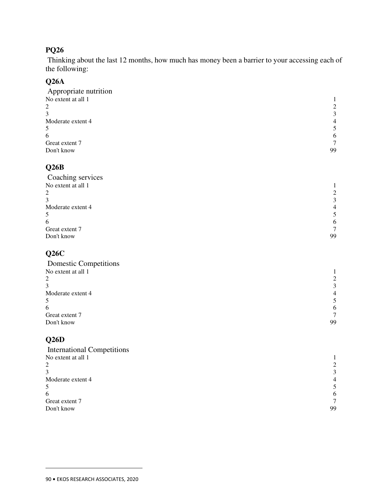# **PQ26**

 Thinking about the last 12 months, how much has money been a barrier to your accessing each of the following:

## **Q26A**

| Appropriate nutrition |                |
|-----------------------|----------------|
| No extent at all 1    |                |
| 2                     | 2              |
| 3                     | 3              |
| Moderate extent 4     | $\overline{4}$ |
| 5                     | 5              |
| 6                     | 6              |
| Great extent 7        | $\tau$         |
| Don't know            | 99             |
|                       |                |

## **Q26B**

| 2              |
|----------------|
| 3              |
| $\overline{4}$ |
| 5              |
| 6              |
| $\tau$         |
| 99             |
|                |

# **Q26C**

| 2              |
|----------------|
| 3              |
| $\overline{4}$ |
| 5              |
| 6              |
| 7              |
| 99             |
|                |

# **Q26D**

| <b>International Competitions</b> |                |
|-----------------------------------|----------------|
| No extent at all 1                |                |
| 2                                 | 2              |
|                                   | 3              |
| Moderate extent 4                 | $\overline{4}$ |
|                                   | 5              |
| 6                                 | 6              |
| Great extent 7                    | $\tau$         |
| Don't know                        | 99             |
|                                   |                |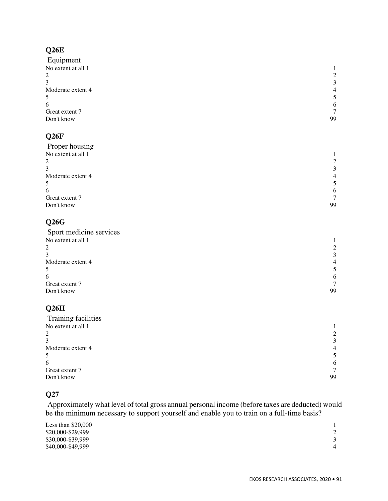# **Q26E**

| Equipment                |                |
|--------------------------|----------------|
| No extent at all 1<br>2  |                |
|                          | 2              |
| 3                        | 3              |
| Moderate extent 4        | $\overline{4}$ |
| 5<br>6<br>Great extent 7 | 5              |
|                          | 6              |
|                          | $\tau$         |
| Don't know               | 99             |
| Q <sub>26F</sub>         |                |

| Proper housing     |                |
|--------------------|----------------|
| No extent at all 1 |                |
|                    | 2              |
|                    | 3              |
| Moderate extent 4  | $\overline{4}$ |
|                    |                |
| b                  | 6              |
| Great extent 7     | $\tau$         |
| Don't know         | 99             |
|                    |                |

# **Q26G**

| 2              |
|----------------|
| 3              |
| $\overline{4}$ |
| 5              |
| 6              |
|                |
| 99             |
|                |
|                |

# **Q26H**

| 2              |
|----------------|
| 3              |
| $\overline{4}$ |
| 5              |
| 6              |
| $\tau$         |
| 99             |
|                |

# **Q27**

 Approximately what level of total gross annual personal income (before taxes are deducted) would be the minimum necessary to support yourself and enable you to train on a full-time basis?

| Less than $$20,000$ |                |
|---------------------|----------------|
| \$20,000-\$29,999   |                |
| \$30,000-\$39,999   |                |
| \$40,000-\$49,999   | $\overline{4}$ |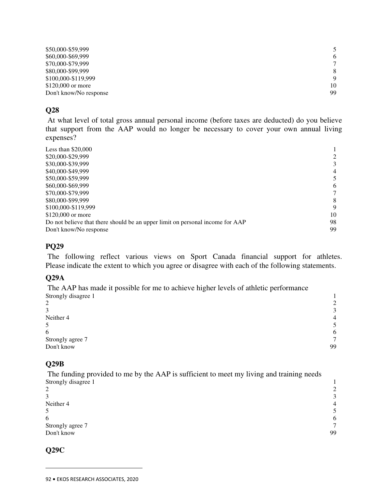| \$50,000-\$59,999      | 5  |
|------------------------|----|
| \$60,000-\$69,999      | 6  |
| \$70,000-\$79,999      |    |
| \$80,000-\$99,999      | 8  |
| \$100,000-\$119,999    | 9  |
| \$120,000 or more      | 10 |
| Don't know/No response | 99 |

#### **Q28**

 At what level of total gross annual personal income (before taxes are deducted) do you believe that support from the AAP would no longer be necessary to cover your own annual living expenses?

| Less than $$20,000$                                                           |                |
|-------------------------------------------------------------------------------|----------------|
| \$20,000-\$29,999                                                             | 2              |
| \$30,000-\$39,999                                                             | 3              |
| \$40,000-\$49,999                                                             | $\overline{4}$ |
| \$50,000-\$59,999                                                             | 5              |
| \$60,000-\$69,999                                                             | 6              |
| \$70,000-\$79,999                                                             | 7              |
| \$80,000-\$99,999                                                             | 8              |
| \$100,000-\$119,999                                                           | 9              |
| \$120,000 or more                                                             | 10             |
| Do not believe that there should be an upper limit on personal income for AAP | 98             |
| Don't know/No response                                                        | 99             |

#### **PQ29**

 The following reflect various views on Sport Canada financial support for athletes. Please indicate the extent to which you agree or disagree with each of the following statements.

#### **Q29A**

 The AAP has made it possible for me to achieve higher levels of athletic performance Strongly disagree 1 1

| C<br>∠           | $\gamma$       |
|------------------|----------------|
| 3                | $\mathbf{r}$   |
| Neither 4        | $\overline{4}$ |
| 5                | $\sim$         |
| 6                | 6              |
| Strongly agree 7 | $\mathcal{L}$  |
| Don't know       | 99             |

#### **Q29B**

 The funding provided to me by the AAP is sufficient to meet my living and training needs Strongly disagree 1 1

| $\overline{2}$   | $\gamma$       |
|------------------|----------------|
| 3                | $\mathbf{r}$   |
| Neither 4        | $\overline{4}$ |
| 5                |                |
| 6                | 6              |
| Strongly agree 7 | $\mathcal{I}$  |
| Don't know       | 99             |

#### **Q29C**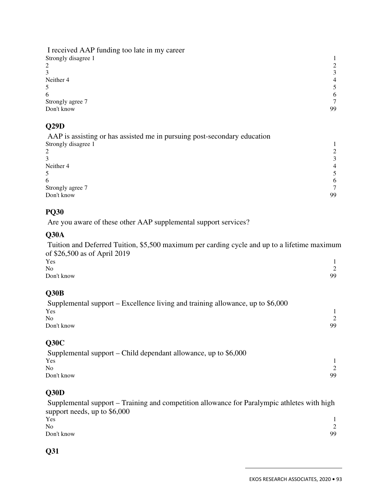I received AAP funding too late in my career Strongly disagree 1 1 2 and 2 and 2 and 2 and 2 and 2 and 2 and 2 and 2 and 2 and 2 and 2 and 2 and 2 and 2 and 2 and 2 and 2 and 2 and 2 and 2 and 2 and 2 and 2 and 2 and 2 and 2 and 2 and 2 and 2 and 2 and 2 and 2 and 2 and 2 and 2 and 2 and  $3 \overline{3}$ Neither 4 **4** 4 **4**  $5 \hspace{2.5cm} 5$  $\epsilon$  6 6 Strongly agree 7 7<br>Don't know 99 Don't know 99

## **Q29D**

| AAP is assisting or has assisted me in pursuing post-secondary education |    |
|--------------------------------------------------------------------------|----|
| Strongly disagree 1                                                      |    |
|                                                                          |    |
|                                                                          |    |
| Neither 4                                                                |    |
|                                                                          |    |
| 6                                                                        | 6  |
| Strongly agree 7                                                         |    |
| Don't know                                                               | 99 |

## **PQ30**

Are you aware of these other AAP supplemental support services?

## **Q30A**

 Tuition and Deferred Tuition, \$5,500 maximum per carding cycle and up to a lifetime maximum of \$26,500 as of April 2019  $Y$ es  $1$ No 2

| Don't know | 99 |
|------------|----|
|            |    |

## **Q30B**

| Supplemental support – Excellence living and training allowance, up to $$6,000$ |     |
|---------------------------------------------------------------------------------|-----|
| Yes                                                                             |     |
| No.                                                                             |     |
| Don't know                                                                      | 99. |
|                                                                                 |     |

## **Q30C**

| Supplemental support – Child dependant allowance, up to $$6,000$ |     |
|------------------------------------------------------------------|-----|
| Yes                                                              |     |
| N <sub>0</sub>                                                   |     |
| Don't know                                                       | 99. |

## **Q30D**

 Supplemental support – Training and competition allowance for Paralympic athletes with high support needs, up to \$6,000 Yes  $Y$ es  $1$ No 2 Don't know 99

# **Q31**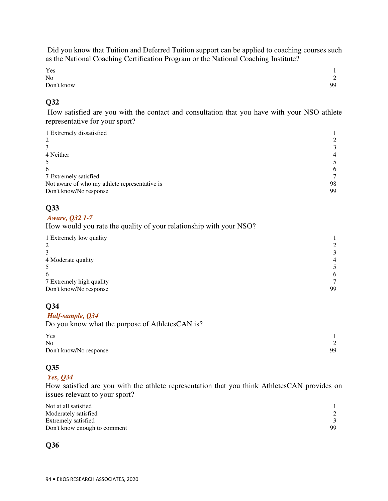Did you know that Tuition and Deferred Tuition support can be applied to coaching courses such as the National Coaching Certification Program or the National Coaching Institute?

| Yes        |                          |
|------------|--------------------------|
| $\rm No$   | $\sim$<br>$\overline{ }$ |
| Don't know | 99                       |

#### **Q32**

 How satisfied are you with the contact and consultation that you have with your NSO athlete representative for your sport?

| 1 Extremely dissatisfied<br>2                 |    |
|-----------------------------------------------|----|
|                                               | 3  |
| 4 Neither                                     | 4  |
| 5                                             |    |
| 6                                             | 6  |
| 7 Extremely satisfied                         |    |
| Not aware of who my athlete representative is | 98 |
| Don't know/No response                        | 99 |

#### **Q33**

#### *Aware, Q32 1-7*

How would you rate the quality of your relationship with your NSO?

| 1 Extremely low quality  |                |
|--------------------------|----------------|
| $\overline{2}$           |                |
|                          | $\mathcal{L}$  |
| 4 Moderate quality       | $\overline{4}$ |
|                          |                |
| 6                        | 6              |
| 7 Extremely high quality | $\mathcal{I}$  |
| Don't know/No response   | 99             |

## **Q34**

#### *Half-sample, Q34*

Do you know what the purpose of AthletesCAN is?

| Yes                    |    |
|------------------------|----|
| <b>No</b>              |    |
| Don't know/No response | 99 |

# **Q35**

#### *Yes, Q34*

How satisfied are you with the athlete representation that you think AthletesCAN provides on issues relevant to your sport?

| Not at all satisfied         |    |
|------------------------------|----|
| Moderately satisfied         |    |
| Extremely satisfied          |    |
| Don't know enough to comment | 99 |

#### **Q36**

<sup>94</sup> **•** EKOS RESEARCH ASSOCIATES, 2020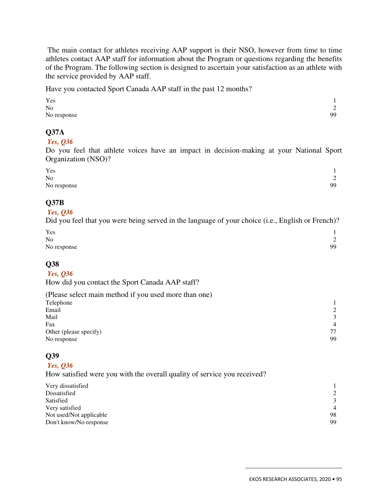The main contact for athletes receiving AAP support is their NSO, however from time to time athletes contact AAP staff for information about the Program or questions regarding the benefits of the Program. The following section is designed to ascertain your satisfaction as an athlete with the service provided by AAP staff.

Have you contacted Sport Canada AAP staff in the past 12 months?

| Yes         |                            |
|-------------|----------------------------|
| No          | $\Omega$<br>$\overline{ }$ |
| No response | 99                         |

#### **Q37A**

#### *Yes, Q36*

Do you feel that athlete voices have an impact in decision-making at your National Sport Organization (NSO)?

| Yes         |                          |
|-------------|--------------------------|
| No          | $\sim$<br>$\overline{ }$ |
| No response | 99                       |

#### **Q37B**

#### *Yes, Q36*

Did you feel that you were being served in the language of your choice (i.e., English or French)?

| Yes         |             |
|-------------|-------------|
| No          | $\sim$<br>∸ |
| No response | 99          |

## **Q38**

#### *Yes, Q36*

How did you contact the Sport Canada AAP staff?

| (Please select main method if you used more than one) |                |
|-------------------------------------------------------|----------------|
| Telephone                                             |                |
| Email                                                 | 2              |
| Mail                                                  | $\mathcal{R}$  |
| Fax                                                   | $\overline{4}$ |
| Other (please specify)                                | 77             |
| No response                                           | 99             |

## **Q39**

#### *Yes, Q36*

How satisfied were you with the overall quality of service you received?

| Very dissatisfied       |                |
|-------------------------|----------------|
| Dissatisfied            | 2              |
| Satisfied               | 3              |
| Very satisfied          | $\overline{4}$ |
| Not used/Not applicable | 98             |
| Don't know/No response  | 99             |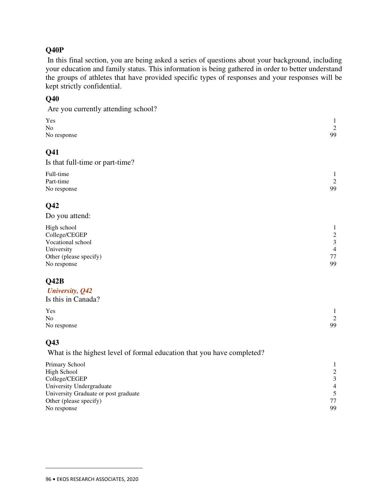## **Q40P**

 In this final section, you are being asked a series of questions about your background, including your education and family status. This information is being gathered in order to better understand the groups of athletes that have provided specific types of responses and your responses will be kept strictly confidential.

## **Q40**

| Are you currently attending school?                                    |                                  |
|------------------------------------------------------------------------|----------------------------------|
| Yes<br>No                                                              | $\mathbf{1}$<br>$\overline{2}$   |
| No response                                                            | 99                               |
| Q41                                                                    |                                  |
| Is that full-time or part-time?                                        |                                  |
| Full-time                                                              | $\mathbf{1}$                     |
| Part-time                                                              | $\overline{2}$                   |
| No response                                                            | 99                               |
| Q42                                                                    |                                  |
| Do you attend:                                                         |                                  |
|                                                                        |                                  |
| High school<br>College/CEGEP                                           | $\mathbf{1}$<br>$\sqrt{2}$       |
| Vocational school                                                      | $\mathfrak{Z}$                   |
| University                                                             | $\overline{4}$                   |
| Other (please specify)                                                 | 77<br>99                         |
| No response                                                            |                                  |
| Q42B                                                                   |                                  |
| University, Q42                                                        |                                  |
| Is this in Canada?                                                     |                                  |
| Yes                                                                    | 1                                |
| N <sub>o</sub>                                                         | $\overline{2}$                   |
| No response                                                            | 99                               |
| Q43                                                                    |                                  |
| What is the highest level of formal education that you have completed? |                                  |
| Primary School                                                         | 1                                |
| High School                                                            | $\sqrt{2}$                       |
| College/CEGEP                                                          | $\mathfrak{Z}$                   |
| University Undergraduate<br>University Graduate or post graduate       | $\overline{4}$<br>$\overline{5}$ |
| Other (please specify)                                                 | 77                               |
| No response                                                            | 99                               |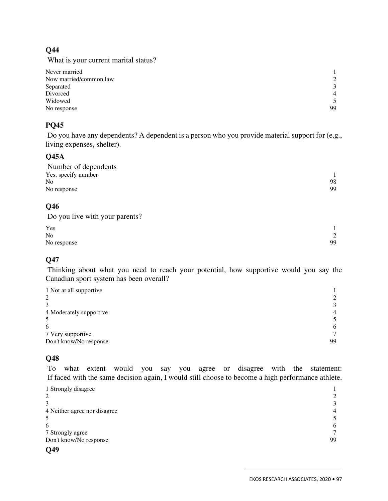## **Q44**

What is your current marital status?

| Never married          |                |
|------------------------|----------------|
| Now married/common law | 2              |
| Separated              | 3              |
| Divorced               | $\overline{4}$ |
| Widowed                | 5              |
| No response            | 99             |

## **PQ45**

 Do you have any dependents? A dependent is a person who you provide material support for (e.g., living expenses, shelter).

#### **Q45A**

| Number of dependents |    |
|----------------------|----|
| Yes, specify number  |    |
| <b>No</b>            | 98 |
| No response          | 99 |

#### **Q46**

Do you live with your parents?

| Yes            |                            |
|----------------|----------------------------|
| N <sub>o</sub> | $\Omega$<br>$\overline{L}$ |
| No response    | 99                         |

## **Q47**

 Thinking about what you need to reach your potential, how supportive would you say the Canadian sport system has been overall?

| $\mathcal{E}$  |
|----------------|
| $\overline{4}$ |
|                |
| 6              |
|                |
| 99             |
|                |

# **Q48**

 To what extent would you say you agree or disagree with the statement: If faced with the same decision again, I would still choose to become a high performance athlete.

| 1 Strongly disagree          |               |
|------------------------------|---------------|
| 2                            |               |
|                              | $\mathcal{L}$ |
| 4 Neither agree nor disagree | 4             |
| 5                            |               |
| 6                            | 6             |
| 7 Strongly agree             |               |
| Don't know/No response       | 99            |
| $\sim$ $\sim$                |               |

# **Q49**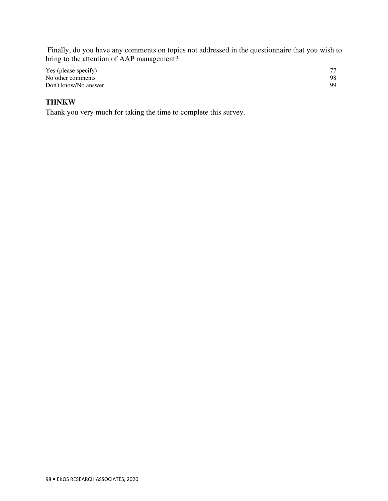Finally, do you have any comments on topics not addressed in the questionnaire that you wish to bring to the attention of AAP management?

| Yes (please specify) | 77 |
|----------------------|----|
| No other comments    | 98 |
| Don't know/No answer | 99 |

# **THNKW**

Thank you very much for taking the time to complete this survey.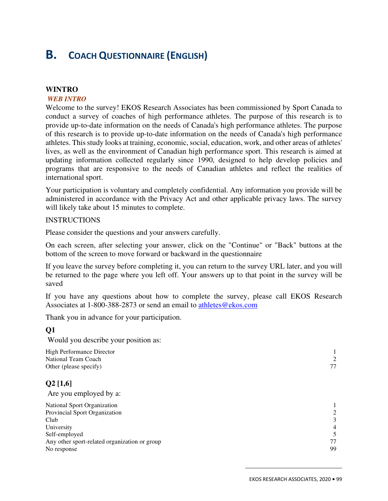# **B. COACH QUESTIONNAIRE (ENGLISH)**

#### **WINTRO**

#### *WEB INTRO*

Welcome to the survey! EKOS Research Associates has been commissioned by Sport Canada to conduct a survey of coaches of high performance athletes. The purpose of this research is to provide up-to-date information on the needs of Canada's high performance athletes. The purpose of this research is to provide up-to-date information on the needs of Canada's high performance athletes. This study looks at training, economic, social, education, work, and other areas of athletes' lives, as well as the environment of Canadian high performance sport. This research is aimed at updating information collected regularly since 1990, designed to help develop policies and programs that are responsive to the needs of Canadian athletes and reflect the realities of international sport.

Your participation is voluntary and completely confidential. Any information you provide will be administered in accordance with the Privacy Act and other applicable privacy laws. The survey will likely take about 15 minutes to complete.

#### **INSTRUCTIONS**

Please consider the questions and your answers carefully.

On each screen, after selecting your answer, click on the "Continue" or "Back" buttons at the bottom of the screen to move forward or backward in the questionnaire

If you leave the survey before completing it, you can return to the survey URL later, and you will be returned to the page where you left off. Your answers up to that point in the survey will be saved

If you have any questions about how to complete the survey, please call EKOS Research Associates at 1-800-388-2873 or send an email to athletes@ekos.com

Thank you in advance for your participation.

#### **Q1**

Would you describe your position as:

| 2              |
|----------------|
| 77             |
|                |
|                |
|                |
| 2              |
| 3              |
| $\overline{4}$ |
| 5              |
| 77             |
| 99             |
|                |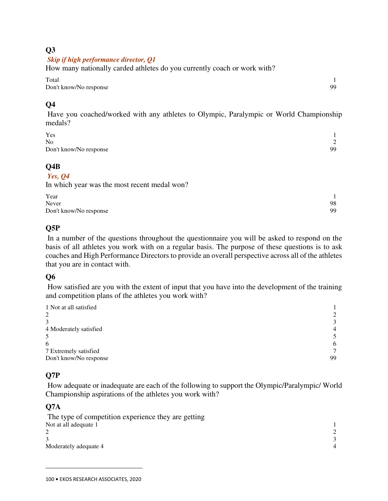## **Q3**

#### *Skip if high performance director, Q1*

How many nationally carded athletes do you currently coach or work with?

Total 1 Don't know/No response 99

# **Q4**

 Have you coached/worked with any athletes to Olympic, Paralympic or World Championship medals?

| Yes                    |        |
|------------------------|--------|
| N <sub>0</sub>         | $\sim$ |
| Don't know/No response | 99     |

#### **Q4B**

#### *Yes, Q4*

In which year was the most recent medal won?

| Year                   |    |
|------------------------|----|
| Never                  | 98 |
| Don't know/No response | 99 |

# **Q5P**

 In a number of the questions throughout the questionnaire you will be asked to respond on the basis of all athletes you work with on a regular basis. The purpose of these questions is to ask coaches and High Performance Directors to provide an overall perspective across all of the athletes that you are in contact with.

## **Q6**

 How satisfied are you with the extent of input that you have into the development of the training and competition plans of the athletes you work with?

| 1 Not at all satisfied |                |
|------------------------|----------------|
| 2                      | 2              |
|                        | 3              |
| 4 Moderately satisfied | $\overline{4}$ |
| 5                      |                |
| 6                      | 6              |
| 7 Extremely satisfied  | $\mathcal{L}$  |
| Don't know/No response | 99             |

# **Q7P**

 How adequate or inadequate are each of the following to support the Olympic/Paralympic/ World Championship aspirations of the athletes you work with?

## **Q7A**

```
 The type of competition experience they are getting 
Not at all adequate 1 1
2 \overline{2}3 \overline{3}Moderately adequate 4 4 4 4 \frac{4}{3}
```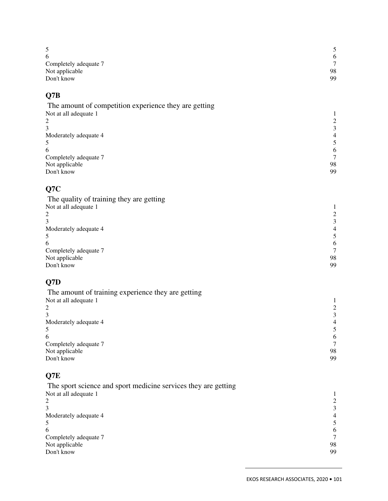| 5<br>6                                                         | $\sqrt{5}$<br>6              |
|----------------------------------------------------------------|------------------------------|
| Completely adequate 7                                          | $\tau$                       |
| Not applicable<br>Don't know                                   | 98<br>99                     |
|                                                                |                              |
| Q7B                                                            |                              |
| The amount of competition experience they are getting          |                              |
| Not at all adequate 1                                          | $\mathbf{1}$                 |
| 2<br>3                                                         | $\frac{2}{3}$                |
| Moderately adequate 4                                          | $\overline{4}$               |
| 5                                                              | $\sqrt{5}$                   |
| 6<br>Completely adequate 7                                     | 6<br>$\tau$                  |
| Not applicable                                                 | 98                           |
| Don't know                                                     | 99                           |
| Q7C                                                            |                              |
| The quality of training they are getting                       |                              |
| Not at all adequate 1                                          | $\mathbf{1}$                 |
| $\overline{\mathbf{c}}$<br>3                                   | $\sqrt{2}$<br>$\mathfrak{Z}$ |
| Moderately adequate 4                                          | $\overline{4}$               |
| 5                                                              | $\sqrt{5}$                   |
| 6                                                              | 6                            |
| Completely adequate 7<br>Not applicable                        | $\overline{7}$<br>98         |
| Don't know                                                     | 99                           |
| Q7D                                                            |                              |
| The amount of training experience they are getting             |                              |
| Not at all adequate 1                                          | $\mathbf{1}$                 |
| $\overline{\mathbf{c}}$                                        | $\frac{2}{3}$                |
| 3<br>Moderately adequate 4                                     | $\overline{4}$               |
| 5                                                              | 5                            |
| 6                                                              | 6                            |
| Completely adequate 7                                          | $\boldsymbol{7}$<br>98       |
| Not applicable<br>Don't know                                   | 99                           |
| Q7E                                                            |                              |
| The sport science and sport medicine services they are getting |                              |
| Not at all adequate 1                                          | 1                            |
| 2                                                              | $\sqrt{2}$                   |
| 3                                                              | $\ensuremath{\mathfrak{Z}}$  |
| Moderately adequate 4<br>5                                     | $\overline{4}$<br>5          |
| 6                                                              | $\sqrt{6}$                   |
| Completely adequate 7                                          | $\tau$                       |
| Not applicable                                                 | 98<br>99                     |
| Don't know                                                     |                              |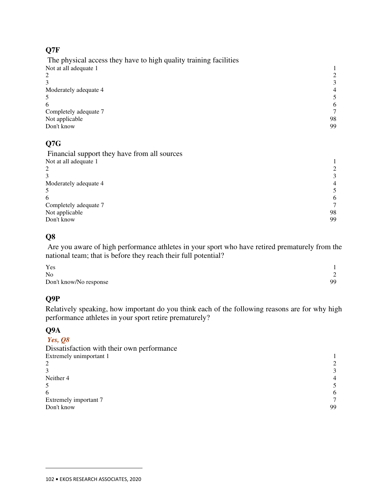## **Q7F**

 The physical access they have to high quality training facilities Not at all adequate 1 1 2  $\overline{2}$  $3 \overline{3}$ Moderately adequate 4 4 4  $\frac{4}{3}$  $5 \hspace{2.5cm} 5$  $\epsilon$  6 6 Completely adequate 7 7 Not applicable 98<br>Don't know 99 Don't know 99

# **Q7G**

 Financial support they have from all sources Not at all adequate 1 1 2 and 2 and 2 and 2 and 2 and 2 and 2 and 2 and 2 and 2 and 2 and 2 and 2 and 2 and 2 and 2 and 2 and 2 and 2 and 2 and 2 and 2 and 2 and 2 and 2 and 2 and 2 and 2 and 2 and 2 and 2 and 2 and 2 and 2 and 2 and 2 and 2 and  $3 \overline{3}$ Moderately adequate 4 4 4  $\frac{4}{3}$  $5 \hspace{2.5cm} 5$  $\epsilon$  6 6 Completely adequate 7 7 Not applicable 98<br>Don't know 99 Don't know 99

## **Q8**

 Are you aware of high performance athletes in your sport who have retired prematurely from the national team; that is before they reach their full potential?

| Yes                    |        |
|------------------------|--------|
| N <sub>0</sub>         | $\sim$ |
| Don't know/No response | 99     |

## **Q9P**

Relatively speaking, how important do you think each of the following reasons are for why high performance athletes in your sport retire prematurely?

## **Q9A**

 $\overline{a}$ 

#### *Yes, Q8*

| 3              |
|----------------|
| $\overline{4}$ |
|                |
| 6              |
| $\tau$         |
| 99             |
|                |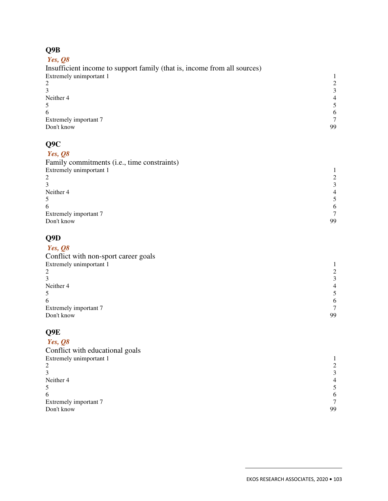# **Q9B**

| Yes, $Q8$                                                                |                |
|--------------------------------------------------------------------------|----------------|
| Insufficient income to support family (that is, income from all sources) |                |
| Extremely unimportant 1                                                  |                |
|                                                                          |                |
|                                                                          | 3              |
| Neither 4                                                                | $\overline{4}$ |
|                                                                          |                |
| 6                                                                        | 6              |
| Extremely important 7                                                    |                |
| Don't know                                                               | 99             |
|                                                                          |                |

# $\Omega$

| QYU                                         |                |
|---------------------------------------------|----------------|
| Yes, $Q8$                                   |                |
| Family commitments (i.e., time constraints) |                |
| Extremely unimportant 1                     |                |
| 2                                           | 2              |
|                                             | 3              |
| Neither 4                                   | $\overline{4}$ |
|                                             | 5              |
| 6                                           | 6              |
| Extremely important 7                       |                |
| Don't know                                  | 99             |
|                                             |                |
|                                             |                |

# **Q9D**

| Yes, $Q8$                            |                |
|--------------------------------------|----------------|
| Conflict with non-sport career goals |                |
| Extremely unimportant 1              |                |
| 2                                    |                |
|                                      | 3              |
| Neither 4                            | $\overline{4}$ |
|                                      |                |
| 6                                    | 6              |
| Extremely important 7                |                |
| Don't know                           | 99             |
|                                      |                |

## **Q9E**

#### *Yes, Q8*  Conflict with educational goals Extremely unimportant 1 1 2 2 2 and 2 and 2 and 2 and 2 and 2 and 2 and 2 and 2 and 2 and 2 and 2 and 2 and 2 and 2 and 2 and 2 and 2 and 2 and 2 and 2 and 2 and 2 and 2 and 2 and 2 and 2 and 2 and 2 and 2 and 2 and 2 and 2 and 2 and 2 and 2 and 2 and  $3 \overline{3}$ Neither 4 **4** 4 **4**  $5 \hspace{2.5cm} 5$  $\epsilon$  6 6 Extremely important 7 and 7 7 and 7 and 7 and 7 99 Don't know 99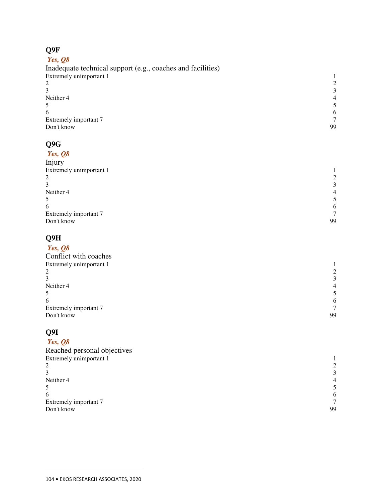# **Q9F**

## *Yes, Q8*

| Inadequate technical support (e.g., coaches and facilities) |    |
|-------------------------------------------------------------|----|
| Extremely unimportant 1                                     |    |
|                                                             |    |
|                                                             |    |
| Neither 4                                                   |    |
|                                                             |    |
| 6                                                           | 6  |
| Extremely important 7                                       |    |
| Don't know                                                  | 99 |
|                                                             |    |

#### **Q9G**

| Yes, $Q8$               |                |
|-------------------------|----------------|
| Injury                  |                |
| Extremely unimportant 1 |                |
| 2                       | 2              |
| 3                       | 3              |
| Neither 4               | $\overline{4}$ |
| 5                       | 5              |
| 6                       | 6              |
| Extremely important 7   | $\tau$         |
| Don't know              | 99             |
|                         |                |

# **Q9H**

| Yes, $Q8$               |                |
|-------------------------|----------------|
| Conflict with coaches   |                |
| Extremely unimportant 1 |                |
| 2                       | 2              |
| 3                       | 3              |
| Neither 4               | $\overline{4}$ |
| 5                       | 5              |
| 6                       | 6              |
| Extremely important 7   | $\tau$         |
| Don't know              | 99             |
|                         |                |

# **Q9I**

 $\overline{a}$ 

# *Yes, Q8*

| Reached personal objectives |                |
|-----------------------------|----------------|
| Extremely unimportant 1     |                |
| 2                           |                |
|                             | $\mathcal{E}$  |
| Neither 4                   | $\overline{4}$ |
|                             |                |
| 6                           | 6              |
| Extremely important 7       |                |
| Don't know                  | 99             |
|                             |                |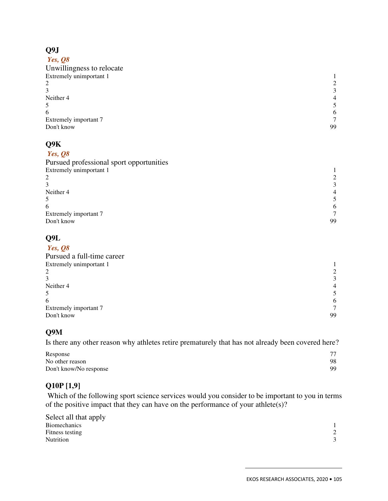# **Q9J**

| Yes, $\mathcal{Q}\mathcal{S}$ |                |
|-------------------------------|----------------|
| Unwillingness to relocate     |                |
| Extremely unimportant 1       |                |
| 2                             | 2              |
| 3                             | 3              |
| Neither 4                     | $\overline{4}$ |
| 5                             | 5              |
| 6                             | 6              |
| Extremely important 7         | 7              |
| Don't know                    | 99             |
|                               |                |

# **Q9K**

#### *Yes, Q8*

| $\mathcal{E}$ |
|---------------|
|               |
|               |
| 6             |
|               |
| 99            |
|               |

#### **Q9L**

| Yes, $Q8$                  |                |
|----------------------------|----------------|
| Pursued a full-time career |                |
| Extremely unimportant 1    |                |
| 2                          | 2              |
| 3                          | 3              |
| Neither 4                  | $\overline{4}$ |
| 5                          |                |
| 6                          | 6              |
| Extremely important 7      | $\tau$         |
| Don't know                 | 99             |
|                            |                |

## **Q9M**

Is there any other reason why athletes retire prematurely that has not already been covered here?

| Response               | 77 |
|------------------------|----|
| No other reason        | 98 |
| Don't know/No response | 99 |

# **Q10P [1,9]**

 Which of the following sport science services would you consider to be important to you in terms of the positive impact that they can have on the performance of your athlete(s)?

| Select all that apply |  |
|-----------------------|--|
| <b>Biomechanics</b>   |  |
| Fitness testing       |  |
| <b>Nutrition</b>      |  |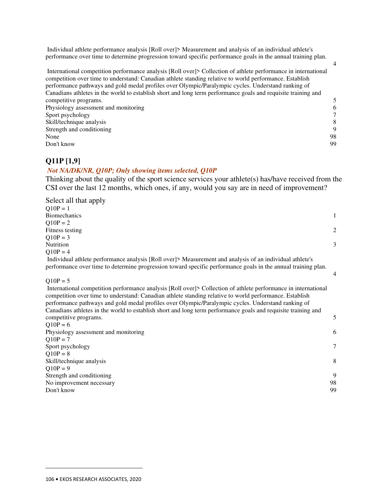Individual athlete performance analysis [Roll over]> Measurement and analysis of an individual athlete's performance over time to determine progression toward specific performance goals in the annual training plan.

| International competition performance analysis [Roll over]> Collection of athlete performance in international<br>competition over time to understand: Canadian athlete standing relative to world performance. Establish<br>performance pathways and gold medal profiles over Olympic/Paralympic cycles. Understand ranking of<br>Canadians athletes in the world to establish short and long term performance goals and requisite training and |                |
|--------------------------------------------------------------------------------------------------------------------------------------------------------------------------------------------------------------------------------------------------------------------------------------------------------------------------------------------------------------------------------------------------------------------------------------------------|----------------|
| competitive programs.                                                                                                                                                                                                                                                                                                                                                                                                                            | $\overline{5}$ |
| Physiology assessment and monitoring                                                                                                                                                                                                                                                                                                                                                                                                             | -6             |
| Sport psychology                                                                                                                                                                                                                                                                                                                                                                                                                                 | 7              |
| Skill/technique analysis                                                                                                                                                                                                                                                                                                                                                                                                                         | 8              |
| Strength and conditioning                                                                                                                                                                                                                                                                                                                                                                                                                        | 9              |
| None                                                                                                                                                                                                                                                                                                                                                                                                                                             | 98             |
| Don't know                                                                                                                                                                                                                                                                                                                                                                                                                                       | 99             |
|                                                                                                                                                                                                                                                                                                                                                                                                                                                  |                |

#### **Q11P [1,9]**

#### *Not NA/DK/NR, Q10P; Only showing items selected, Q10P*

Thinking about the quality of the sport science services your athlete(s) has/have received from the CSI over the last 12 months, which ones, if any, would you say are in need of improvement?

| Select all that apply                                                                                         |               |
|---------------------------------------------------------------------------------------------------------------|---------------|
| $O10P = 1$                                                                                                    |               |
| <b>Biomechanics</b>                                                                                           | 1             |
| $Q10P = 2$                                                                                                    |               |
| Fitness testing                                                                                               | 2             |
| $Q10P = 3$                                                                                                    |               |
| Nutrition                                                                                                     | $\mathcal{F}$ |
| $Q10P = 4$                                                                                                    |               |
| Individual athlete performance analysis [Roll over]> Measurement and analysis of an individual athlete's      |               |
| performance over time to determine progression toward specific performance goals in the annual training plan. |               |

#### $Q10P = 5$

 $\overline{a}$ 

 International competition performance analysis [Roll over]> Collection of athlete performance in international competition over time to understand: Canadian athlete standing relative to world performance. Establish performance pathways and gold medal profiles over Olympic/Paralympic cycles. Understand ranking of Canadians athletes in the world to establish short and long term performance goals and requisite training and competitive programs. 5  $Q10P = 6$ Physiology assessment and monitoring 6  $Q10P = 7$ Sport psychology 7  $Q10P = 8$ Skill/technique analysis 8  $Q10P = 9$ 

| Strength and conditioning |    |
|---------------------------|----|
| No improvement necessary  | 98 |
| Don't know                | 99 |
|                           |    |

4

4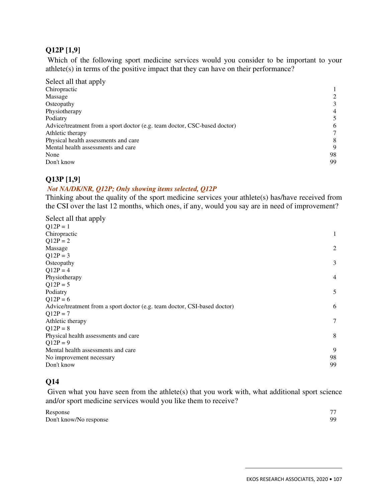#### **Q12P [1,9]**

 Which of the following sport medicine services would you consider to be important to your athlete(s) in terms of the positive impact that they can have on their performance?

| Select all that apply                                                     |                |
|---------------------------------------------------------------------------|----------------|
| Chiropractic                                                              |                |
| Massage                                                                   |                |
| Osteopathy                                                                | 3              |
| Physiotherapy                                                             | $\overline{4}$ |
| Podiatry                                                                  | 5              |
| Advice/treatment from a sport doctor (e.g. team doctor, CSC-based doctor) | 6              |
| Athletic therapy                                                          |                |
| Physical health assessments and care                                      | 8              |
| Mental health assessments and care                                        | 9              |
| None                                                                      | 98             |
| Don't know                                                                | 99             |

#### **Q13P [1,9]**

#### *Not NA/DK/NR, Q12P; Only showing items selected, Q12P*

Thinking about the quality of the sport medicine services your athlete(s) has/have received from the CSI over the last 12 months, which ones, if any, would you say are in need of improvement?

| Select all that apply                                                     |                |
|---------------------------------------------------------------------------|----------------|
| $Q12P = 1$                                                                |                |
| Chiropractic                                                              | 1              |
| $Q12P = 2$                                                                |                |
| Massage                                                                   | $\mathfrak{2}$ |
| $Q12P = 3$                                                                |                |
| Osteopathy                                                                | 3              |
| $Q12P = 4$                                                                |                |
| Physiotherapy                                                             | $\overline{4}$ |
| $Q12P = 5$                                                                |                |
| Podiatry                                                                  | 5              |
| $Q12P = 6$                                                                |                |
| Advice/treatment from a sport doctor (e.g. team doctor, CSI-based doctor) | 6              |
| $Q12P = 7$                                                                |                |
| Athletic therapy                                                          | 7              |
| $Q12P = 8$                                                                |                |
| Physical health assessments and care                                      | 8              |
| $Q12P = 9$                                                                |                |
| Mental health assessments and care                                        | 9              |
| No improvement necessary                                                  | 98             |
| Don't know                                                                | 99             |
|                                                                           |                |

## **Q14**

Given what you have seen from the athlete(s) that you work with, what additional sport science and/or sport medicine services would you like them to receive?

| Response               | 77 |
|------------------------|----|
| Don't know/No response | 99 |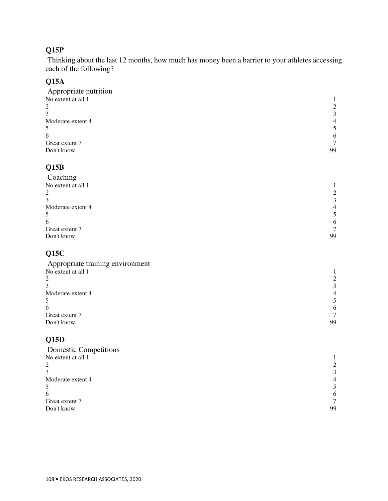# **Q15P**

 Thinking about the last 12 months, how much has money been a barrier to your athletes accessing each of the following?

## **Q15A**

| Appropriate nutrition |                |
|-----------------------|----------------|
| No extent at all 1    |                |
| 2                     | 2              |
| 3                     | 3              |
| Moderate extent 4     | $\overline{4}$ |
| 5                     |                |
| 6                     | 6              |
| Great extent 7        | 7              |
| Don't know            | 99             |
|                       |                |

## **Q15B**

| 2              |
|----------------|
| 3              |
| $\overline{4}$ |
| 5              |
| 6              |
| $\tau$         |
| 99             |
|                |

# **Q15C**

| Appropriate training environment |                |
|----------------------------------|----------------|
| No extent at all 1               |                |
| 2                                |                |
|                                  | $\mathcal{F}$  |
| Moderate extent 4                | $\overline{4}$ |
| 5                                |                |
| 6                                | 6              |
| Great extent 7                   |                |
| Don't know                       | 99             |
|                                  |                |

# **Q15D**

| 2              |
|----------------|
| 3              |
| $\overline{4}$ |
| 5.             |
| 6              |
| $\tau$         |
| 99             |
|                |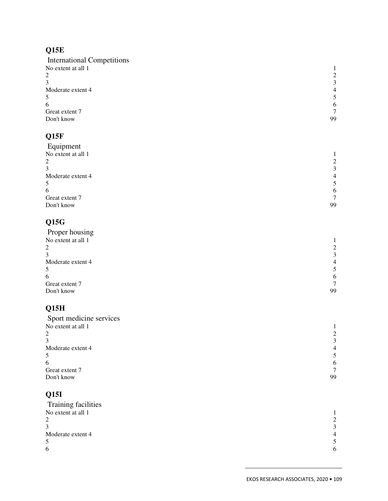# **Q15E**

| <b>International Competitions</b> |                |
|-----------------------------------|----------------|
| No extent at all 1                |                |
| 2                                 | 2              |
|                                   | 3              |
| Moderate extent 4                 | $\overline{4}$ |
|                                   | 5              |
| 6                                 | 6              |
| Great extent 7                    | $\tau$         |
| Don't know                        | 99             |
|                                   |                |

# **Q15F**

| Equipment          |                |
|--------------------|----------------|
| No extent at all 1 |                |
| 2                  | 2              |
|                    | 3              |
| Moderate extent 4  | $\overline{4}$ |
|                    | 5              |
| 6                  | 6              |
| Great extent 7     | $\tau$         |
| Don't know         | 99             |
|                    |                |

# **Q15G**

| 2              |
|----------------|
| 3              |
| $\overline{4}$ |
|                |
| 6              |
| $\tau$         |
| 99             |
|                |

# **Q15H**

| Sport medicine services |                |
|-------------------------|----------------|
| No extent at all 1      |                |
| 2                       | $2^{1}$        |
| 3                       | 3              |
| Moderate extent 4       | $\overline{4}$ |
| 5                       |                |
| 6                       | 6              |
| Great extent 7          |                |
| Don't know              | 99             |
|                         |                |

## **Q15I**

| <b>Training facilities</b> |                |
|----------------------------|----------------|
| No extent at all 1         |                |
| 2                          | $\mathfrak{D}$ |
| 3                          | $\mathcal{R}$  |
| Moderate extent 4          | $\overline{4}$ |
| 5                          |                |
| 6                          | 6              |
|                            |                |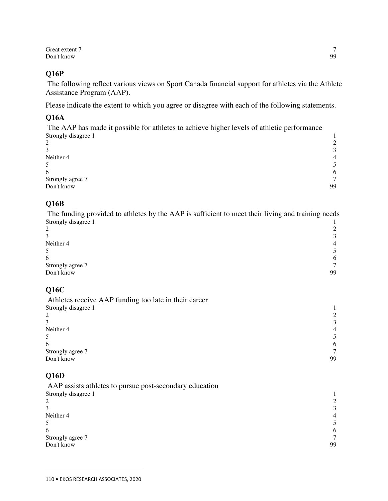Great extent 7 and 7 and 7 and 7 and 7 and 7 and 7 and 7 and 7 and 7 and 7 and 7 and 7 and 7 and 7 and 7 and 7 and 7 and 7 and 7 and 7 and 7 and 7 and 7 and 7 and 7 and 7 and 7 and 7 and 7 and 7 and 7 and 7 and 7 and 7 and Don't know 99

#### **Q16P**

 The following reflect various views on Sport Canada financial support for athletes via the Athlete Assistance Program (AAP).

Please indicate the extent to which you agree or disagree with each of the following statements.

#### **Q16A**

 The AAP has made it possible for athletes to achieve higher levels of athletic performance Strongly disagree 1 1

| $\gamma$       |
|----------------|
| $\mathbf{r}$   |
| $\overline{4}$ |
|                |
| 6              |
| $\mathcal{L}$  |
| 99             |
|                |

#### **Q16B**

 The funding provided to athletes by the AAP is sufficient to meet their living and training needs Strongly disagree 1 1 2 and 2 and 2 and 2 and 2 and 2 and 2 and 2 and 2 and 2 and 2 and 2 and 2 and 2 and 2 and 2 and 2 and 2 and 2 and 2 and 2 and 2 and 2 and 2 and 2 and 2 and 2 and 2 and 2 and 2 and 2 and 2 and 2 and 2 and 2 and 2 and 2 and

| 3                | $\sim$         |
|------------------|----------------|
| Neither 4        | $\overline{4}$ |
| 5                | 5              |
| 6                | 6              |
| Strongly agree 7 | $\overline{ }$ |
| Don't know       | 99             |

#### **Q16C**

| Athletes receive AAP funding too late in their career |                |
|-------------------------------------------------------|----------------|
| Strongly disagree 1                                   |                |
| 2                                                     |                |
|                                                       | $\mathcal{L}$  |
| Neither 4                                             | $\overline{4}$ |
|                                                       |                |
| 6                                                     | 6              |
| Strongly agree 7                                      |                |
| Don't know                                            | 99             |

#### **Q16D**

 $\overline{a}$ 

 AAP assists athletes to pursue post-secondary education Strongly disagree 1 1 2 and 2 and 2 and 2 and 2 and 2 and 2 and 2 and 2 and 2 and 2 and 2 and 2 and 2 and 2 and 2 and 2 and 2 and 2 and 2 and 2 and 2 and 2 and 2 and 2 and 2 and 2 and 2 and 2 and 2 and 2 and 2 and 2 and 2 and 2 and 2 and 2 and  $3 \overline{3}$ Neither 4 **4** 4  $5 \hspace{2.5cm} 5$  $\epsilon$  6 Strongly agree 7 7 Don't know 99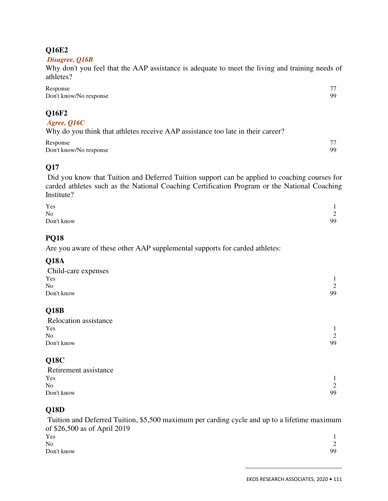#### **Q16E2**

#### *Disagree, Q16B*

Why don't you feel that the AAP assistance is adequate to meet the living and training needs of athletes?

| Response<br>Don't know/No response                                                                      | 99       |
|---------------------------------------------------------------------------------------------------------|----------|
| Q16F2<br>Agree, Q16C<br>Why do you think that athletes receive AAP assistance too late in their career? |          |
| Response<br>Don't know/No response                                                                      | 77<br>99 |

### **Q17**

 Did you know that Tuition and Deferred Tuition support can be applied to coaching courses for carded athletes such as the National Coaching Certification Program or the National Coaching Institute?

| Yes            |                            |
|----------------|----------------------------|
| N <sub>o</sub> | $\bigcap$<br>$\mathcal{L}$ |
| Don't know     | 99                         |

#### **PQ18**

Are you aware of these other AAP supplemental supports for carded athletes:

### **Q18A**

| Child-care expenses |    |
|---------------------|----|
| Yes                 |    |
| No                  | 2  |
| Don't know          | 99 |
|                     |    |
|                     |    |

#### **Q18B**

| Relocation assistance |               |
|-----------------------|---------------|
| Yes                   |               |
| N <sub>o</sub>        | $\mathcal{D}$ |
| Don't know            | 99            |

#### **Q18C**

| Retirement assistance |    |
|-----------------------|----|
| Yes                   |    |
| N <sub>o</sub>        |    |
| Don't know            | 99 |

#### **Q18D**

 Tuition and Deferred Tuition, \$5,500 maximum per carding cycle and up to a lifetime maximum of \$26,500 as of April 2019  $Y$ es  $1$ No 2 Don't know 99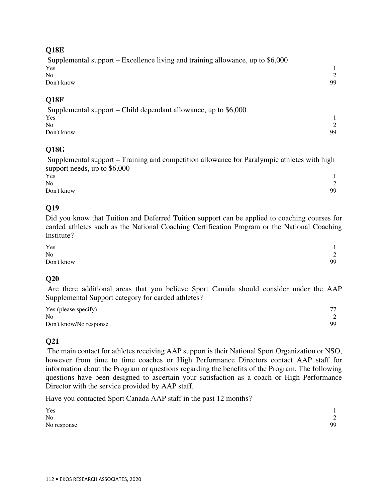#### **Q18E**

 Supplemental support – Excellence living and training allowance, up to \$6,000  $Y$ es  $1$ No  $\sim$  2 Don't know 99

#### **Q18F**

 Supplemental support – Child dependant allowance, up to \$6,000  $Y$ es  $1$ No 2 Don't know 99

#### **Q18G**

 Supplemental support – Training and competition allowance for Paralympic athletes with high support needs, up to \$6,000

| Yes        |                  |
|------------|------------------|
| No         | $\sim$<br>$\sim$ |
| Don't know | 99               |

#### **Q19**

Did you know that Tuition and Deferred Tuition support can be applied to coaching courses for carded athletes such as the National Coaching Certification Program or the National Coaching Institute?

| Yes        |                          |
|------------|--------------------------|
| No         | $\sim$<br>$\overline{ }$ |
| Don't know | 99                       |

#### **Q20**

 Are there additional areas that you believe Sport Canada should consider under the AAP Supplemental Support category for carded athletes?

| Yes (please specify)   | 77 |
|------------------------|----|
| N <sub>0</sub>         |    |
| Don't know/No response | 99 |

## **Q21**

 $\overline{a}$ 

 The main contact for athletes receiving AAP support is their National Sport Organization or NSO, however from time to time coaches or High Performance Directors contact AAP staff for information about the Program or questions regarding the benefits of the Program. The following questions have been designed to ascertain your satisfaction as a coach or High Performance Director with the service provided by AAP staff.

Have you contacted Sport Canada AAP staff in the past 12 months?

| Yes         |                          |
|-------------|--------------------------|
| No          | $\sim$<br>$\overline{ }$ |
| No response | 99                       |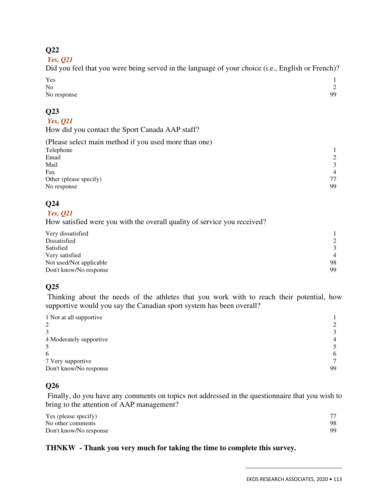#### **Q22**

 *Yes, Q21* 

Did you feel that you were being served in the language of your choice (i.e., English or French)?  $Y$ es  $1$ 

| N <sub>o</sub> | $\sim$ |
|----------------|--------|
| No response    | 99     |

### **Q23**

#### *Yes, Q21*

How did you contact the Sport Canada AAP staff?

| (Please select main method if you used more than one) |                |
|-------------------------------------------------------|----------------|
| Telephone                                             |                |
| Email                                                 |                |
| Mail                                                  | $\mathcal{R}$  |
| Fax                                                   | $\overline{4}$ |
| Other (please specify)                                | 77             |
| No response                                           | 99             |

### **Q24**

 *Yes, Q21* 

How satisfied were you with the overall quality of service you received?

| Very dissatisfied       |                |
|-------------------------|----------------|
| Dissatisfied            | 2              |
| Satisfied               | 3              |
| Very satisfied          | $\overline{4}$ |
| Not used/Not applicable | 98             |
| Don't know/No response  | 99             |

### **Q25**

 Thinking about the needs of the athletes that you work with to reach their potential, how supportive would you say the Canadian sport system has been overall?

| 1 Not at all supportive |                |
|-------------------------|----------------|
| 2                       |                |
| 3                       | 3              |
| 4 Moderately supportive | $\overline{4}$ |
|                         |                |
| 6                       | 6              |
| 7 Very supportive       | $\tau$         |
| Don't know/No response  | 99             |

### **Q26**

 Finally, do you have any comments on topics not addressed in the questionnaire that you wish to bring to the attention of AAP management?

| Yes (please specify)   | 77 |
|------------------------|----|
| No other comments      | 98 |
| Don't know/No response | 99 |

#### **THNKW - Thank you very much for taking the time to complete this survey.**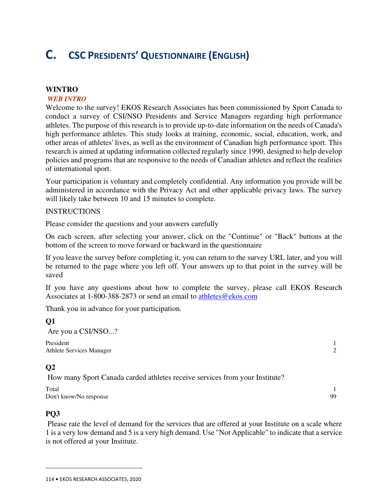# **C. CSC PRESIDENTS' QUESTIONNAIRE (ENGLISH)**

#### **WINTRO**

#### *WEB INTRO*

Welcome to the survey! EKOS Research Associates has been commissioned by Sport Canada to conduct a survey of CSI/NSO Presidents and Service Managers regarding high performance athletes. The purpose of this research is to provide up-to-date information on the needs of Canada's high performance athletes. This study looks at training, economic, social, education, work, and other areas of athletes' lives, as well as the environment of Canadian high performance sport. This research is aimed at updating information collected regularly since 1990, designed to help develop policies and programs that are responsive to the needs of Canadian athletes and reflect the realities of international sport.

Your participation is voluntary and completely confidential. Any information you provide will be administered in accordance with the Privacy Act and other applicable privacy laws. The survey will likely take between 10 and 15 minutes to complete.

#### INSTRUCTIONS

Please consider the questions and your answers carefully

On each screen, after selecting your answer, click on the "Continue" or "Back" buttons at the bottom of the screen to move forward or backward in the questionnaire

If you leave the survey before completing it, you can return to the survey URL later, and you will be returned to the page where you left off. Your answers up to that point in the survey will be saved

If you have any questions about how to complete the survey, please call EKOS Research Associates at 1-800-388-2873 or send an email to athletes@ekos.com

Thank you in advance for your participation.

## **Q1**  Are you a CSI/NSO...? President 1

Athlete Services Manager 2

### **Q2**

How many Sport Canada carded athletes receive services from your Institute?

Total 1 Don't know/No response 99

#### **PQ3**

 $\overline{a}$ 

 Please rate the level of demand for the services that are offered at your Institute on a scale where 1 is a very low demand and 5 is a very high demand. Use "Not Applicable" to indicate that a service is not offered at your Institute.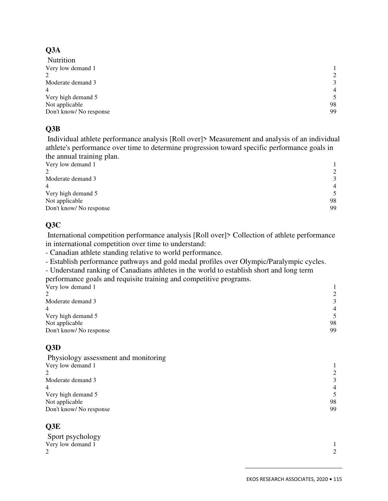## **Q3A**

| Nutrition              |                |
|------------------------|----------------|
| Very low demand 1      |                |
| 2                      | 2              |
| Moderate demand 3      | 3              |
| 4                      | $\overline{4}$ |
| Very high demand 5     | 5              |
| Not applicable         | 98             |
| Don't know/No response | 99             |

### **Q3B**

 Individual athlete performance analysis [Roll over]> Measurement and analysis of an individual athlete's performance over time to determine progression toward specific performance goals in the annual training plan.

| $\frac{1}{2}$          |                |
|------------------------|----------------|
| Very low demand 1      |                |
| ↑                      |                |
| Moderate demand 3      | $\mathcal{R}$  |
| 4                      | $\overline{4}$ |
| Very high demand 5     | 5              |
| Not applicable         | 98             |
| Don't know/No response | 99             |
|                        |                |

### **Q3C**

 International competition performance analysis [Roll over]> Collection of athlete performance in international competition over time to understand:

- Canadian athlete standing relative to world performance.

- Establish performance pathways and gold medal profiles over Olympic/Paralympic cycles.

- Understand ranking of Canadians athletes in the world to establish short and long term performance goals and requisite training and competitive programs.

| Very low demand 1       |                         |
|-------------------------|-------------------------|
| $\mathcal{L}$           | 2                       |
| Moderate demand 3       | 3                       |
| 4                       | $\overline{4}$          |
| Very high demand 5      | $\overline{\mathbf{5}}$ |
| Not applicable          | 98                      |
| Don't know/ No response | 99                      |

## **Q3D**

 Physiology assessment and monitoring Very low demand 1  $\frac{1}{2}$ 2 and 2 and 2 and 2 and 2 and 2 and 2 and 2 and 2 and 2 and 2 and 2 and 2 and 2 and 2 and 2 and 2 and 2 and 2 and 2 and 2 and 2 and 2 and 2 and 2 and 2 and 2 and 2 and 2 and 2 and 2 and 2 and 2 and 2 and 2 and 2 and 2 and Moderate demand 3 3 4 4 Very high demand 5 5 Not applicable 98 Don't know/ No response 99

### **Q3E**

| Sport psychology  |        |
|-------------------|--------|
| Very low demand 1 |        |
| ∠                 | $\sim$ |
|                   |        |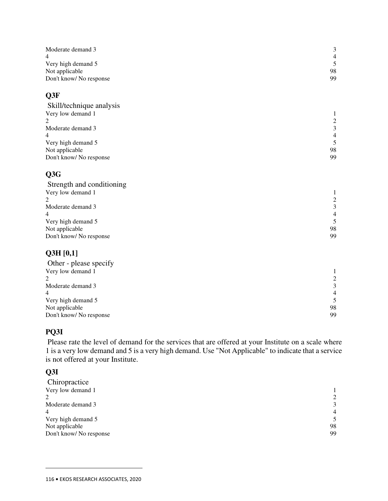| Moderate demand 3         | $\mathfrak{Z}$  |
|---------------------------|-----------------|
| 4                         | $\overline{4}$  |
| Very high demand 5        | 5               |
| Not applicable            | 98              |
| Don't know/No response    | 99              |
| Q3F                       |                 |
| Skill/technique analysis  |                 |
| Very low demand 1         | 1               |
| 2                         |                 |
| Moderate demand 3         | $\frac{2}{3}$   |
| 4                         | $\overline{4}$  |
| Very high demand 5        | $\sqrt{5}$      |
| Not applicable            | 98              |
| Don't know/No response    | 99              |
| Q3G                       |                 |
| Strength and conditioning |                 |
| Very low demand 1         | 1               |
| 2                         |                 |
| Moderate demand 3         | $\frac{2}{3}$   |
| 4                         | $\overline{4}$  |
| Very high demand 5        | 5               |
| Not applicable            | 98              |
| Don't know/ No response   | 99              |
| Q3H[0,1]                  |                 |
| Other - please specify    |                 |
|                           |                 |
| Very low demand 1<br>2    | 1<br>$\sqrt{2}$ |
| Moderate demand 3         | 3               |
|                           |                 |

|                         | --             |
|-------------------------|----------------|
|                         | $\overline{4}$ |
| Very high demand 5      |                |
| Not applicable          | 98             |
| Don't know/ No response | 99             |
|                         |                |

## **PQ3I**

 Please rate the level of demand for the services that are offered at your Institute on a scale where 1 is a very low demand and 5 is a very high demand. Use "Not Applicable" to indicate that a service is not offered at your Institute.

### **Q3I**

| Chiropractice          |                |
|------------------------|----------------|
| Very low demand 1      |                |
| 2                      | 2              |
| Moderate demand 3      | 3              |
| 4                      | $\overline{4}$ |
| Very high demand 5     | 5              |
| Not applicable         | 98             |
| Don't know/No response | 99             |
|                        |                |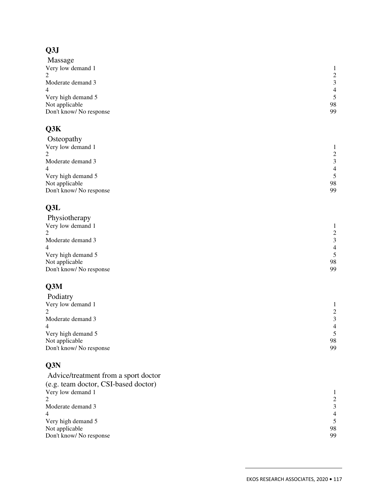# **Q3J**

| Massage                |                |
|------------------------|----------------|
| Very low demand 1      |                |
| 2                      | 2              |
| Moderate demand 3      | 3              |
| 4                      | $\overline{4}$ |
| Very high demand 5     | 5              |
| Not applicable         | 98             |
| Don't know/No response | 99             |
|                        |                |

## **Q3K**

| Osteopathy              |                |
|-------------------------|----------------|
| Very low demand 1       |                |
| າ                       | 2              |
| Moderate demand 3       | 3              |
| 4                       | $\overline{4}$ |
| Very high demand 5      | 5              |
| Not applicable          | 98             |
| Don't know/ No response | 99             |
|                         |                |

## **Q3L**

| Physiotherapy          |                |
|------------------------|----------------|
| Very low demand 1      |                |
| 2                      | 2              |
| Moderate demand 3      | 3              |
| 4                      | $\overline{4}$ |
| Very high demand 5     | 5              |
| Not applicable         | 98             |
| Don't know/No response | 99             |
|                        |                |

## **Q3M**

| Podiatry                |                |
|-------------------------|----------------|
| Very low demand 1       |                |
| 2                       | 2              |
| Moderate demand 3       | 3              |
| 4                       | $\overline{4}$ |
| Very high demand 5      | 5              |
| Not applicable          | 98             |
| Don't know/ No response | 99             |
|                         |                |

## **Q3N**

| Advice/treatment from a sport doctor |                |
|--------------------------------------|----------------|
| (e.g. team doctor, CSI-based doctor) |                |
| Very low demand 1                    |                |
|                                      | 2              |
| Moderate demand 3                    | 3              |
| $\overline{4}$                       | $\overline{4}$ |
| Very high demand 5                   | .5             |
| Not applicable                       | 98             |
| Don't know/No response               | 99             |
|                                      |                |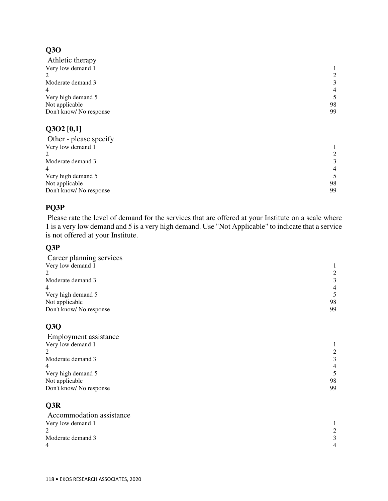## **Q3O**

| Athletic therapy            |                |
|-----------------------------|----------------|
| Very low demand 1           |                |
| $\mathcal{D}_{\mathcal{L}}$ | 2              |
| Moderate demand 3           | 3              |
| $\overline{4}$              | $\overline{4}$ |
| Very high demand 5          | 5.             |
| Not applicable              | 98             |
| Don't know/No response      | 99             |
|                             |                |

### **Q3O2 [0,1]**

| Other - please specify |                |
|------------------------|----------------|
| Very low demand 1      |                |
| $\mathcal{D}$          | 2              |
| Moderate demand 3      | 3              |
| 4                      | $\overline{4}$ |
| Very high demand 5     | 5              |
| Not applicable         | 98             |
| Don't know/No response | 99             |
|                        |                |

### **PQ3P**

 Please rate the level of demand for the services that are offered at your Institute on a scale where 1 is a very low demand and 5 is a very high demand. Use "Not Applicable" to indicate that a service is not offered at your Institute.

### **Q3P**

| Career planning services |                |
|--------------------------|----------------|
| Very low demand 1        |                |
| $\mathcal{D}$            | 2              |
| Moderate demand 3        | 3              |
| 4                        | $\overline{4}$ |
| Very high demand 5       | 5              |
| Not applicable           | 98             |
| Don't know/ No response  | 99             |
|                          |                |

## **Q3Q**

| Employment assistance   |                |
|-------------------------|----------------|
| Very low demand 1       |                |
| 2                       | 2              |
| Moderate demand 3       | 3              |
| 4                       | $\overline{4}$ |
| Very high demand 5      | 5.             |
| Not applicable          | 98             |
| Don't know/ No response | 99             |
|                         |                |

## **Q3R**

| Accommodation assistance |             |
|--------------------------|-------------|
| Very low demand 1        |             |
|                          |             |
| Moderate demand 3        |             |
| 4                        | $\mathbf 4$ |
|                          |             |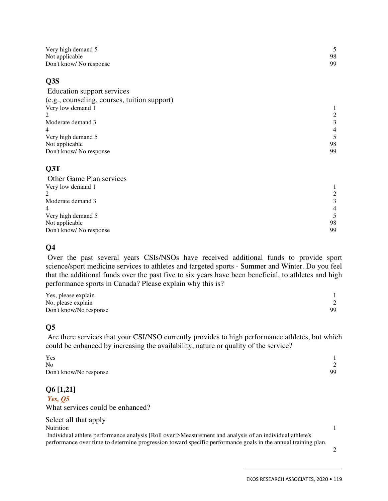| Very high demand 5     |    |
|------------------------|----|
| Not applicable         | 98 |
| Don't know/No response | 99 |

#### **Q3S**

| Education support services                   |                |
|----------------------------------------------|----------------|
| (e.g., counseling, courses, tuition support) |                |
| Very low demand 1                            |                |
|                                              |                |
| Moderate demand 3                            | 3              |
| 4                                            | $\overline{4}$ |
| Very high demand 5                           | 5.             |
| Not applicable                               | 98             |
| Don't know/ No response                      | 99             |

### **Q3T**

| Other Game Plan services    |                |
|-----------------------------|----------------|
| Very low demand 1           |                |
| $\mathcal{D}_{\mathcal{L}}$ | 2              |
| Moderate demand 3           | $\mathcal{F}$  |
| $\overline{4}$              | $\overline{4}$ |
| Very high demand 5          | 5.             |
| Not applicable              | 98             |
| Don't know/No response      | 99             |

### **Q4**

 Over the past several years CSIs/NSOs have received additional funds to provide sport science/sport medicine services to athletes and targeted sports - Summer and Winter. Do you feel that the additional funds over the past five to six years have been beneficial, to athletes and high performance sports in Canada? Please explain why this is?

| Yes, please explain    |    |
|------------------------|----|
| No, please explain     |    |
| Don't know/No response | 99 |

### **Q5**

 Are there services that your CSI/NSO currently provides to high performance athletes, but which could be enhanced by increasing the availability, nature or quality of the service?

| Yes                    |    |
|------------------------|----|
| No                     |    |
| Don't know/No response | 99 |

### **Q6 [1,21]**

 *Yes, Q5*  What services could be enhanced?

| Select all that apply                                                                                         |  |
|---------------------------------------------------------------------------------------------------------------|--|
| <b>Nutrition</b>                                                                                              |  |
| Individual athlete performance analysis [Roll over]>Measurement and analysis of an individual athlete's       |  |
| performance over time to determine progression toward specific performance goals in the annual training plan. |  |
|                                                                                                               |  |

EKOS RESEARCH ASSOCIATES, 2020 **•** 119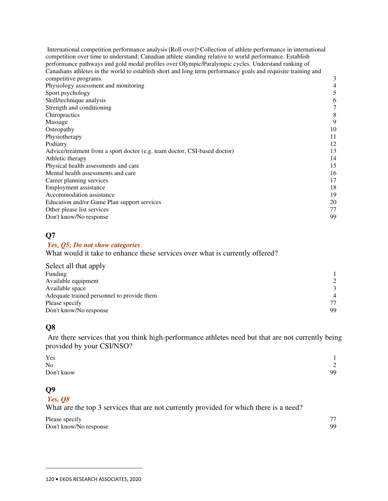International competition performance analysis [Roll over]>Collection of athlete performance in international competition over time to understand: Canadian athlete standing relative to world performance. Establish performance pathways and gold medal profiles over Olympic/Paralympic cycles. Understand ranking of Canadians athletes in the world to establish short and long term performance goals and requisite training and competitive programs. 3 Physiology assessment and monitoring 4<br>Sport psychology 5 Sport psychology Skill/technique analysis 6 Strength and conditioning  $\frac{7}{8}$ Chiropractics Massage 9 Osteopathy and the contract of the contract of the contract of the contract of the contract of the contract of the contract of the contract of the contract of the contract of the contract of the contract of the contract of Physiotherapy 11 Podiatry 12 Advice/treatment from a sport doctor (e.g. team doctor, CSI-based doctor) 13 Athletic therapy 14 Physical health assessments and care 15 Mental health assessments and care 16 Career planning services 17 Employment assistance 18 Accommodation assistance 19 Education and/or Game Plan support services 20 Other please list services 77 Don't know/No response 99

#### **Q7**

#### *Yes, Q5; Do not show categories*

What would it take to enhance these services over what is currently offered?

| Select all that apply                      |                |
|--------------------------------------------|----------------|
| Funding                                    |                |
| Available equipment                        | $\mathcal{L}$  |
| Available space                            | $\mathcal{F}$  |
| Adequate trained personnel to provide them | $\overline{4}$ |
| Please specify                             | 77             |
| Don't know/No response                     | 99             |

### **Q8**

 Are there services that you think high-performance athletes need but that are not currently being provided by your CSI/NSO?

| Yes            | $\mathbf{1}$                |
|----------------|-----------------------------|
| N <sub>0</sub> | $\bigcap$<br>$\overline{2}$ |
| Don't know     | 99                          |

### **Q9**

 $\overline{a}$ 

 *Yes, Q8* 

What are the top 3 services that are not currently provided for which there is a need?

| Please specify         | 77 |
|------------------------|----|
| Don't know/No response | 99 |
|                        |    |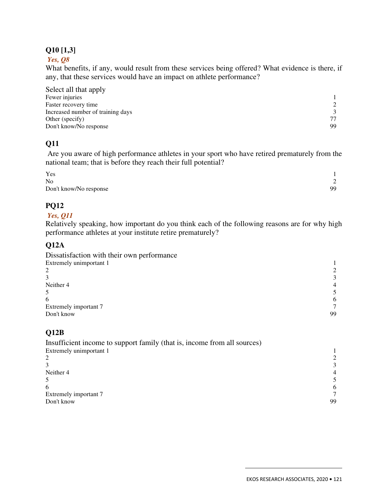#### **Q10 [1,3]**

#### *Yes, Q8*

What benefits, if any, would result from these services being offered? What evidence is there, if any, that these services would have an impact on athlete performance?

| Select all that apply             |    |
|-----------------------------------|----|
| Fewer injuries                    |    |
| Faster recovery time              |    |
| Increased number of training days |    |
| Other (specify)                   | 77 |
| Don't know/No response            | 99 |

### **Q11**

 Are you aware of high performance athletes in your sport who have retired prematurely from the national team; that is before they reach their full potential?

| Yes                    |        |
|------------------------|--------|
| N <sub>0</sub>         | $\sim$ |
| Don't know/No response | 99     |

### **PQ12**

#### *Yes, Q11*

Relatively speaking, how important do you think each of the following reasons are for why high performance athletes at your institute retire prematurely?

### **Q12A**

| Dissatisfaction with their own performance |                |
|--------------------------------------------|----------------|
| Extremely unimportant 1                    |                |
|                                            |                |
|                                            | 3              |
| Neither 4                                  | $\overline{4}$ |
|                                            |                |
| 6                                          | 6              |
| Extremely important 7                      |                |
| Don't know                                 | 99             |

### **Q12B**

| Insufficient income to support family (that is, income from all sources) |                |
|--------------------------------------------------------------------------|----------------|
| Extremely unimportant 1                                                  |                |
|                                                                          |                |
|                                                                          |                |
| Neither 4                                                                | $\overline{4}$ |
|                                                                          |                |
| 6                                                                        | 6              |
| Extremely important 7                                                    |                |
| Don't know                                                               | 99             |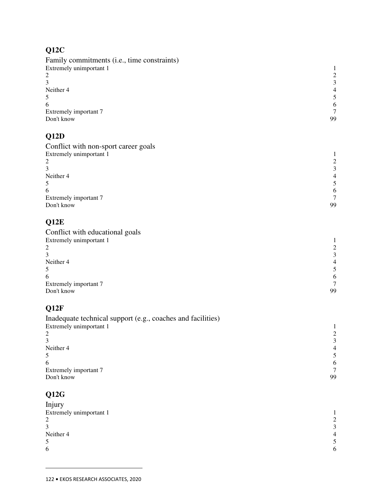# **Q12C**

| Family commitments (i.e., time constraints) |                |
|---------------------------------------------|----------------|
| Extremely unimportant 1                     |                |
| 2                                           |                |
|                                             | 3              |
| Neither 4                                   | $\overline{4}$ |
|                                             |                |
| 6                                           | 6              |
| Extremely important 7                       |                |
| Don't know                                  | 99             |
|                                             |                |

# **Q12D**

| Conflict with non-sport career goals |    |
|--------------------------------------|----|
| Extremely unimportant 1              |    |
| ∍                                    |    |
|                                      |    |
| Neither 4                            | 4  |
|                                      |    |
| 6                                    | 6  |
| Extremely important 7                |    |
| Don't know                           | 99 |
|                                      |    |

# **Q12E**

| 2              |
|----------------|
| 3              |
| $\overline{4}$ |
|                |
| 6              |
|                |
| 99             |
|                |

# **Q12F**

| Inadequate technical support (e.g., coaches and facilities) |    |
|-------------------------------------------------------------|----|
| Extremely unimportant 1                                     |    |
|                                                             |    |
|                                                             |    |
| Neither 4                                                   |    |
|                                                             |    |
| 6                                                           | 6  |
| Extremely important 7                                       |    |
| Don't know                                                  | 99 |

# **Q12G**

| Injury                  |                |
|-------------------------|----------------|
| Extremely unimportant 1 |                |
| 2                       | 2              |
| 3                       | $\mathcal{E}$  |
| Neither 4               | $\overline{4}$ |
|                         | 5.             |
| 6                       | 6              |
|                         |                |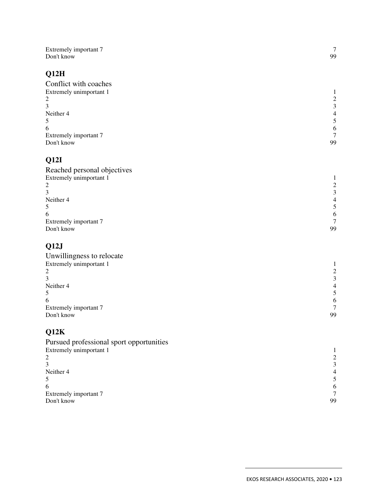| Extremely important 7                    | $\tau$                                     |
|------------------------------------------|--------------------------------------------|
| Don't know                               | 99                                         |
| Q12H                                     |                                            |
| Conflict with coaches                    |                                            |
| Extremely unimportant 1                  | $\mathbf{1}$                               |
| $\overline{\mathbf{c}}$                  |                                            |
| 3                                        | $\frac{2}{3}$                              |
| Neither 4                                |                                            |
| 5                                        | $\begin{array}{c} 4 \\ 5 \\ 6 \end{array}$ |
| 6                                        |                                            |
| Extremely important 7                    | $\overline{7}$                             |
| Don't know                               | 99                                         |
| Q12I                                     |                                            |
| Reached personal objectives              |                                            |
| Extremely unimportant 1                  | $\mathbf{1}$                               |
| $\overline{c}$                           |                                            |
| 3                                        | $\begin{array}{c} 2 \\ 3 \\ 4 \end{array}$ |
| Neither 4                                |                                            |
| 5                                        | $\mathfrak{S}$                             |
| 6                                        | $\sqrt{6}$                                 |
| Extremely important 7                    | $\tau$                                     |
| Don't know                               | 99                                         |
| Q12J                                     |                                            |
| Unwillingness to relocate                |                                            |
| Extremely unimportant 1                  | $\mathbf{1}$                               |
| $\overline{\mathbf{c}}$                  | $\sqrt{2}$                                 |
| 3                                        | $\mathfrak{Z}$                             |
| Neither 4                                | $\overline{4}$                             |
| 5                                        | $\sqrt{5}$                                 |
| 6                                        | $\sqrt{6}$                                 |
| Extremely important 7                    | $\overline{7}$                             |
| Don't know                               | 99                                         |
| Q12K                                     |                                            |
| Pursued professional sport opportunities |                                            |
| Extremely unimportant 1                  | 1                                          |
| $\overline{c}$                           | $\sqrt{2}$                                 |
| 3                                        | $\sqrt{3}$                                 |
| Neither 4                                | $\overline{\mathcal{L}}$                   |
| 5                                        | 5                                          |
| 6                                        | $\sqrt{6}$                                 |
| Extremely important 7                    | $\boldsymbol{7}$                           |
| Don't know                               | 99                                         |
|                                          |                                            |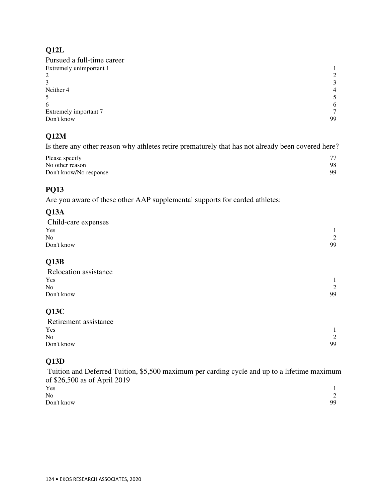### **Q12L**

| Pursued a full-time career |                |
|----------------------------|----------------|
| Extremely unimportant 1    |                |
| 2                          | 2              |
| 3                          | 3              |
| Neither 4                  | $\overline{4}$ |
| 5                          | 5.             |
| 6                          | 6              |
| Extremely important 7      | 7              |
| Don't know                 | 99             |

### **Q12M**

Is there any other reason why athletes retire prematurely that has not already been covered here?

| Please specify         | 77 |
|------------------------|----|
| No other reason        | 98 |
| Don't know/No response | 99 |

## **PQ13**

Are you aware of these other AAP supplemental supports for carded athletes:

### **Q13A**

| Child-care expenses |    |
|---------------------|----|
| Yes                 |    |
| No                  | 2  |
| Don't know          | 99 |

## **Q13B**

| Relocation assistance |               |
|-----------------------|---------------|
| Yes                   |               |
| No                    | $\mathcal{D}$ |
| Don't know            | 99            |
|                       |               |

## **Q13C**

| Retirement assistance |               |
|-----------------------|---------------|
| Yes                   |               |
| N <sub>o</sub>        | $\mathcal{D}$ |
| Don't know            | 99            |

### **Q13D**

 $\overline{a}$ 

 Tuition and Deferred Tuition, \$5,500 maximum per carding cycle and up to a lifetime maximum of \$26,500 as of April 2019  $Y$ es  $1$ 

| <b>L CO</b> |                          |
|-------------|--------------------------|
| No          | $\sim$<br>$\overline{ }$ |
| Don't know  | 99                       |
|             |                          |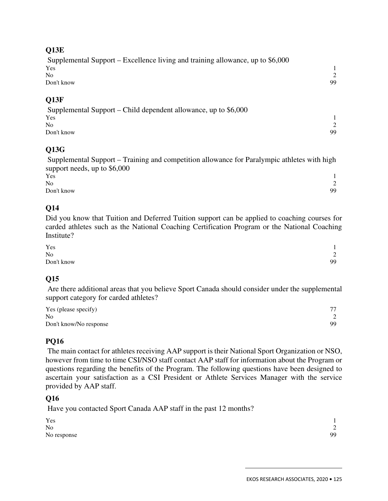#### **Q13E**

| Supplemental Support – Excellence living and training allowance, up to \$6,000 |     |
|--------------------------------------------------------------------------------|-----|
| Yes                                                                            |     |
| $N_{\Omega}$                                                                   |     |
| Don't know                                                                     | 99. |
|                                                                                |     |

#### **Q13F**

 Supplemental Support – Child dependent allowance, up to \$6,000  $Y$ es  $1$ No 2 Don't know 99

#### **Q13G**

 Supplemental Support – Training and competition allowance for Paralympic athletes with high support needs, up to \$6,000

| Yes            |                          |
|----------------|--------------------------|
| N <sub>o</sub> | $\sim$<br>$\overline{a}$ |
| Don't know     | 99                       |

#### **Q14**

Did you know that Tuition and Deferred Tuition support can be applied to coaching courses for carded athletes such as the National Coaching Certification Program or the National Coaching Institute?

| Yes        | $\mathbf{1}$               |
|------------|----------------------------|
| No         | $\Omega$<br>$\overline{a}$ |
| Don't know | 99                         |

### **Q15**

 Are there additional areas that you believe Sport Canada should consider under the supplemental support category for carded athletes?

| Yes (please specify)   | 77 |
|------------------------|----|
| N <sub>0</sub>         |    |
| Don't know/No response | 99 |

#### **PQ16**

 The main contact for athletes receiving AAP support is their National Sport Organization or NSO, however from time to time CSI/NSO staff contact AAP staff for information about the Program or questions regarding the benefits of the Program. The following questions have been designed to ascertain your satisfaction as a CSI President or Athlete Services Manager with the service provided by AAP staff.

#### **Q16**

Have you contacted Sport Canada AAP staff in the past 12 months?

| Yes            |                                    |
|----------------|------------------------------------|
| N <sub>o</sub> | $\sim$<br>$\overline{\phantom{0}}$ |
| No response    | 99                                 |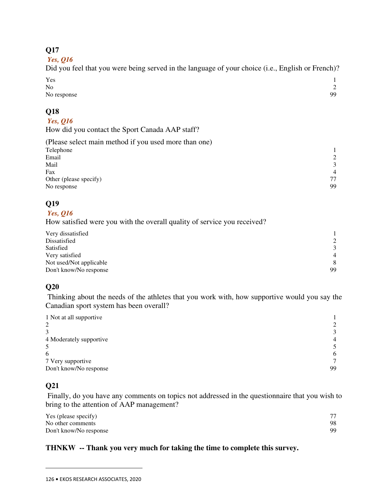### **Q17**

 *Yes, Q16* 

Did you feel that you were being served in the language of your choice (i.e., English or French)?  $Y$ es  $1$ 

| ____<br>N <sub>o</sub> | $\overline{\phantom{0}}$ |
|------------------------|--------------------------|
| No response            | 99                       |

### **Q18**

#### *Yes, Q16*

How did you contact the Sport Canada AAP staff?

| $\mathcal{L}$  |
|----------------|
| $\mathcal{F}$  |
| $\overline{4}$ |
| 77             |
| 99             |
|                |

### **Q19**

 *Yes, Q16* 

How satisfied were you with the overall quality of service you received?

| Very dissatisfied       |                |
|-------------------------|----------------|
| Dissatisfied            | 2              |
| Satisfied               | 3              |
| Very satisfied          | $\overline{4}$ |
| Not used/Not applicable | 8              |
| Don't know/No response  | 99             |

### **Q20**

 Thinking about the needs of the athletes that you work with, how supportive would you say the Canadian sport system has been overall?

| 1 Not at all supportive |                |
|-------------------------|----------------|
| 2                       | $\mathcal{D}$  |
|                         | $\mathcal{F}$  |
| 4 Moderately supportive | $\overline{4}$ |
|                         |                |
| 6                       | 6              |
| 7 Very supportive       | $\tau$         |
| Don't know/No response  | 99             |

### **Q21**

 $\overline{a}$ 

 Finally, do you have any comments on topics not addressed in the questionnaire that you wish to bring to the attention of AAP management?

| Yes (please specify)   | 77  |
|------------------------|-----|
| No other comments      | 98  |
| Don't know/No response | 99. |

### **THNKW -- Thank you very much for taking the time to complete this survey.**

<sup>126</sup> **•** EKOS RESEARCH ASSOCIATES, 2020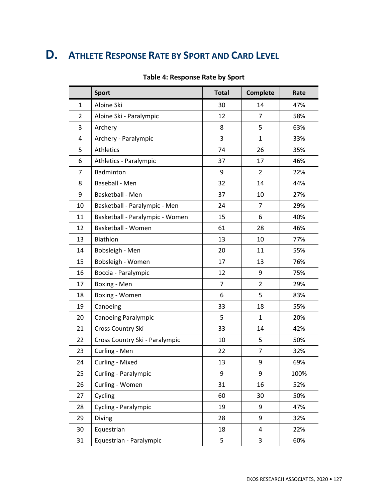# **D. ATHLETE RESPONSE RATE BY SPORT AND CARD LEVEL**

|                | <b>Sport</b>                    | <b>Total</b> | <b>Complete</b> | Rate |  |  |  |
|----------------|---------------------------------|--------------|-----------------|------|--|--|--|
| 1              | Alpine Ski                      | 30           | 14              | 47%  |  |  |  |
| $\overline{2}$ | Alpine Ski - Paralympic         | 12           | 7               | 58%  |  |  |  |
| 3              | Archery                         | 8            | 63%             |      |  |  |  |
| 4              | Archery - Paralympic            | 3            | $\mathbf{1}$    | 33%  |  |  |  |
| 5              | <b>Athletics</b>                | 74           | 26              | 35%  |  |  |  |
| 6              | Athletics - Paralympic          | 37           | 17              | 46%  |  |  |  |
| 7              | Badminton                       | 9            | 2               | 22%  |  |  |  |
| 8              | Baseball - Men                  | 32           | 14              | 44%  |  |  |  |
| 9              | Basketball - Men                | 37           | 10              | 27%  |  |  |  |
| 10             | Basketball - Paralympic - Men   | 24           | 7               | 29%  |  |  |  |
| 11             | Basketball - Paralympic - Women | 15           | 6               | 40%  |  |  |  |
| 12             | <b>Basketball - Women</b>       | 61           | 28              | 46%  |  |  |  |
| 13             | Biathlon                        | 13           | 77%             |      |  |  |  |
| 14             | Bobsleigh - Men                 | 20           | 55%             |      |  |  |  |
| 15             | Bobsleigh - Women               | 17           | 13              |      |  |  |  |
| 16             | Boccia - Paralympic             | 12           | 9               | 75%  |  |  |  |
| 17             | Boxing - Men                    | 7            | 29%             |      |  |  |  |
| 18             | Boxing - Women                  | 6            | 5               |      |  |  |  |
| 19             | Canoeing                        | 33           | 55%             |      |  |  |  |
| 20             | <b>Canoeing Paralympic</b>      | 5            | 20%             |      |  |  |  |
| 21             | Cross Country Ski               | 33           | 14              | 42%  |  |  |  |
| 22             | Cross Country Ski - Paralympic  | 10           | 5               | 50%  |  |  |  |
| 23             | Curling - Men                   | 22           | 7               | 32%  |  |  |  |
| 24             | Curling - Mixed                 | 13           | 9               | 69%  |  |  |  |
| 25             | Curling - Paralympic            | 9            | 9               | 100% |  |  |  |
| 26             | Curling - Women                 | 31           | 16              | 52%  |  |  |  |
| 27             | Cycling                         | 60           | 30              | 50%  |  |  |  |
| 28             | Cycling - Paralympic            | 19           | 9               | 47%  |  |  |  |
| 29             | Diving                          | 28           | 9               | 32%  |  |  |  |
| 30             | Equestrian                      | 18           | 4               | 22%  |  |  |  |
| 31             | Equestrian - Paralympic         | 5            | 3               | 60%  |  |  |  |

#### **Table 4: Response Rate by Sport**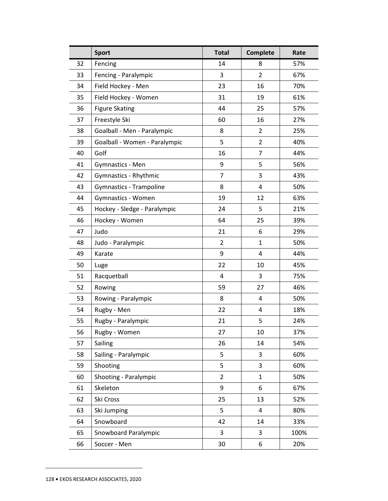|    | <b>Sport</b>                  | <b>Total</b>   | <b>Complete</b> | Rate |  |  |  |
|----|-------------------------------|----------------|-----------------|------|--|--|--|
| 32 | Fencing                       | 14             | 8               | 57%  |  |  |  |
| 33 | Fencing - Paralympic          | 3              | $\overline{2}$  | 67%  |  |  |  |
| 34 | Field Hockey - Men            | 23             | 16              | 70%  |  |  |  |
| 35 | Field Hockey - Women          | 31             | 19              | 61%  |  |  |  |
| 36 | <b>Figure Skating</b>         | 44             | 25              | 57%  |  |  |  |
| 37 | Freestyle Ski                 | 60             | 16              | 27%  |  |  |  |
| 38 | Goalball - Men - Paralympic   | 8              | $\overline{2}$  | 25%  |  |  |  |
| 39 | Goalball - Women - Paralympic | 5              | $\overline{2}$  | 40%  |  |  |  |
| 40 | Golf                          | 16             | $\overline{7}$  | 44%  |  |  |  |
| 41 | Gymnastics - Men              | 9              | 5               | 56%  |  |  |  |
| 42 | Gymnastics - Rhythmic         | 7              | 3               | 43%  |  |  |  |
| 43 | Gymnastics - Trampoline       | 8              | 4               | 50%  |  |  |  |
| 44 | Gymnastics - Women            | 19             | 12              | 63%  |  |  |  |
| 45 | Hockey - Sledge - Paralympic  | 24             | 5               | 21%  |  |  |  |
| 46 | Hockey - Women                | 64             | 25              | 39%  |  |  |  |
| 47 | Judo                          | 21             | 29%             |      |  |  |  |
| 48 | Judo - Paralympic             | $\overline{2}$ | 50%             |      |  |  |  |
| 49 | Karate                        | 9              | 4               | 44%  |  |  |  |
| 50 | Luge                          | 22             | 10              | 45%  |  |  |  |
| 51 | Racquetball                   | 4              | 3               | 75%  |  |  |  |
| 52 | Rowing                        | 59             | 27              |      |  |  |  |
| 53 | Rowing - Paralympic           | 8              | $\overline{4}$  |      |  |  |  |
| 54 | Rugby - Men                   | 22             | 18%             |      |  |  |  |
| 55 | Rugby - Paralympic            | 21             | 5               | 24%  |  |  |  |
| 56 | Rugby - Women                 | 27             | 10              | 37%  |  |  |  |
| 57 | Sailing                       | 26             | 14              | 54%  |  |  |  |
| 58 | Sailing - Paralympic          | 5              | 3               | 60%  |  |  |  |
| 59 | Shooting                      | 5              | 3               | 60%  |  |  |  |
| 60 | Shooting - Paralympic         | $\overline{2}$ | $\mathbf{1}$    | 50%  |  |  |  |
| 61 | Skeleton                      | 9              | 6               | 67%  |  |  |  |
| 62 | Ski Cross                     | 25             | 13              | 52%  |  |  |  |
| 63 | Ski Jumping                   | 5              | $\overline{4}$  | 80%  |  |  |  |
| 64 | Snowboard                     | 42             | 14              | 33%  |  |  |  |
| 65 | Snowboard Paralympic          | 3              | 3               | 100% |  |  |  |
| 66 | Soccer - Men                  | 30             | 6               | 20%  |  |  |  |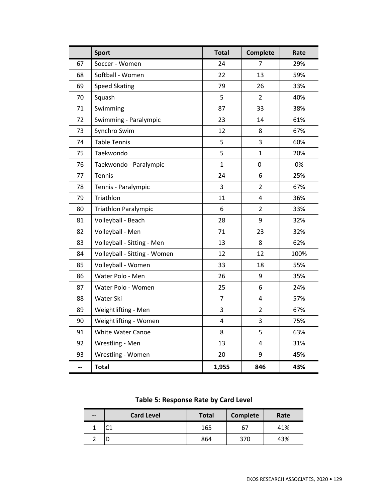|    | <b>Sport</b>                 | <b>Total</b>            | <b>Complete</b> | Rate |  |  |  |
|----|------------------------------|-------------------------|-----------------|------|--|--|--|
| 67 | Soccer - Women               | 24                      | 7               | 29%  |  |  |  |
| 68 | Softball - Women             | 22                      | 13              | 59%  |  |  |  |
| 69 | <b>Speed Skating</b>         | 79                      | 26              | 33%  |  |  |  |
| 70 | Squash                       | 5                       | $\overline{2}$  | 40%  |  |  |  |
| 71 | Swimming                     | 87                      | 33              | 38%  |  |  |  |
| 72 | Swimming - Paralympic        | 23                      | 14              | 61%  |  |  |  |
| 73 | Synchro Swim                 | 12                      | 8               | 67%  |  |  |  |
| 74 | <b>Table Tennis</b>          | 5                       | 3               | 60%  |  |  |  |
| 75 | Taekwondo                    | 5                       | $\mathbf{1}$    | 20%  |  |  |  |
| 76 | Taekwondo - Paralympic       | 1                       | 0               | 0%   |  |  |  |
| 77 | Tennis                       | 24                      | 6               | 25%  |  |  |  |
| 78 | Tennis - Paralympic          | 3                       | $\overline{2}$  | 67%  |  |  |  |
| 79 | Triathlon                    | 11                      | 36%             |      |  |  |  |
| 80 | <b>Triathlon Paralympic</b>  | 6                       | $\overline{2}$  | 33%  |  |  |  |
| 81 | Volleyball - Beach           | 28                      | 32%             |      |  |  |  |
| 82 | Volleyball - Men             | 71                      | 23              |      |  |  |  |
| 83 | Volleyball - Sitting - Men   | 13                      | 8               |      |  |  |  |
| 84 | Volleyball - Sitting - Women | 12                      | 100%            |      |  |  |  |
| 85 | Volleyball - Women           | 33                      | 55%             |      |  |  |  |
| 86 | Water Polo - Men             | 26                      | 9               | 35%  |  |  |  |
| 87 | Water Polo - Women           | 25                      | 6               | 24%  |  |  |  |
| 88 | Water Ski                    | $\overline{7}$          | 4               | 57%  |  |  |  |
| 89 | Weightlifting - Men          | 3                       | $\overline{2}$  | 67%  |  |  |  |
| 90 | Weightlifting - Women        | $\overline{\mathbf{4}}$ | 3               | 75%  |  |  |  |
| 91 | <b>White Water Canoe</b>     | 8                       | 63%             |      |  |  |  |
| 92 | Wrestling - Men              | 13                      | 4               | 31%  |  |  |  |
| 93 | Wrestling - Women            | 20                      | 9               | 45%  |  |  |  |
| -- | <b>Total</b>                 | 1,955                   | 846             | 43%  |  |  |  |

**Table 5: Response Rate by Card Level** 

| $\qquad \qquad$ | <b>Card Level</b> | <b>Total</b> | Complete | Rate |  |  |
|-----------------|-------------------|--------------|----------|------|--|--|
|                 |                   | 165          | 67       | 41%  |  |  |
|                 |                   | 864          | 370      | 43%  |  |  |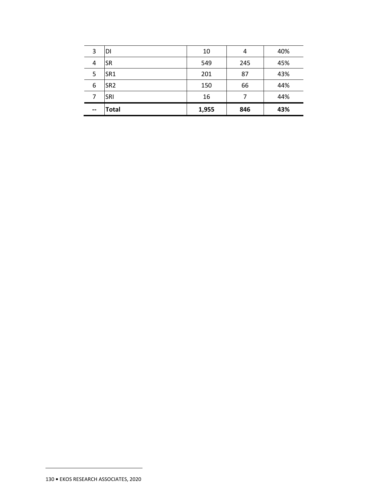| 3                        | DI              | 10    | 4   | 40% |
|--------------------------|-----------------|-------|-----|-----|
| 4                        | <b>SR</b>       | 549   | 245 | 45% |
| 5                        | SR <sub>1</sub> | 201   | 87  | 43% |
| 6                        | SR <sub>2</sub> | 150   | 66  | 44% |
| 7                        | SRI             | 16    | 7   | 44% |
| $\overline{\phantom{a}}$ | <b>Total</b>    | 1,955 | 846 | 43% |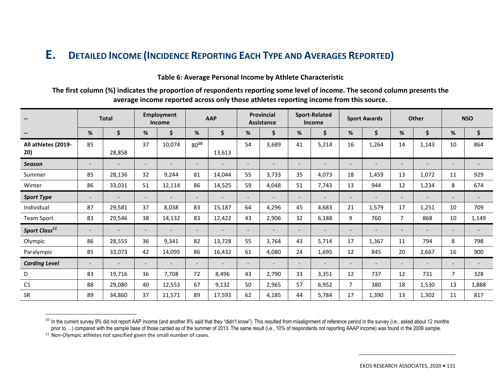#### **E.<sup>D</sup>ETAILED INCOME (INCIDENCE REPORTING EACH TYPE AND AVERAGES REPORTED)**

#### **Table 6: Average Personal Income by Athlete Characteristic**

**The first column (%) indicates the proportion of respondents reporting some level of income. The second column presents the average income reported across only those athletes reporting income from this source.** 

| $\overline{\phantom{a}}$   | <b>Total</b>             |                          |    | <b>Employment</b><br>Income |                          | <b>AAP</b> |                          | <b>Provincial</b><br><b>Assistance</b> |                          | <b>Sport-Related</b><br>Income |                          | <b>Sport Awards</b>      |                          | <b>Other</b>             |                          | <b>NSO</b>               |
|----------------------------|--------------------------|--------------------------|----|-----------------------------|--------------------------|------------|--------------------------|----------------------------------------|--------------------------|--------------------------------|--------------------------|--------------------------|--------------------------|--------------------------|--------------------------|--------------------------|
| $\overline{\phantom{a}}$   | %                        | \$                       | %  | \$                          | %                        | \$         | %                        | \$                                     | %                        | \$                             | %                        | \$                       | %                        | \$                       | %                        | \$                       |
| All athletes (2019-<br>20) | 85                       | 28,858                   | 37 | 10,074                      | $80^{10}$                | 13,613     | 54                       | 3,689                                  | 41                       | 5,214                          | 16                       | 1,264                    | 14                       | 1,143                    | 10                       | 864                      |
| <b>Season</b>              | $\overline{\phantom{0}}$ | $\overline{\phantom{0}}$ |    | $\overline{\phantom{0}}$    | $\overline{\phantom{a}}$ |            | $\overline{\phantom{a}}$ |                                        | $\overline{\phantom{a}}$ |                                | $\overline{\phantom{0}}$ | $\overline{\phantom{0}}$ | $\overline{\phantom{a}}$ | $\overline{\phantom{a}}$ |                          |                          |
| Summer                     | 85                       | 28,136                   | 32 | 9,244                       | 81                       | 14,044     | 55                       | 3,733                                  | 35                       | 4,073                          | 18                       | 1,459                    | 13                       | 1,072                    | 11                       | 929                      |
| Winter                     | 86                       | 33,031                   | 51 | 12,114                      | 86                       | 14,525     | 59                       | 4,048                                  | 51                       | 7,743                          | 13                       | 944                      | 12                       | 1,234                    | 8                        | 674                      |
| <b>Sport Type</b>          | $\overline{\phantom{0}}$ |                          |    |                             | $\overline{\phantom{0}}$ |            |                          |                                        | $\overline{\phantom{0}}$ |                                | $\overline{\phantom{a}}$ | $\overline{a}$           | $\overline{\phantom{a}}$ |                          | $\overline{a}$           | $\overline{\phantom{a}}$ |
| Individual                 | 87                       | 29,581                   | 37 | 8,038                       | 83                       | 15,187     | 64                       | 4,296                                  | 45                       | 4,683                          | 21                       | 1,579                    | 17                       | 1,251                    | 10                       | 709                      |
| Team Sport                 | 83                       | 29,546                   | 38 | 14,132                      | 83                       | 12,422     | 43                       | 2,906                                  | 32                       | 6,188                          | 9                        | 760                      | $\overline{7}$           | 868                      | 10                       | 1,149                    |
| Sport Class <sup>11</sup>  | $\qquad \qquad -$        |                          |    |                             | $\overline{\phantom{a}}$ |            |                          |                                        | $\qquad \qquad -$        |                                | $\overline{\phantom{a}}$ | $\overline{\phantom{a}}$ |                          |                          |                          |                          |
| Olympic                    | 86                       | 28,555                   | 36 | 9,341                       | 82                       | 13,728     | 55                       | 3,764                                  | 43                       | 5,714                          | 17                       | 1,367                    | 11                       | 794                      | 8                        | 798                      |
| Paralympic                 | 85                       | 33,073                   | 42 | 14,095                      | 86                       | 16,432     | 61                       | 4,080                                  | 24                       | 1,695                          | 12                       | 845                      | 20                       | 2,667                    | 16                       | 900                      |
| <b>Carding Level</b>       | $\overline{\phantom{0}}$ |                          |    |                             | $\overline{\phantom{0}}$ |            |                          |                                        | $\overline{\phantom{0}}$ |                                | -                        | $\overline{\phantom{0}}$ |                          |                          | $\overline{\phantom{0}}$ |                          |
| D                          | 83                       | 19,716                   | 36 | 7,708                       | 72                       | 8,496      | 43                       | 2,790                                  | 33                       | 3,351                          | 12                       | 737                      | 12                       | 731                      | $\overline{7}$           | 328                      |
| C1                         | 88                       | 29,080                   | 40 | 12,553                      | 67                       | 9,132      | 50                       | 2,965                                  | 57                       | 6,952                          | $\overline{7}$           | 380                      | 18                       | 1,530                    | 13                       | 1,888                    |
| <b>SR</b>                  | 89                       | 34,860                   | 37 | 11,571                      | 89                       | 17,593     | 62                       | 4,185                                  | 44                       | 5,784                          | 17                       | 1,390                    | 13                       | 1,302                    | 11                       | 817                      |

 $^{10}$  In the current survey 9% did not report AAP income (and another 8% said that they "didn't know"). This resulted from misalignment of reference period in the survey (i.e., asked about 12 months prior to....) compared with the sample base of those carded as of the summer of 2013. The same result (i.e., 10% of respondents not reporting AAAP income) was found in the 2009 sample.

<sup>&</sup>lt;sup>11</sup> Non-Olympic athletes not specified given the small number of cases.